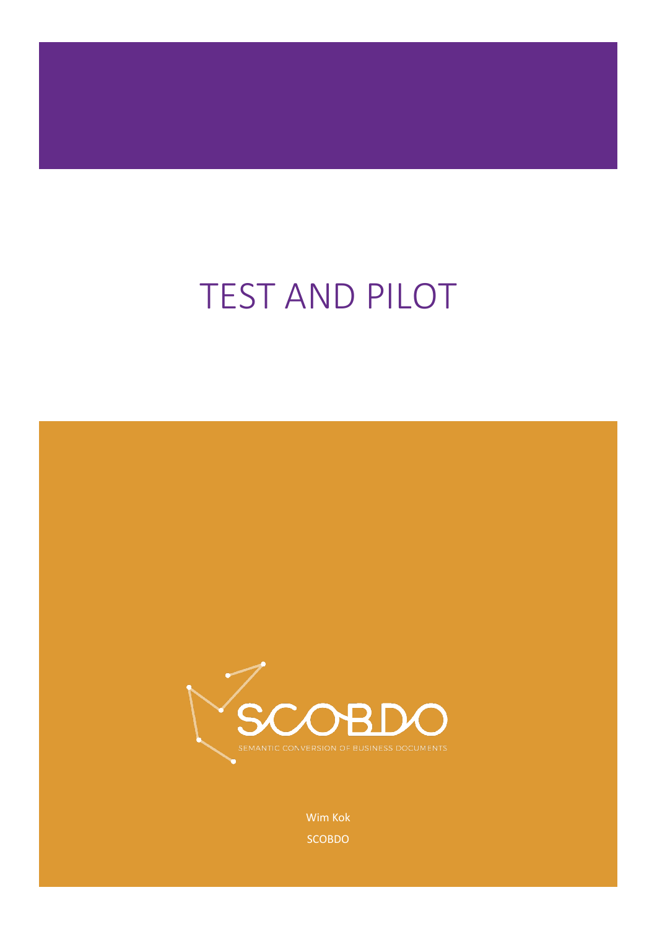# TEST AND PILOT



Wim Kok SCOBDO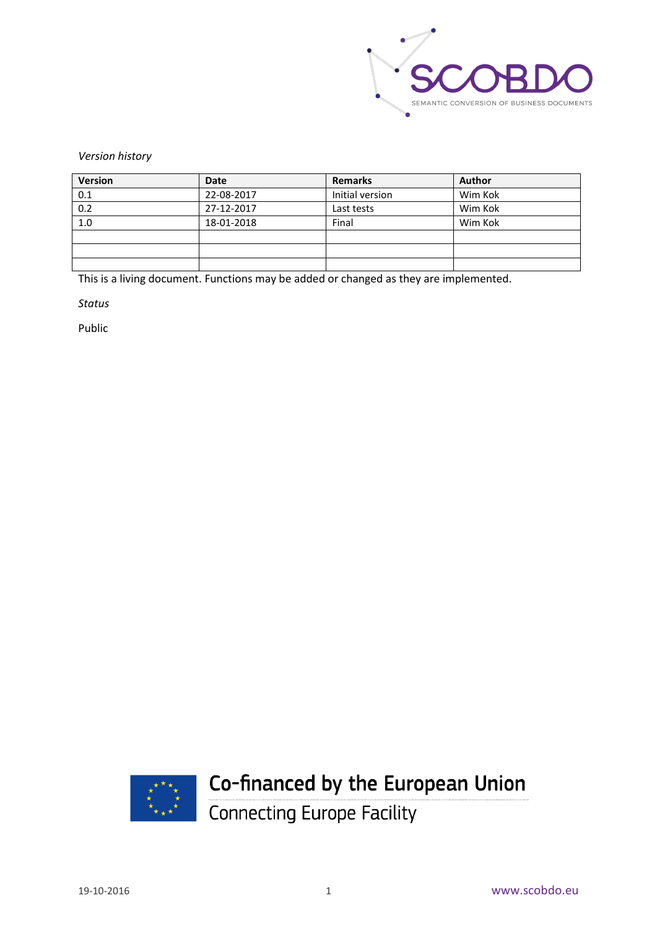

*Version history*

| <b>Version</b> | Date       | <b>Remarks</b>  | <b>Author</b> |
|----------------|------------|-----------------|---------------|
| 0.1            | 22-08-2017 | Initial version | Wim Kok       |
| 0.2            | 27-12-2017 | Last tests      | Wim Kok       |
| 1.0            | 18-01-2018 | Final           | Wim Kok       |
|                |            |                 |               |
|                |            |                 |               |
|                |            |                 |               |

This is a living document. Functions may be added or changed as they are implemented.

*Status*

Public



# Co-financed by the European Union

Connecting Europe Facility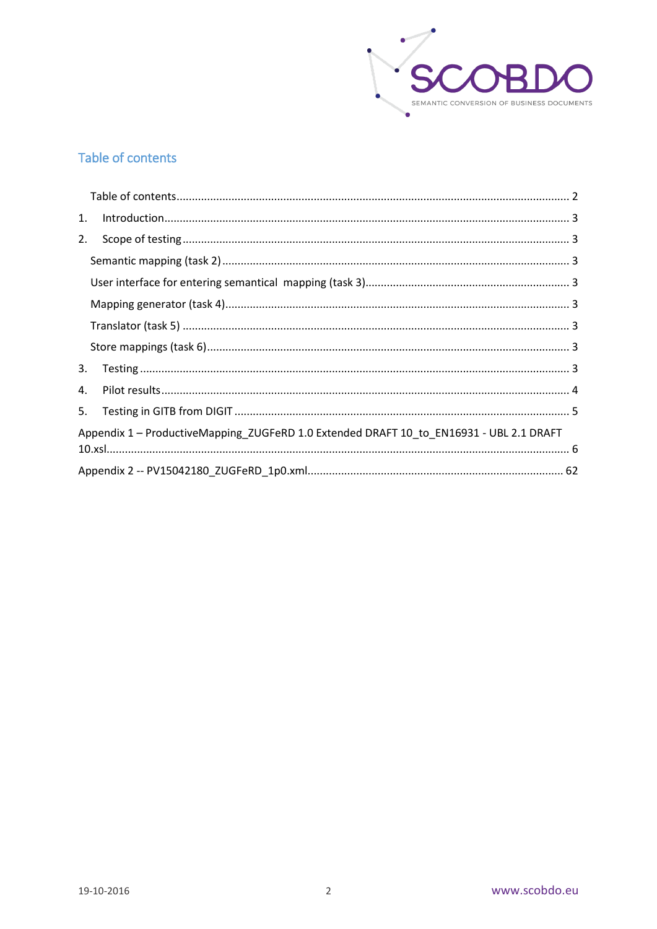

# <span id="page-2-0"></span>Table of contents

| 1. |                                                                                         |  |
|----|-----------------------------------------------------------------------------------------|--|
| 2. |                                                                                         |  |
|    |                                                                                         |  |
|    |                                                                                         |  |
|    |                                                                                         |  |
|    |                                                                                         |  |
|    |                                                                                         |  |
| 3. |                                                                                         |  |
| 4. |                                                                                         |  |
| 5. |                                                                                         |  |
|    | Appendix 1 - ProductiveMapping_ZUGFeRD 1.0 Extended DRAFT 10_to_EN16931 - UBL 2.1 DRAFT |  |
|    |                                                                                         |  |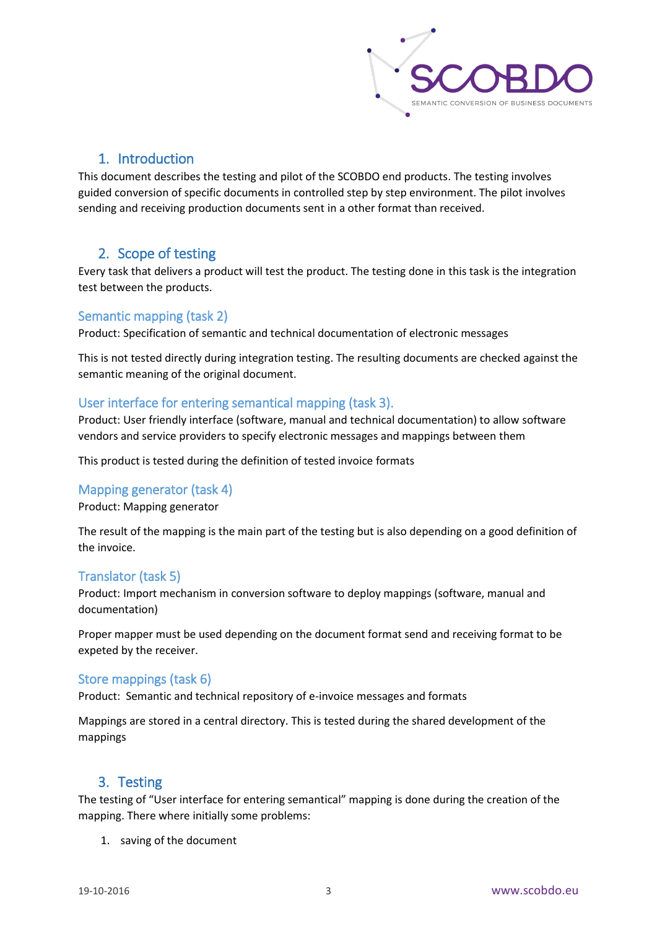

#### 1. Introduction

<span id="page-3-0"></span>This document describes the testing and pilot of the SCOBDO end products. The testing involves guided conversion of specific documents in controlled step by step environment. The pilot involves sending and receiving production documents sent in a other format than received.

#### <span id="page-3-1"></span>2. Scope of testing

Every task that delivers a product will test the product. The testing done in this task is the integration test between the products.

#### <span id="page-3-2"></span>Semantic mapping (task 2)

Product: Specification of semantic and technical documentation of electronic messages

This is not tested directly during integration testing. The resulting documents are checked against the semantic meaning of the original document.

#### <span id="page-3-3"></span>User interface for entering semantical mapping (task 3).

Product: User friendly interface (software, manual and technical documentation) to allow software vendors and service providers to specify electronic messages and mappings between them

This product is tested during the definition of tested invoice formats

#### <span id="page-3-4"></span>Mapping generator (task 4)

Product: Mapping generator

The result of the mapping is the main part of the testing but is also depending on a good definition of the invoice.

#### <span id="page-3-5"></span>Translator (task 5)

Product: Import mechanism in conversion software to deploy mappings (software, manual and documentation)

Proper mapper must be used depending on the document format send and receiving format to be expeted by the receiver.

#### <span id="page-3-6"></span>Store mappings (task 6)

Product: Semantic and technical repository of e-invoice messages and formats

Mappings are stored in a central directory. This is tested during the shared development of the mappings

## <span id="page-3-7"></span>3. Testing

The testing of "User interface for entering semantical" mapping is done during the creation of the mapping. There where initially some problems:

1. saving of the document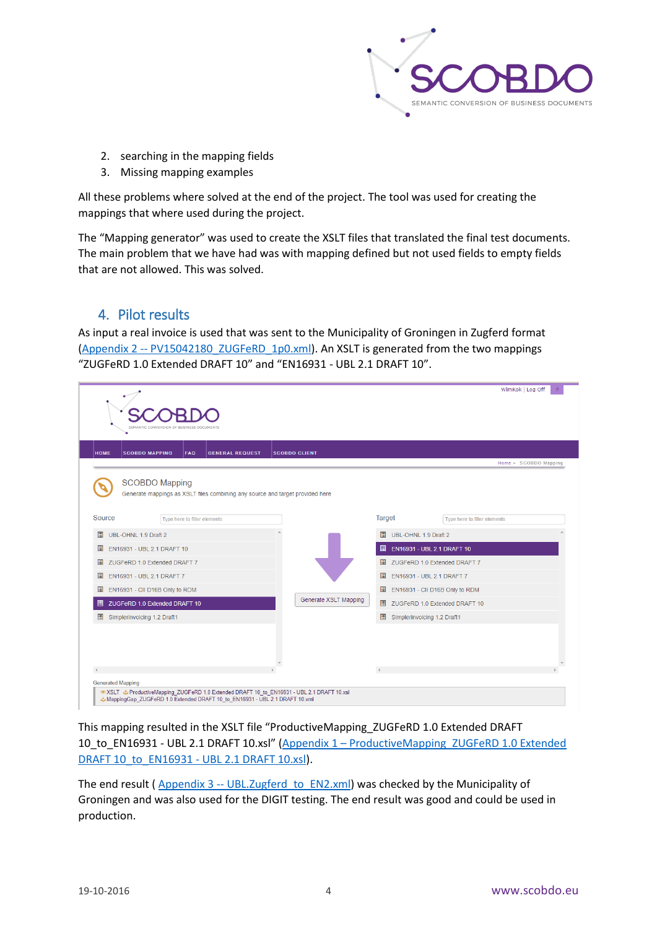

- 2. searching in the mapping fields
- 3. Missing mapping examples

All these problems where solved at the end of the project. The tool was used for creating the mappings that where used during the project.

The "Mapping generator" was used to create the XSLT files that translated the final test documents. The main problem that we have had was with mapping defined but not used fields to empty fields that are not allowed. This was solved.

## <span id="page-4-0"></span>4. Pilot results

As input a real invoice is used that was sent to the Municipality of Groningen in Zugferd format (Appendix 2 -- [PV15042180\\_ZUGFeRD\\_1p0.xml\)](#page-62-0). An XSLT is generated from the two mappings "ZUGFeRD 1.0 Extended DRAFT 10" and "EN16931 - UBL 2.1 DRAFT 10".

|                                                                                                                                                                                                          | SEMANTIC CONVERSION OF                                                                                                                                                   |                      |                                  | WimKok   Log Off                                                     |  |
|----------------------------------------------------------------------------------------------------------------------------------------------------------------------------------------------------------|--------------------------------------------------------------------------------------------------------------------------------------------------------------------------|----------------------|----------------------------------|----------------------------------------------------------------------|--|
| <b>HOME</b>                                                                                                                                                                                              | <b>SCOBDO MAPPING</b><br><b>FAQ</b><br><b>GENERAL REQUEST</b>                                                                                                            | <b>SCOBDO CLIENT</b> |                                  | Home > SCOBDO Mapping                                                |  |
|                                                                                                                                                                                                          | <b>SCOBDO Mapping</b><br>Generate mappings as XSLT files combining any source and target provided here                                                                   |                      |                                  |                                                                      |  |
| Source                                                                                                                                                                                                   | Type here to filter elements                                                                                                                                             |                      | Target                           | Type here to filter elements                                         |  |
| $\square$<br>UBL-OHNL 1.9 Draft 2                                                                                                                                                                        |                                                                                                                                                                          |                      | ▣                                | UBL-OHNL 1.9 Draft 2                                                 |  |
| $\blacksquare$<br>EN16931 - UBL 2.1 DRAFT 10<br>$\blacksquare$<br>ZUGFeRD 1.0 Extended DRAFT 7<br>圓<br>EN16931 - UBL 2.1 DRAFT 7<br>EN16931 - CII D16B Only to RDM<br>圓<br>ZUGFeRD 1.0 Extended DRAFT 10 |                                                                                                                                                                          |                      |                                  | E EN16931 - UBL 2.1 DRAFT 10<br>ZUGFeRD 1.0 Extended DRAFT 7<br>圍    |  |
|                                                                                                                                                                                                          |                                                                                                                                                                          |                      |                                  |                                                                      |  |
|                                                                                                                                                                                                          |                                                                                                                                                                          |                      | 圓                                | EN16931 - UBL 2.1 DRAFT 7                                            |  |
|                                                                                                                                                                                                          |                                                                                                                                                                          |                      | 圓                                | EN16931 - CII D16B Only to RDM<br>ZUGFeRD 1.0 Extended DRAFT 10<br>目 |  |
|                                                                                                                                                                                                          |                                                                                                                                                                          |                      | <b>Generate XSLT Mapping</b>     |                                                                      |  |
| Simplerinvoicing 1.2 Draft1                                                                                                                                                                              |                                                                                                                                                                          |                      | 圍<br>Simplerinvoicing 1.2 Draft1 |                                                                      |  |
|                                                                                                                                                                                                          |                                                                                                                                                                          |                      |                                  |                                                                      |  |
| <b>Generated Mapping</b>                                                                                                                                                                                 |                                                                                                                                                                          |                      |                                  |                                                                      |  |
|                                                                                                                                                                                                          | SEXSLT & ProductiveMapping ZUGFeRD 1.0 Extended DRAFT 10 to EN16931 - UBL 2.1 DRAFT 10.xsl<br>MappingGap ZUGFeRD 1.0 Extended DRAFT 10 to EN16931 - UBL 2.1 DRAFT 10.xml |                      |                                  |                                                                      |  |

This mapping resulted in the XSLT file "ProductiveMapping\_ZUGFeRD 1.0 Extended DRAFT 10\_to\_EN16931 - UBL 2.1 DRAFT 10.xsl" (Appendix 1 – [ProductiveMapping\\_ZUGFeRD 1.0 Extended](#page-6-0)  [DRAFT 10\\_to\\_EN16931 -](#page-6-0) UBL 2.1 DRAFT 10.xsl).

The end result ( $\Delta$ ppendix 3 -- [UBL.Zugferd\\_to\\_EN2.xml\)](#page-64-0) was checked by the Municipality of Groningen and was also used for the DIGIT testing. The end result was good and could be used in production.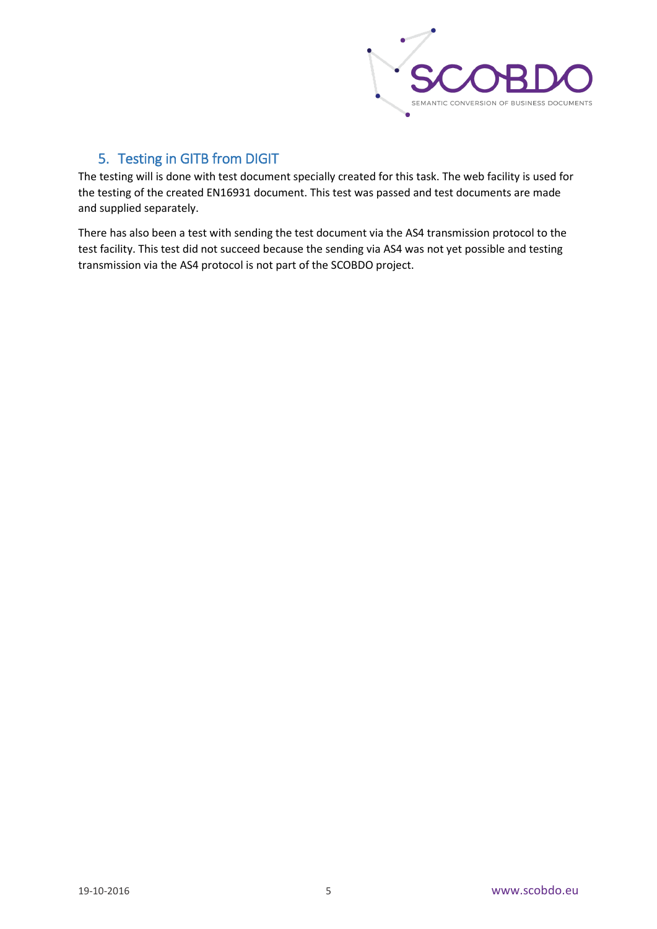

# 5. Testing in GITB from DIGIT

<span id="page-5-0"></span>The testing will is done with test document specially created for this task. The web facility is used for the testing of the created EN16931 document. This test was passed and test documents are made and supplied separately.

There has also been a test with sending the test document via the AS4 transmission protocol to the test facility. This test did not succeed because the sending via AS4 was not yet possible and testing transmission via the AS4 protocol is not part of the SCOBDO project.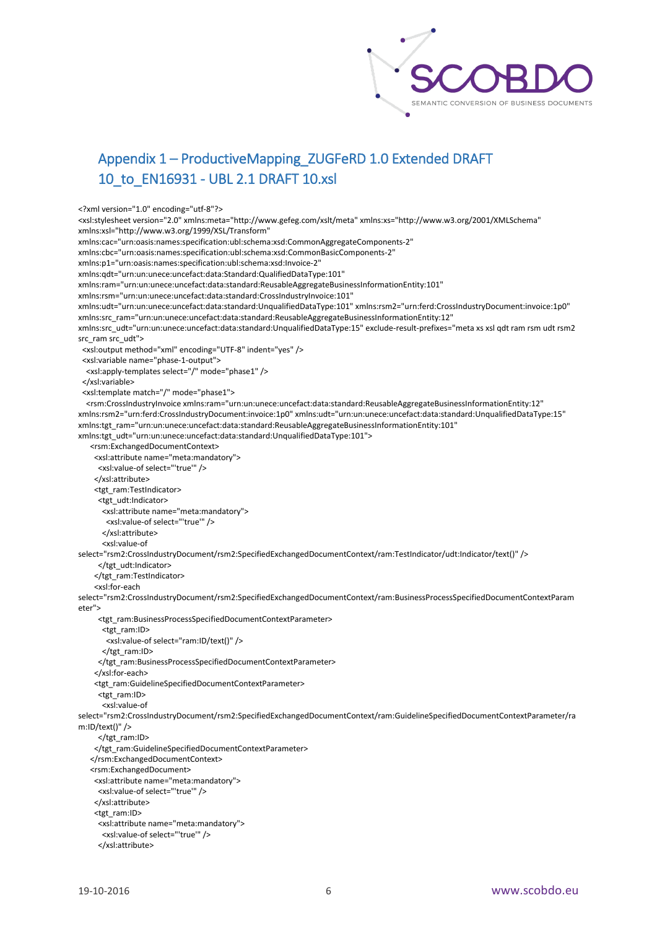

# <span id="page-6-0"></span>Appendix 1 – ProductiveMapping\_ZUGFeRD 1.0 Extended DRAFT 10\_to\_EN16931 - UBL 2.1 DRAFT 10.xsl

<?xml version="1.0" encoding="utf-8"?>

<xsl:stylesheet version="2.0" xmlns:meta="http://www.gefeg.com/xslt/meta" xmlns:xs="http://www.w3.org/2001/XMLSchema" xmlns:xsl="http://www.w3.org/1999/XSL/Transform"

xmlns:cac="urn:oasis:names:specification:ubl:schema:xsd:CommonAggregateComponents-2"

xmlns:cbc="urn:oasis:names:specification:ubl:schema:xsd:CommonBasicComponents-2"

xmlns:p1="urn:oasis:names:specification:ubl:schema:xsd:Invoice-2"

xmlns:qdt="urn:un:unece:uncefact:data:Standard:QualifiedDataType:101"

xmlns:ram="urn:un:unece:uncefact:data:standard:ReusableAggregateBusinessInformationEntity:101"

xmlns:rsm="urn:un:unece:uncefact:data:standard:CrossIndustryInvoice:101"

xmlns:udt="urn:un:unece:uncefact:data:standard:UnqualifiedDataType:101" xmlns:rsm2="urn:ferd:CrossIndustryDocument:invoice:1p0" xmlns:src\_ram="urn:un:unece:uncefact:data:standard:ReusableAggregateBusinessInformationEntity:12"

xmlns:src\_udt="urn:un:unece:uncefact:data:standard:UnqualifiedDataType:15" exclude-result-prefixes="meta xs xsl qdt ram rsm udt rsm2 src\_ram src\_udt">

<xsl:output method="xml" encoding="UTF-8" indent="yes" />

<xsl:variable name="phase-1-output">

<xsl:apply-templates select="/" mode="phase1" />

</xsl:variable>

<xsl:template match="/" mode="phase1">

 <rsm:CrossIndustryInvoice xmlns:ram="urn:un:unece:uncefact:data:standard:ReusableAggregateBusinessInformationEntity:12" xmlns:rsm2="urn:ferd:CrossIndustryDocument:invoice:1p0" xmlns:udt="urn:un:unece:uncefact:data:standard:UnqualifiedDataType:15" xmlns:tgt\_ram="urn:un:unece:uncefact:data:standard:ReusableAggregateBusinessInformationEntity:101"

xmlns:tgt\_udt="urn:un:unece:uncefact:data:standard:UnqualifiedDataType:101">

<rsm:ExchangedDocumentContext>

<xsl:attribute name="meta:mandatory">

<xsl:value-of select="'true'" />

</xsl:attribute>

<tgt\_ram:TestIndicator>

<tgt\_udt:Indicator>

<xsl:attribute name="meta:mandatory">

<xsl:value-of select="'true'" />

</xsl:attribute>

<xsl:value-of

select="rsm2:CrossIndustryDocument/rsm2:SpecifiedExchangedDocumentContext/ram:TestIndicator/udt:Indicator/text()" />

</tgt\_udt:Indicator>

</tgt\_ram:TestIndicator>

<xsl:for-each

select="rsm2:CrossIndustryDocument/rsm2:SpecifiedExchangedDocumentContext/ram:BusinessProcessSpecifiedDocumentContextParam eter">

<tgt\_ram:BusinessProcessSpecifiedDocumentContextParameter>

<tgt\_ram:ID>

<xsl:value-of select="ram:ID/text()" />

</tgt\_ram:ID>

</tgt\_ram:BusinessProcessSpecifiedDocumentContextParameter>

</xsl:for-each>

<tgt\_ram:GuidelineSpecifiedDocumentContextParameter>

<tgt\_ram:ID>

<xsl:value-of

select="rsm2:CrossIndustryDocument/rsm2:SpecifiedExchangedDocumentContext/ram:GuidelineSpecifiedDocumentContextParameter/ra m:ID/text()" />

</tgt\_ram:ID>

</tgt\_ram:GuidelineSpecifiedDocumentContextParameter>

</rsm:ExchangedDocumentContext>

<rsm:ExchangedDocument>

<xsl:attribute name="meta:mandatory">

<xsl:value-of select="'true'" />

</xsl:attribute>

<tgt\_ram:ID>

<xsl:attribute name="meta:mandatory">

<xsl:value-of select="'true'" />

```
 </xsl:attribute>
```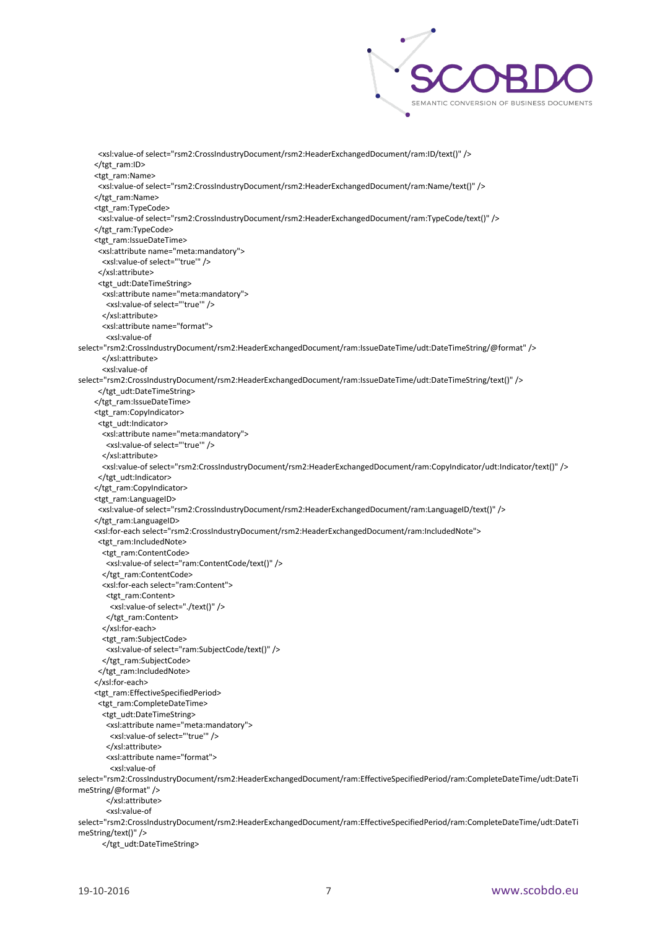

 <xsl:value-of select="rsm2:CrossIndustryDocument/rsm2:HeaderExchangedDocument/ram:ID/text()" /> </tgt\_ram:ID> <tgt\_ram:Name> <xsl:value-of select="rsm2:CrossIndustryDocument/rsm2:HeaderExchangedDocument/ram:Name/text()" /> </tgt\_ram:Name> <tgt\_ram:TypeCode> <xsl:value-of select="rsm2:CrossIndustryDocument/rsm2:HeaderExchangedDocument/ram:TypeCode/text()" /> </tgt\_ram:TypeCode> <tgt\_ram:IssueDateTime> <xsl:attribute name="meta:mandatory"> <xsl:value-of select="'true'" /> </xsl:attribute> <tgt\_udt:DateTimeString> <xsl:attribute name="meta:mandatory"> <xsl:value-of select="'true'" /> </xsl:attribute> <xsl:attribute name="format"> <xsl:value-of select="rsm2:CrossIndustryDocument/rsm2:HeaderExchangedDocument/ram:IssueDateTime/udt:DateTimeString/@format" /> </xsl:attribute> <xsl:value-of select="rsm2:CrossIndustryDocument/rsm2:HeaderExchangedDocument/ram:IssueDateTime/udt:DateTimeString/text()" /> </tgt\_udt:DateTimeString> </tgt\_ram:IssueDateTime> <tgt\_ram:CopyIndicator> <tgt\_udt:Indicator> <xsl:attribute name="meta:mandatory"> <xsl:value-of select="'true'" /> </xsl:attribute> <xsl:value-of select="rsm2:CrossIndustryDocument/rsm2:HeaderExchangedDocument/ram:CopyIndicator/udt:Indicator/text()" /> </tgt\_udt:Indicator> </tgt\_ram:CopyIndicator> <tgt\_ram:LanguageID> <xsl:value-of select="rsm2:CrossIndustryDocument/rsm2:HeaderExchangedDocument/ram:LanguageID/text()" /> </tgt\_ram:LanguageID> <xsl:for-each select="rsm2:CrossIndustryDocument/rsm2:HeaderExchangedDocument/ram:IncludedNote"> <tgt\_ram:IncludedNote> <tgt\_ram:ContentCode> <xsl:value-of select="ram:ContentCode/text()" /> </tgt\_ram:ContentCode> <xsl:for-each select="ram:Content"> <tgt\_ram:Content> <xsl:value-of select="./text()" /> </tgt\_ram:Content> </xsl:for-each> <tgt\_ram:SubjectCode> <xsl:value-of select="ram:SubjectCode/text()" /> </tgt\_ram:SubjectCode> </tgt\_ram:IncludedNote> </xsl:for-each> <tgt\_ram:EffectiveSpecifiedPeriod> <tgt\_ram:CompleteDateTime> <tgt\_udt:DateTimeString> <xsl:attribute name="meta:mandatory"> <xsl:value-of select="'true'" /> </xsl:attribute> <xsl:attribute name="format"> <xsl:value-of select="rsm2:CrossIndustryDocument/rsm2:HeaderExchangedDocument/ram:EffectiveSpecifiedPeriod/ram:CompleteDateTime/udt:DateTi meString/@format" /> </xsl:attribute> <xsl:value-of select="rsm2:CrossIndustryDocument/rsm2:HeaderExchangedDocument/ram:EffectiveSpecifiedPeriod/ram:CompleteDateTime/udt:DateTi meString/text()" /> </tgt\_udt:DateTimeString>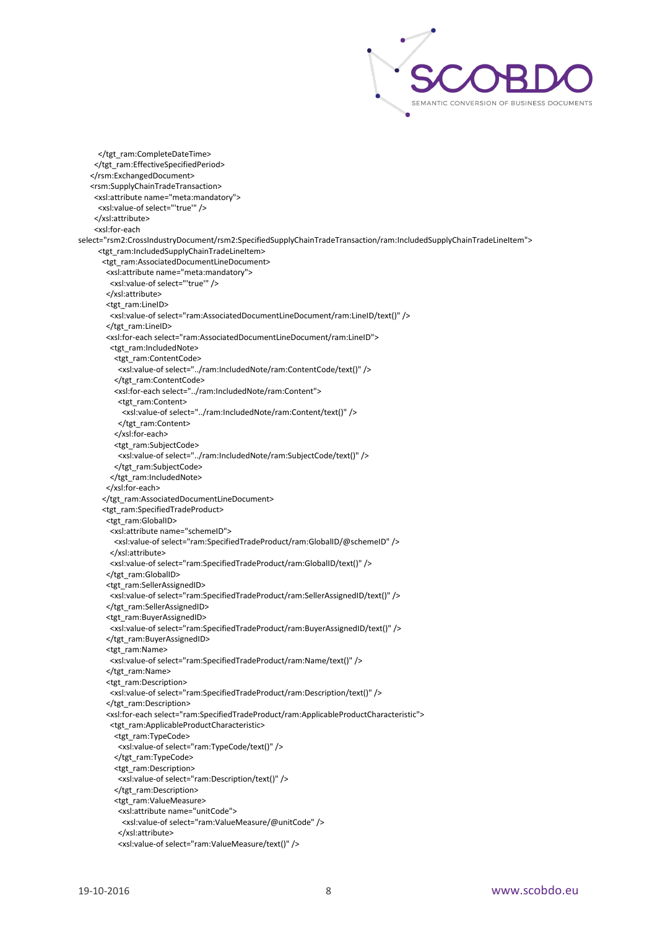

 </tgt\_ram:CompleteDateTime> </tgt\_ram:EffectiveSpecifiedPeriod> </rsm:ExchangedDocument> <rsm:SupplyChainTradeTransaction> <xsl:attribute name="meta:mandatory"> <xsl:value-of select="'true'" /> </xsl:attribute> <xsl:for-each select="rsm2:CrossIndustryDocument/rsm2:SpecifiedSupplyChainTradeTransaction/ram:IncludedSupplyChainTradeLineItem"> <tgt\_ram:IncludedSupplyChainTradeLineItem> <tgt\_ram:AssociatedDocumentLineDocument> <xsl:attribute name="meta:mandatory"> <xsl:value-of select="'true'" /> </xsl:attribute> <tgt\_ram:LineID> <xsl:value-of select="ram:AssociatedDocumentLineDocument/ram:LineID/text()" /> </tgt\_ram:LineID> <xsl:for-each select="ram:AssociatedDocumentLineDocument/ram:LineID"> <tgt\_ram:IncludedNote> <tgt\_ram:ContentCode> <xsl:value-of select="../ram:IncludedNote/ram:ContentCode/text()" /> </tgt\_ram:ContentCode> <xsl:for-each select="../ram:IncludedNote/ram:Content"> <tgt\_ram:Content> <xsl:value-of select="../ram:IncludedNote/ram:Content/text()" /> </tgt\_ram:Content> </xsl:for-each> <tgt\_ram:SubjectCode> <xsl:value-of select="../ram:IncludedNote/ram:SubjectCode/text()" /> </tgt\_ram:SubjectCode> </tgt\_ram:IncludedNote> </xsl:for-each> </tgt\_ram:AssociatedDocumentLineDocument> <tgt\_ram:SpecifiedTradeProduct> <tgt\_ram:GlobalID> <xsl:attribute name="schemeID"> <xsl:value-of select="ram:SpecifiedTradeProduct/ram:GlobalID/@schemeID" /> </xsl:attribute> <xsl:value-of select="ram:SpecifiedTradeProduct/ram:GlobalID/text()" /> </tgt\_ram:GlobalID> <tgt\_ram:SellerAssignedID> <xsl:value-of select="ram:SpecifiedTradeProduct/ram:SellerAssignedID/text()" /> </tgt\_ram:SellerAssignedID> <tgt\_ram:BuyerAssignedID> <xsl:value-of select="ram:SpecifiedTradeProduct/ram:BuyerAssignedID/text()" /> </tgt\_ram:BuyerAssignedID> <tgt\_ram:Name> <xsl:value-of select="ram:SpecifiedTradeProduct/ram:Name/text()" /> </tgt\_ram:Name> <tgt\_ram:Description> <xsl:value-of select="ram:SpecifiedTradeProduct/ram:Description/text()" /> </tgt\_ram:Description> <xsl:for-each select="ram:SpecifiedTradeProduct/ram:ApplicableProductCharacteristic"> <tgt\_ram:ApplicableProductCharacteristic> <tgt\_ram:TypeCode> <xsl:value-of select="ram:TypeCode/text()" /> </tgt\_ram:TypeCode> <tgt\_ram:Description> <xsl:value-of select="ram:Description/text()" /> </tgt\_ram:Description> <tgt\_ram:ValueMeasure> <xsl:attribute name="unitCode"> <xsl:value-of select="ram:ValueMeasure/@unitCode" /> </xsl:attribute> <xsl:value-of select="ram:ValueMeasure/text()" />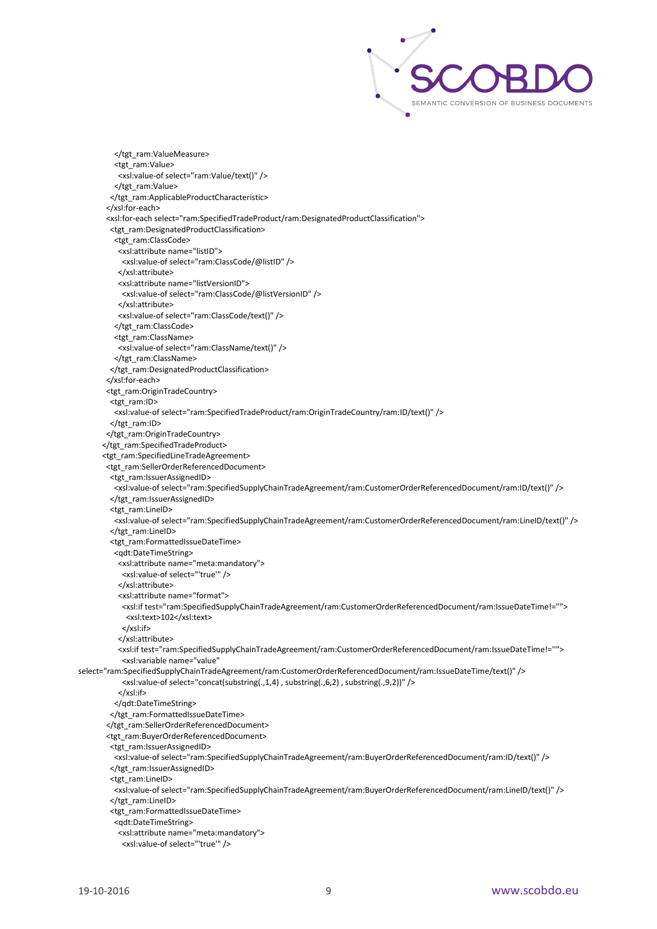

</tgt\_ram:ValueMeasure> <tgt\_ram:Value> <xsl:value-of select="ram:Value/text()" /> </tgt\_ram:Value> </tgt\_ram:ApplicableProductCharacteristic> </xsl:for-each> <xsl:for-each select="ram:SpecifiedTradeProduct/ram:DesignatedProductClassification"> <tgt\_ram:DesignatedProductClassification> <tgt\_ram:ClassCode> <xsl:attribute name="listID"> <xsl:value-of select="ram:ClassCode/@listID" /> </xsl:attribute> <xsl:attribute name="listVersionID"> <xsl:value-of select="ram:ClassCode/@listVersionID" /> </xsl:attribute> <xsl:value-of select="ram:ClassCode/text()" /> </tgt\_ram:ClassCode> <tgt\_ram:ClassName> <xsl:value-of select="ram:ClassName/text()" /> </tgt\_ram:ClassName> </tgt\_ram:DesignatedProductClassification> </xsl:for-each> <tgt\_ram:OriginTradeCountry> <tgt\_ram:ID> <xsl:value-of select="ram:SpecifiedTradeProduct/ram:OriginTradeCountry/ram:ID/text()" /> </tgt\_ram:ID> </tgt\_ram:OriginTradeCountry> </tgt\_ram:SpecifiedTradeProduct> <tgt\_ram:SpecifiedLineTradeAgreement> <tgt\_ram:SellerOrderReferencedDocument> <tgt\_ram:IssuerAssignedID> <xsl:value-of select="ram:SpecifiedSupplyChainTradeAgreement/ram:CustomerOrderReferencedDocument/ram:ID/text()" /> </tgt\_ram:IssuerAssignedID> <tgt\_ram:LineID> <xsl:value-of select="ram:SpecifiedSupplyChainTradeAgreement/ram:CustomerOrderReferencedDocument/ram:LineID/text()" /> </tgt\_ram:LineID> <tgt\_ram:FormattedIssueDateTime> <qdt:DateTimeString> <xsl:attribute name="meta:mandatory"> <xsl:value-of select="'true'" /> </xsl:attribute> <xsl:attribute name="format"> <xsl:if test="ram:SpecifiedSupplyChainTradeAgreement/ram:CustomerOrderReferencedDocument/ram:IssueDateTime!=''"> <xsl:text>102</xsl:text> </xsl:if> </xsl:attribute> <xsl:if test="ram:SpecifiedSupplyChainTradeAgreement/ram:CustomerOrderReferencedDocument/ram:IssueDateTime!=''"> <xsl:variable name="value" select="ram:SpecifiedSupplyChainTradeAgreement/ram:CustomerOrderReferencedDocument/ram:IssueDateTime/text()" /> <xsl:value-of select="concat(substring(.,1,4) , substring(.,6,2) , substring(.,9,2))" /> </xsl:if> </qdt:DateTimeString> </tgt\_ram:FormattedIssueDateTime> </tgt\_ram:SellerOrderReferencedDocument> <tgt\_ram:BuyerOrderReferencedDocument> <tgt\_ram:IssuerAssignedID> <xsl:value-of select="ram:SpecifiedSupplyChainTradeAgreement/ram:BuyerOrderReferencedDocument/ram:ID/text()" /> </tgt\_ram:IssuerAssignedID> <tgt\_ram:LineID> <xsl:value-of select="ram:SpecifiedSupplyChainTradeAgreement/ram:BuyerOrderReferencedDocument/ram:LineID/text()" /> </tgt\_ram:LineID> <tgt\_ram:FormattedIssueDateTime> <qdt:DateTimeString> <xsl:attribute name="meta:mandatory"> <xsl:value-of select="'true'" />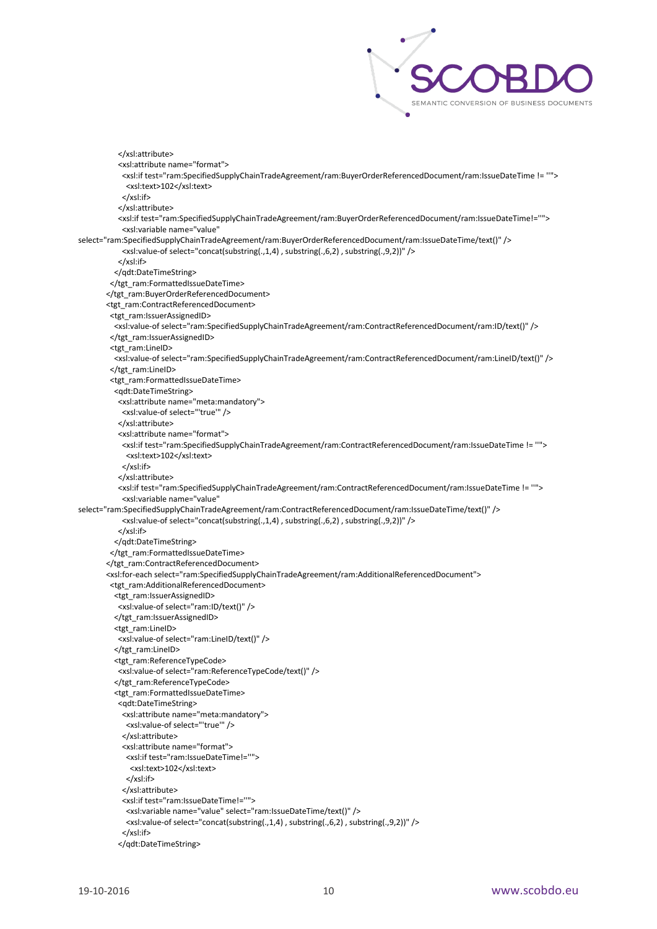

 </xsl:attribute> <xsl:attribute name="format"> <xsl:if test="ram:SpecifiedSupplyChainTradeAgreement/ram:BuyerOrderReferencedDocument/ram:IssueDateTime != ''"> <xsl:text>102</xsl:text> </xsl:if> </xsl:attribute> <xsl:if test="ram:SpecifiedSupplyChainTradeAgreement/ram:BuyerOrderReferencedDocument/ram:IssueDateTime!=''"> <xsl:variable name="value" select="ram:SpecifiedSupplyChainTradeAgreement/ram:BuyerOrderReferencedDocument/ram:IssueDateTime/text()" /> <xsl:value-of select="concat(substring(.,1,4) , substring(.,6,2) , substring(.,9,2))" /> </xsl:if> </qdt:DateTimeString> </tgt\_ram:FormattedIssueDateTime> </tgt\_ram:BuyerOrderReferencedDocument> <tgt\_ram:ContractReferencedDocument> <tgt\_ram:IssuerAssignedID> <xsl:value-of select="ram:SpecifiedSupplyChainTradeAgreement/ram:ContractReferencedDocument/ram:ID/text()" /> </tgt\_ram:IssuerAssignedID> <tgt\_ram:LineID> <xsl:value-of select="ram:SpecifiedSupplyChainTradeAgreement/ram:ContractReferencedDocument/ram:LineID/text()" /> </tgt\_ram:LineID> <tgt\_ram:FormattedIssueDateTime> <qdt:DateTimeString> <xsl:attribute name="meta:mandatory"> <xsl:value-of select="'true'" /> </xsl:attribute> <xsl:attribute name="format"> <xsl:if test="ram:SpecifiedSupplyChainTradeAgreement/ram:ContractReferencedDocument/ram:IssueDateTime != ''"> <xsl:text>102</xsl:text> </xsl:if> </xsl:attribute> <xsl:if test="ram:SpecifiedSupplyChainTradeAgreement/ram:ContractReferencedDocument/ram:IssueDateTime != ''"> <xsl:variable name="value" select="ram:SpecifiedSupplyChainTradeAgreement/ram:ContractReferencedDocument/ram:IssueDateTime/text()" /> <xsl:value-of select="concat(substring(.,1,4) , substring(.,6,2) , substring(.,9,2))" /> </xsl:if> </qdt:DateTimeString> </tgt\_ram:FormattedIssueDateTime> </tgt\_ram:ContractReferencedDocument> <xsl:for-each select="ram:SpecifiedSupplyChainTradeAgreement/ram:AdditionalReferencedDocument"> <tgt\_ram:AdditionalReferencedDocument> <tgt\_ram:IssuerAssignedID> <xsl:value-of select="ram:ID/text()" /> </tgt\_ram:IssuerAssignedID> <tgt\_ram:LineID> <xsl:value-of select="ram:LineID/text()" /> </tgt\_ram:LineID> <tgt\_ram:ReferenceTypeCode> <xsl:value-of select="ram:ReferenceTypeCode/text()" /> </tgt\_ram:ReferenceTypeCode> <tgt\_ram:FormattedIssueDateTime> <qdt:DateTimeString> <xsl:attribute name="meta:mandatory"> <xsl:value-of select="'true'" /> </xsl:attribute> <xsl:attribute name="format"> <xsl:if test="ram:IssueDateTime!=''"> <xsl:text>102</xsl:text> </xsl:if> </xsl:attribute> <xsl:if test="ram:IssueDateTime!=''"> <xsl:variable name="value" select="ram:IssueDateTime/text()" /> <xsl:value-of select="concat(substring(.,1,4) , substring(.,6,2) , substring(.,9,2))" /> </xsl:if> </qdt:DateTimeString>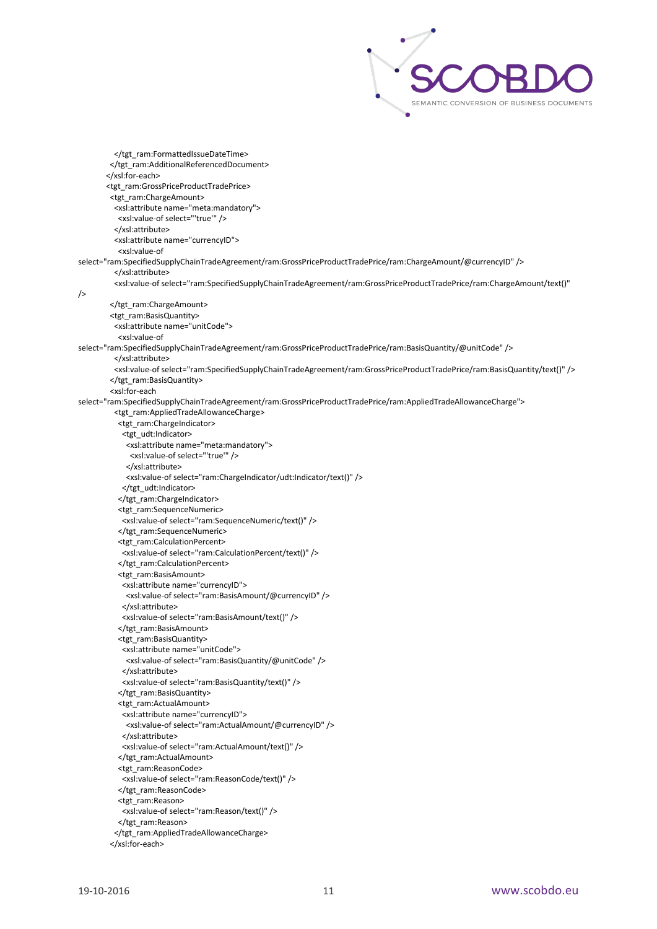

 </tgt\_ram:FormattedIssueDateTime> </tgt\_ram:AdditionalReferencedDocument> </xsl:for-each> <tgt\_ram:GrossPriceProductTradePrice> <tgt\_ram:ChargeAmount> <xsl:attribute name="meta:mandatory"> <xsl:value-of select="'true'" /> </xsl:attribute> <xsl:attribute name="currencyID"> <xsl:value-of select="ram:SpecifiedSupplyChainTradeAgreement/ram:GrossPriceProductTradePrice/ram:ChargeAmount/@currencyID" /> </xsl:attribute> <xsl:value-of select="ram:SpecifiedSupplyChainTradeAgreement/ram:GrossPriceProductTradePrice/ram:ChargeAmount/text()"  $/$  </tgt\_ram:ChargeAmount> <tgt\_ram:BasisQuantity> <xsl:attribute name="unitCode"> <xsl:value-of select="ram:SpecifiedSupplyChainTradeAgreement/ram:GrossPriceProductTradePrice/ram:BasisQuantity/@unitCode" /> </xsl:attribute> <xsl:value-of select="ram:SpecifiedSupplyChainTradeAgreement/ram:GrossPriceProductTradePrice/ram:BasisQuantity/text()" /> </tgt\_ram:BasisQuantity> <xsl:for-each select="ram:SpecifiedSupplyChainTradeAgreement/ram:GrossPriceProductTradePrice/ram:AppliedTradeAllowanceCharge"> <tgt\_ram:AppliedTradeAllowanceCharge> <tgt\_ram:ChargeIndicator>  $<$ tgt\_udt:Indicator> <xsl:attribute name="meta:mandatory"> <xsl:value-of select="'true'" /> </xsl:attribute> <xsl:value-of select="ram:ChargeIndicator/udt:Indicator/text()" /> </tgt\_udt:Indicator> </tgt\_ram:ChargeIndicator> <tgt\_ram:SequenceNumeric> <xsl:value-of select="ram:SequenceNumeric/text()" /> </tgt\_ram:SequenceNumeric> <tgt\_ram:CalculationPercent> <xsl:value-of select="ram:CalculationPercent/text()" /> </tgt\_ram:CalculationPercent> <tgt\_ram:BasisAmount> <xsl:attribute name="currencyID"> <xsl:value-of select="ram:BasisAmount/@currencyID" /> </xsl:attribute> <xsl:value-of select="ram:BasisAmount/text()" /> </tgt\_ram:BasisAmount> <tgt\_ram:BasisQuantity> <xsl:attribute name="unitCode"> <xsl:value-of select="ram:BasisQuantity/@unitCode" /> </xsl:attribute> <xsl:value-of select="ram:BasisQuantity/text()" /> </tgt\_ram:BasisQuantity> <tgt\_ram:ActualAmount> <xsl:attribute name="currencyID"> <xsl:value-of select="ram:ActualAmount/@currencyID" /> </xsl:attribute> <xsl:value-of select="ram:ActualAmount/text()" /> </tgt\_ram:ActualAmount> <tgt\_ram:ReasonCode> <xsl:value-of select="ram:ReasonCode/text()" /> </tgt\_ram:ReasonCode> <tgt\_ram:Reason> <xsl:value-of select="ram:Reason/text()" /> </tgt\_ram:Reason> </tgt\_ram:AppliedTradeAllowanceCharge> </xsl:for-each>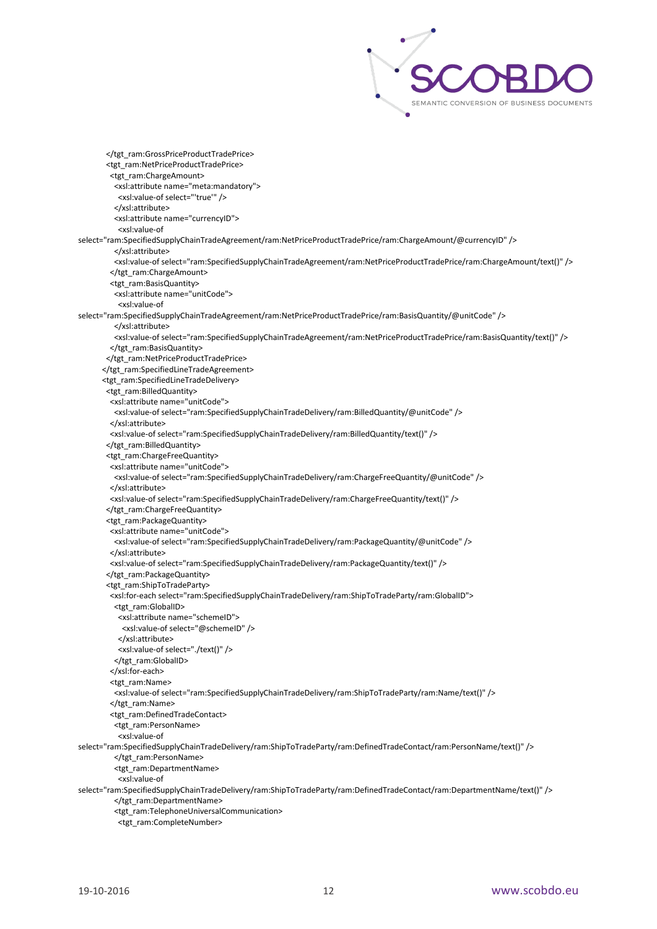

 </tgt\_ram:GrossPriceProductTradePrice> <tgt\_ram:NetPriceProductTradePrice> <tgt\_ram:ChargeAmount> <xsl:attribute name="meta:mandatory"> <xsl:value-of select="'true'" /> </xsl:attribute> <xsl:attribute name="currencyID"> <xsl:value-of select="ram:SpecifiedSupplyChainTradeAgreement/ram:NetPriceProductTradePrice/ram:ChargeAmount/@currencyID" /> </xsl:attribute> <xsl:value-of select="ram:SpecifiedSupplyChainTradeAgreement/ram:NetPriceProductTradePrice/ram:ChargeAmount/text()" /> </tgt\_ram:ChargeAmount> <tgt\_ram:BasisQuantity> <xsl:attribute name="unitCode"> <xsl:value-of select="ram:SpecifiedSupplyChainTradeAgreement/ram:NetPriceProductTradePrice/ram:BasisQuantity/@unitCode" /> </xsl:attribute> <xsl:value-of select="ram:SpecifiedSupplyChainTradeAgreement/ram:NetPriceProductTradePrice/ram:BasisQuantity/text()" /> </tgt\_ram:BasisQuantity> </tgt\_ram:NetPriceProductTradePrice> </tgt\_ram:SpecifiedLineTradeAgreement> <tgt\_ram:SpecifiedLineTradeDelivery> <tgt\_ram:BilledQuantity> <xsl:attribute name="unitCode"> <xsl:value-of select="ram:SpecifiedSupplyChainTradeDelivery/ram:BilledQuantity/@unitCode" /> </xsl:attribute> <xsl:value-of select="ram:SpecifiedSupplyChainTradeDelivery/ram:BilledQuantity/text()" /> </tgt\_ram:BilledQuantity> <tgt\_ram:ChargeFreeQuantity> <xsl:attribute name="unitCode"> <xsl:value-of select="ram:SpecifiedSupplyChainTradeDelivery/ram:ChargeFreeQuantity/@unitCode" /> </xsl:attribute> <xsl:value-of select="ram:SpecifiedSupplyChainTradeDelivery/ram:ChargeFreeQuantity/text()" /> </tgt\_ram:ChargeFreeQuantity> <tgt\_ram:PackageQuantity> <xsl:attribute name="unitCode"> <xsl:value-of select="ram:SpecifiedSupplyChainTradeDelivery/ram:PackageQuantity/@unitCode" /> </xsl:attribute> <xsl:value-of select="ram:SpecifiedSupplyChainTradeDelivery/ram:PackageQuantity/text()" /> </tgt\_ram:PackageQuantity> <tgt\_ram:ShipToTradeParty> <xsl:for-each select="ram:SpecifiedSupplyChainTradeDelivery/ram:ShipToTradeParty/ram:GlobalID"> <tgt\_ram:GlobalID> <xsl:attribute name="schemeID"> <xsl:value-of select="@schemeID" /> </xsl:attribute> <xsl:value-of select="./text()" /> </tgt\_ram:GlobalID> </xsl:for-each> <tgt\_ram:Name> <xsl:value-of select="ram:SpecifiedSupplyChainTradeDelivery/ram:ShipToTradeParty/ram:Name/text()" /> </tgt\_ram:Name> <tgt\_ram:DefinedTradeContact> <tgt\_ram:PersonName> <xsl:value-of select="ram:SpecifiedSupplyChainTradeDelivery/ram:ShipToTradeParty/ram:DefinedTradeContact/ram:PersonName/text()" /> </tgt\_ram:PersonName> <tgt\_ram:DepartmentName> <xsl:value-of select="ram:SpecifiedSupplyChainTradeDelivery/ram:ShipToTradeParty/ram:DefinedTradeContact/ram:DepartmentName/text()" /> </tgt\_ram:DepartmentName> <tgt\_ram:TelephoneUniversalCommunication> <tgt\_ram:CompleteNumber>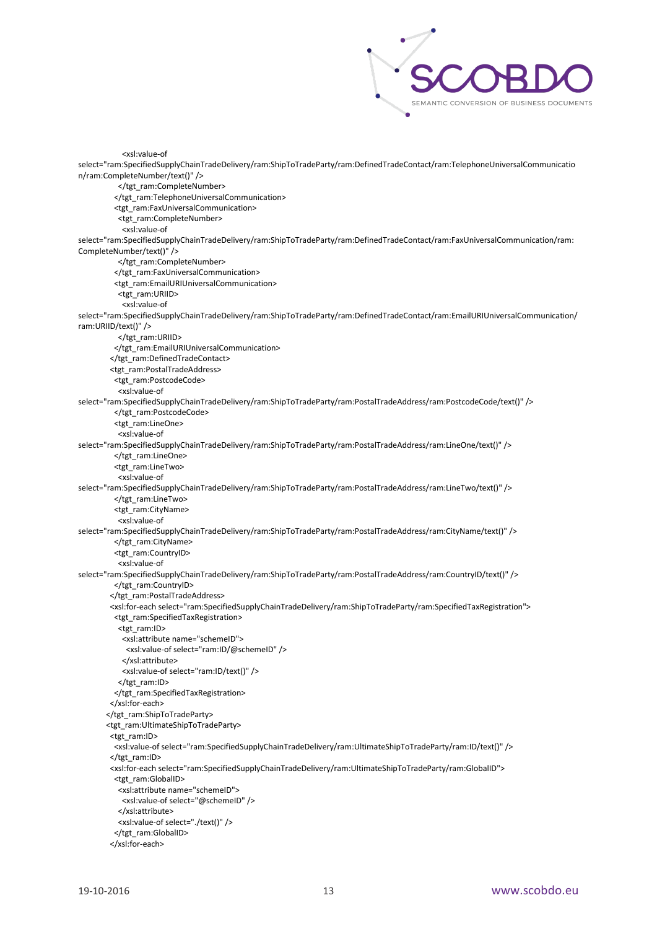

```
 <xsl:value-of 
select="ram:SpecifiedSupplyChainTradeDelivery/ram:ShipToTradeParty/ram:DefinedTradeContact/ram:TelephoneUniversalCommunicatio
n/ram:CompleteNumber/text()" />
          </tgt_ram:CompleteNumber>
          </tgt_ram:TelephoneUniversalCommunication>
          <tgt_ram:FaxUniversalCommunication>
           <tgt_ram:CompleteNumber>
            <xsl:value-of 
select="ram:SpecifiedSupplyChainTradeDelivery/ram:ShipToTradeParty/ram:DefinedTradeContact/ram:FaxUniversalCommunication/ram:
CompleteNumber/text()" />
           </tgt_ram:CompleteNumber>
          </tgt_ram:FaxUniversalCommunication>
          <tgt_ram:EmailURIUniversalCommunication>
           <tgt_ram:URIID>
            <xsl:value-of 
select="ram:SpecifiedSupplyChainTradeDelivery/ram:ShipToTradeParty/ram:DefinedTradeContact/ram:EmailURIUniversalCommunication/
ram:URIID/text()" />
           </tgt_ram:URIID>
          </tgt_ram:EmailURIUniversalCommunication>
         </tgt_ram:DefinedTradeContact>
         <tgt_ram:PostalTradeAddress>
          <tgt_ram:PostcodeCode>
           <xsl:value-of 
select="ram:SpecifiedSupplyChainTradeDelivery/ram:ShipToTradeParty/ram:PostalTradeAddress/ram:PostcodeCode/text()" />
          </tgt_ram:PostcodeCode>
          <tgt_ram:LineOne>
           <xsl:value-of 
select="ram:SpecifiedSupplyChainTradeDelivery/ram:ShipToTradeParty/ram:PostalTradeAddress/ram:LineOne/text()" />
          </tgt_ram:LineOne>
          <tgt_ram:LineTwo>
           <xsl:value-of 
select="ram:SpecifiedSupplyChainTradeDelivery/ram:ShipToTradeParty/ram:PostalTradeAddress/ram:LineTwo/text()" />
         </tgt_ram:LineTwo>
          <tgt_ram:CityName>
           <xsl:value-of 
select="ram:SpecifiedSupplyChainTradeDelivery/ram:ShipToTradeParty/ram:PostalTradeAddress/ram:CityName/text()" />
         </tgt_ram:CityName>
          <tgt_ram:CountryID>
           <xsl:value-of 
select="ram:SpecifiedSupplyChainTradeDelivery/ram:ShipToTradeParty/ram:PostalTradeAddress/ram:CountryID/text()" />
          </tgt_ram:CountryID>
         </tgt_ram:PostalTradeAddress>
         <xsl:for-each select="ram:SpecifiedSupplyChainTradeDelivery/ram:ShipToTradeParty/ram:SpecifiedTaxRegistration">
          <tgt_ram:SpecifiedTaxRegistration>
           <tgt_ram:ID>
            <xsl:attribute name="schemeID">
             <xsl:value-of select="ram:ID/@schemeID" />
            </xsl:attribute>
            <xsl:value-of select="ram:ID/text()" />
          </tgt_ram:ID>
          </tgt_ram:SpecifiedTaxRegistration>
         </xsl:for-each>
        </tgt_ram:ShipToTradeParty>
        <tgt_ram:UltimateShipToTradeParty>
         <tgt_ram:ID>
          <xsl:value-of select="ram:SpecifiedSupplyChainTradeDelivery/ram:UltimateShipToTradeParty/ram:ID/text()" />
         </tgt_ram:ID>
         <xsl:for-each select="ram:SpecifiedSupplyChainTradeDelivery/ram:UltimateShipToTradeParty/ram:GlobalID">
          <tgt_ram:GlobalID>
           <xsl:attribute name="schemeID">
            <xsl:value-of select="@schemeID" />
           </xsl:attribute>
           <xsl:value-of select="./text()" />
         </tgt_ram:GlobalID>
         </xsl:for-each>
```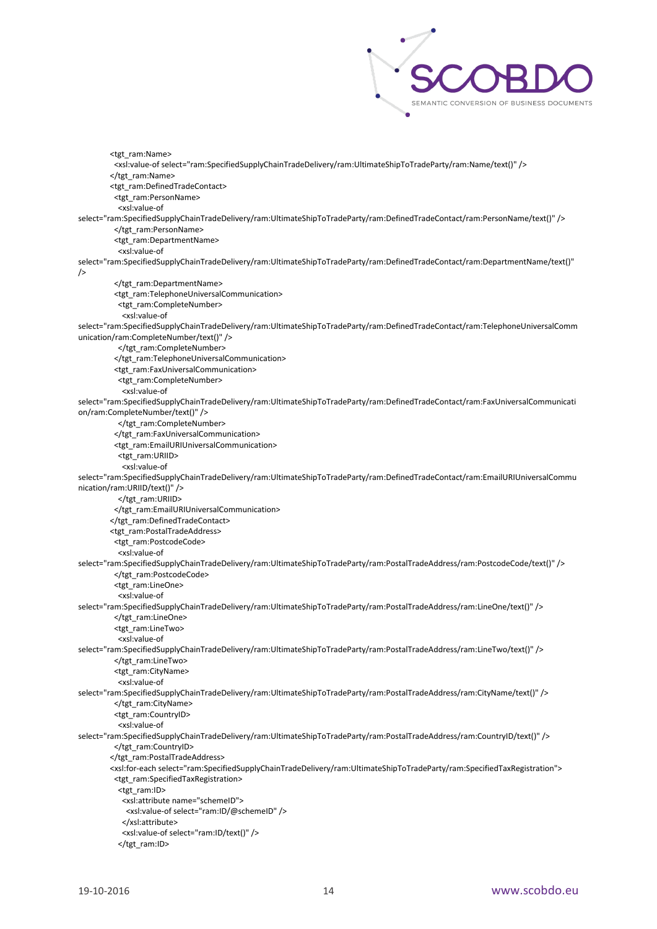

 <tgt\_ram:Name> <xsl:value-of select="ram:SpecifiedSupplyChainTradeDelivery/ram:UltimateShipToTradeParty/ram:Name/text()" /> </tgt\_ram:Name> <tgt\_ram:DefinedTradeContact> <tgt\_ram:PersonName> <xsl:value-of select="ram:SpecifiedSupplyChainTradeDelivery/ram:UltimateShipToTradeParty/ram:DefinedTradeContact/ram:PersonName/text()" /> </tgt\_ram:PersonName> <tgt\_ram:DepartmentName> <xsl:value-of select="ram:SpecifiedSupplyChainTradeDelivery/ram:UltimateShipToTradeParty/ram:DefinedTradeContact/ram:DepartmentName/text()" /> </tgt\_ram:DepartmentName> <tgt\_ram:TelephoneUniversalCommunication> <tgt\_ram:CompleteNumber> <xsl:value-of select="ram:SpecifiedSupplyChainTradeDelivery/ram:UltimateShipToTradeParty/ram:DefinedTradeContact/ram:TelephoneUniversalComm unication/ram:CompleteNumber/text()" /> </tgt\_ram:CompleteNumber> </tgt\_ram:TelephoneUniversalCommunication> <tgt\_ram:FaxUniversalCommunication> <tgt\_ram:CompleteNumber> <xsl:value-of select="ram:SpecifiedSupplyChainTradeDelivery/ram:UltimateShipToTradeParty/ram:DefinedTradeContact/ram:FaxUniversalCommunicati on/ram:CompleteNumber/text()" /> </tgt\_ram:CompleteNumber> </tgt\_ram:FaxUniversalCommunication> <tgt\_ram:EmailURIUniversalCommunication> <tgt\_ram:URIID> <xsl:value-of select="ram:SpecifiedSupplyChainTradeDelivery/ram:UltimateShipToTradeParty/ram:DefinedTradeContact/ram:EmailURIUniversalCommu nication/ram:URIID/text()" /> </tgt\_ram:URIID> </tgt\_ram:EmailURIUniversalCommunication> </tgt\_ram:DefinedTradeContact> <tgt\_ram:PostalTradeAddress> <tgt\_ram:PostcodeCode> <xsl:value-of select="ram:SpecifiedSupplyChainTradeDelivery/ram:UltimateShipToTradeParty/ram:PostalTradeAddress/ram:PostcodeCode/text()" /> </tgt\_ram:PostcodeCode> <tgt\_ram:LineOne> <xsl:value-of select="ram:SpecifiedSupplyChainTradeDelivery/ram:UltimateShipToTradeParty/ram:PostalTradeAddress/ram:LineOne/text()" /> </tgt\_ram:LineOne> <tgt\_ram:LineTwo> <xsl:value-of select="ram:SpecifiedSupplyChainTradeDelivery/ram:UltimateShipToTradeParty/ram:PostalTradeAddress/ram:LineTwo/text()" /> </tgt\_ram:LineTwo> <tgt\_ram:CityName> <xsl:value-of select="ram:SpecifiedSupplyChainTradeDelivery/ram:UltimateShipToTradeParty/ram:PostalTradeAddress/ram:CityName/text()" /> </tgt\_ram:CityName> <tgt\_ram:CountryID> <xsl:value-of select="ram:SpecifiedSupplyChainTradeDelivery/ram:UltimateShipToTradeParty/ram:PostalTradeAddress/ram:CountryID/text()" /> </tgt\_ram:CountryID> </tgt\_ram:PostalTradeAddress> <xsl:for-each select="ram:SpecifiedSupplyChainTradeDelivery/ram:UltimateShipToTradeParty/ram:SpecifiedTaxRegistration"> <tgt\_ram:SpecifiedTaxRegistration> <tgt\_ram:ID> <xsl:attribute name="schemeID"> <xsl:value-of select="ram:ID/@schemeID" /> </xsl:attribute> <xsl:value-of select="ram:ID/text()" /> </tgt\_ram:ID>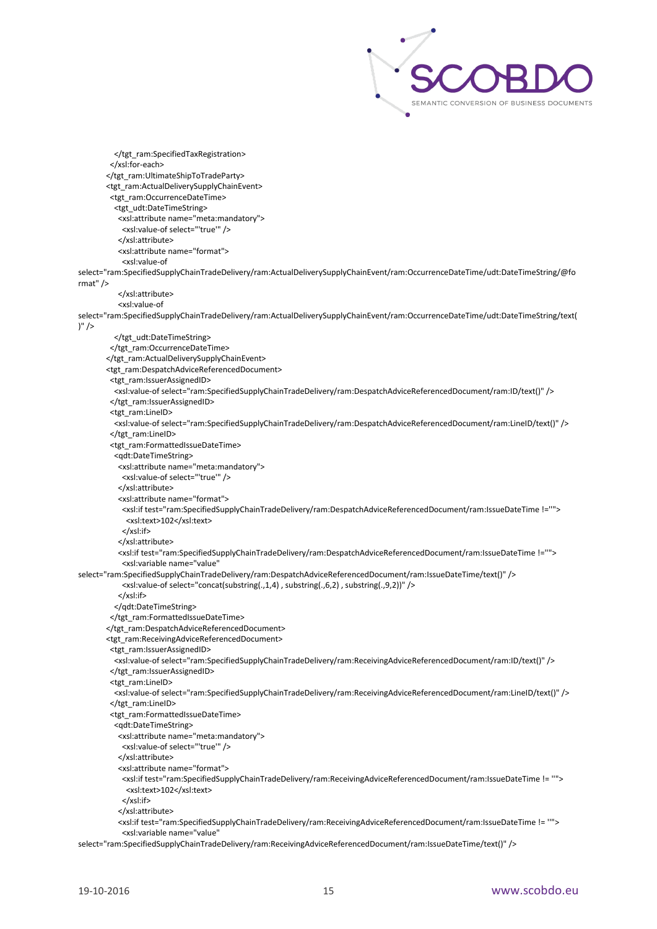

 </tgt\_ram:SpecifiedTaxRegistration> </xsl:for-each> </tgt\_ram:UltimateShipToTradeParty> <tgt\_ram:ActualDeliverySupplyChainEvent> <tgt\_ram:OccurrenceDateTime> <tgt\_udt:DateTimeString> <xsl:attribute name="meta:mandatory"> <xsl:value-of select="'true'" /> </xsl:attribute> <xsl:attribute name="format"> <xsl:value-of select="ram:SpecifiedSupplyChainTradeDelivery/ram:ActualDeliverySupplyChainEvent/ram:OccurrenceDateTime/udt:DateTimeString/@fo rmat" /> </xsl:attribute> <xsl:value-of select="ram:SpecifiedSupplyChainTradeDelivery/ram:ActualDeliverySupplyChainEvent/ram:OccurrenceDateTime/udt:DateTimeString/text(  $)'$  /> </tgt\_udt:DateTimeString> </tgt\_ram:OccurrenceDateTime> </tgt\_ram:ActualDeliverySupplyChainEvent> <tgt\_ram:DespatchAdviceReferencedDocument> <tgt\_ram:IssuerAssignedID> <xsl:value-of select="ram:SpecifiedSupplyChainTradeDelivery/ram:DespatchAdviceReferencedDocument/ram:ID/text()" /> </tgt\_ram:IssuerAssignedID> <tgt\_ram:LineID> <xsl:value-of select="ram:SpecifiedSupplyChainTradeDelivery/ram:DespatchAdviceReferencedDocument/ram:LineID/text()" /> </tgt\_ram:LineID> <tgt\_ram:FormattedIssueDateTime> <qdt:DateTimeString> <xsl:attribute name="meta:mandatory"> <xsl:value-of select="'true'" /> </xsl:attribute> <xsl:attribute name="format"> <xsl:if test="ram:SpecifiedSupplyChainTradeDelivery/ram:DespatchAdviceReferencedDocument/ram:IssueDateTime !=''"> <xsl:text>102</xsl:text> </xsl:if> </xsl:attribute> <xsl:if test="ram:SpecifiedSupplyChainTradeDelivery/ram:DespatchAdviceReferencedDocument/ram:IssueDateTime !=''"> <xsl:variable name="value" select="ram:SpecifiedSupplyChainTradeDelivery/ram:DespatchAdviceReferencedDocument/ram:IssueDateTime/text()" /> <xsl:value-of select="concat(substring(.,1,4) , substring(.,6,2) , substring(.,9,2))" /> </xsl:if> </qdt:DateTimeString> </tgt\_ram:FormattedIssueDateTime> </tgt\_ram:DespatchAdviceReferencedDocument> <tgt\_ram:ReceivingAdviceReferencedDocument> <tgt\_ram:IssuerAssignedID> <xsl:value-of select="ram:SpecifiedSupplyChainTradeDelivery/ram:ReceivingAdviceReferencedDocument/ram:ID/text()" /> </tgt\_ram:IssuerAssignedID> <tgt\_ram:LineID>

 <xsl:value-of select="ram:SpecifiedSupplyChainTradeDelivery/ram:ReceivingAdviceReferencedDocument/ram:LineID/text()" /> </tgt\_ram:LineID>

<tgt\_ram:FormattedIssueDateTime>

<qdt:DateTimeString>

<xsl:attribute name="meta:mandatory">

<xsl:value-of select="'true'" />

</xsl:attribute>

<xsl:attribute name="format">

 <xsl:if test="ram:SpecifiedSupplyChainTradeDelivery/ram:ReceivingAdviceReferencedDocument/ram:IssueDateTime != ''"> <xsl:text>102</xsl:text>

</xsl:if>

</xsl:attribute>

 <xsl:if test="ram:SpecifiedSupplyChainTradeDelivery/ram:ReceivingAdviceReferencedDocument/ram:IssueDateTime != ''"> <xsl:variable name="value"

select="ram:SpecifiedSupplyChainTradeDelivery/ram:ReceivingAdviceReferencedDocument/ram:IssueDateTime/text()" />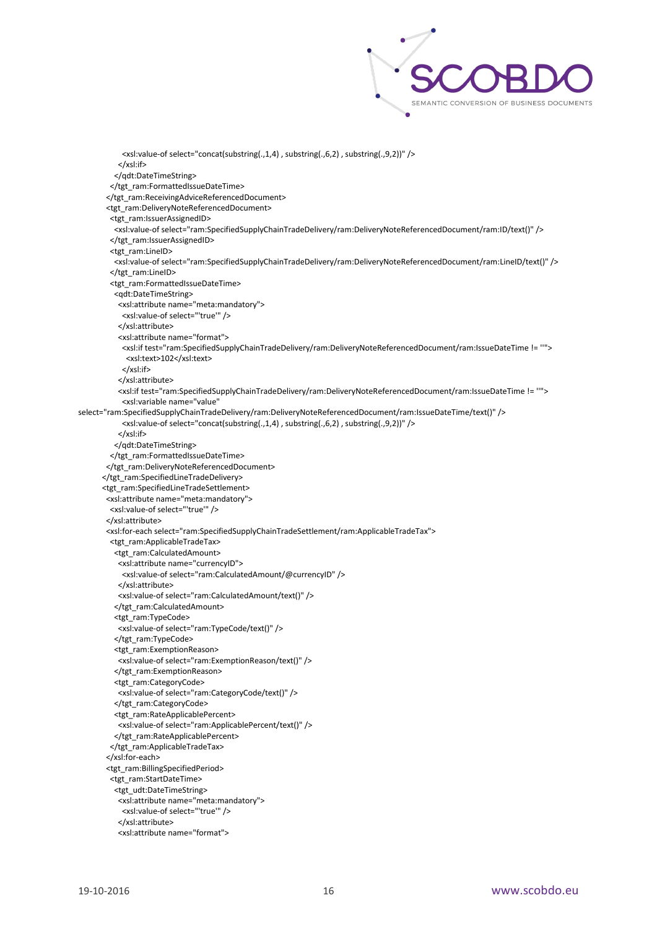

 <xsl:value-of select="concat(substring(.,1,4) , substring(.,6,2) , substring(.,9,2))" /> </xsl:if> </qdt:DateTimeString> </tgt\_ram:FormattedIssueDateTime> </tgt\_ram:ReceivingAdviceReferencedDocument> <tgt\_ram:DeliveryNoteReferencedDocument> <tgt\_ram:IssuerAssignedID> <xsl:value-of select="ram:SpecifiedSupplyChainTradeDelivery/ram:DeliveryNoteReferencedDocument/ram:ID/text()" /> </tgt\_ram:IssuerAssignedID> <tgt\_ram:LineID> <xsl:value-of select="ram:SpecifiedSupplyChainTradeDelivery/ram:DeliveryNoteReferencedDocument/ram:LineID/text()" /> </tgt\_ram:LineID> <tgt\_ram:FormattedIssueDateTime> <qdt:DateTimeString> <xsl:attribute name="meta:mandatory"> <xsl:value-of select="'true'" /> </xsl:attribute> <xsl:attribute name="format"> <xsl:if test="ram:SpecifiedSupplyChainTradeDelivery/ram:DeliveryNoteReferencedDocument/ram:IssueDateTime != ''"> <xsl:text>102</xsl:text> </xsl:if> </xsl:attribute> <xsl:if test="ram:SpecifiedSupplyChainTradeDelivery/ram:DeliveryNoteReferencedDocument/ram:IssueDateTime != ''"> <xsl:variable name="value" select="ram:SpecifiedSupplyChainTradeDelivery/ram:DeliveryNoteReferencedDocument/ram:IssueDateTime/text()" /> <xsl:value-of select="concat(substring(.,1,4) , substring(.,6,2) , substring(.,9,2))" /> </xsl:if> </qdt:DateTimeString> </tgt\_ram:FormattedIssueDateTime> </tgt\_ram:DeliveryNoteReferencedDocument> </tgt\_ram:SpecifiedLineTradeDelivery> <tgt\_ram:SpecifiedLineTradeSettlement> <xsl:attribute name="meta:mandatory"> <xsl:value-of select="'true'" /> </xsl:attribute> <xsl:for-each select="ram:SpecifiedSupplyChainTradeSettlement/ram:ApplicableTradeTax"> <tgt\_ram:ApplicableTradeTax> <tgt\_ram:CalculatedAmount> <xsl:attribute name="currencyID"> <xsl:value-of select="ram:CalculatedAmount/@currencyID" /> </xsl:attribute> <xsl:value-of select="ram:CalculatedAmount/text()" /> </tgt\_ram:CalculatedAmount> <tgt\_ram:TypeCode> <xsl:value-of select="ram:TypeCode/text()" /> </tgt\_ram:TypeCode> <tgt\_ram:ExemptionReason> <xsl:value-of select="ram:ExemptionReason/text()" /> </tgt\_ram:ExemptionReason> <tgt\_ram:CategoryCode> <xsl:value-of select="ram:CategoryCode/text()" /> </tgt\_ram:CategoryCode> <tgt\_ram:RateApplicablePercent> <xsl:value-of select="ram:ApplicablePercent/text()" /> </tgt\_ram:RateApplicablePercent> </tgt\_ram:ApplicableTradeTax> </xsl:for-each> <tgt\_ram:BillingSpecifiedPeriod> <tgt\_ram:StartDateTime> <tgt\_udt:DateTimeString> <xsl:attribute name="meta:mandatory"> <xsl:value-of select="'true'" /> </xsl:attribute> <xsl:attribute name="format">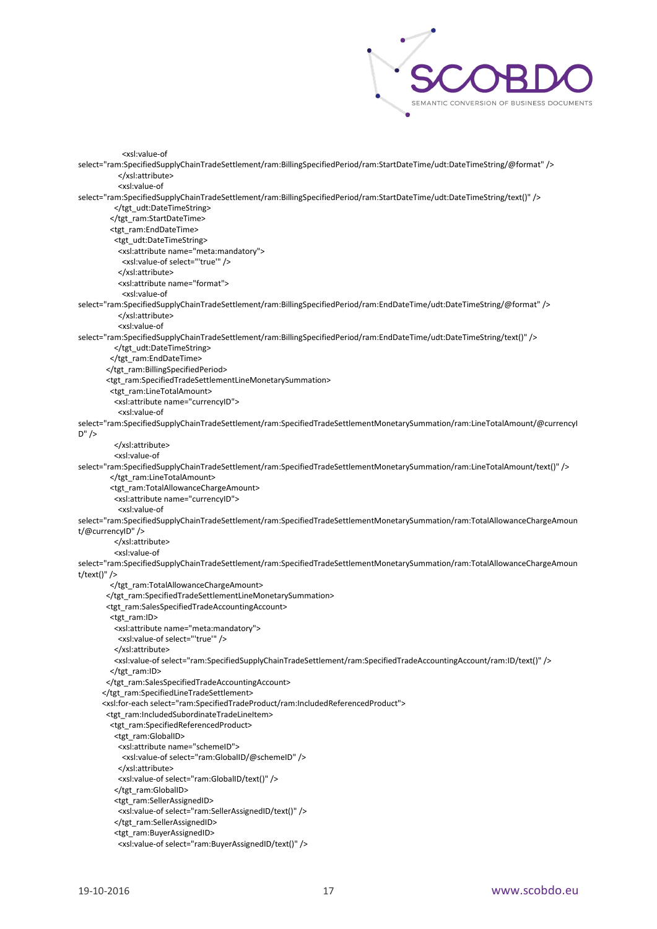

 <xsl:value-of select="ram:SpecifiedSupplyChainTradeSettlement/ram:BillingSpecifiedPeriod/ram:StartDateTime/udt:DateTimeString/@format" /> </xsl:attribute> <xsl:value-of select="ram:SpecifiedSupplyChainTradeSettlement/ram:BillingSpecifiedPeriod/ram:StartDateTime/udt:DateTimeString/text()" /> </tgt\_udt:DateTimeString> </tgt\_ram:StartDateTime> <tgt\_ram:EndDateTime> <tgt\_udt:DateTimeString> <xsl:attribute name="meta:mandatory"> <xsl:value-of select="'true'" /> </xsl:attribute> <xsl:attribute name="format"> <xsl:value-of select="ram:SpecifiedSupplyChainTradeSettlement/ram:BillingSpecifiedPeriod/ram:EndDateTime/udt:DateTimeString/@format" /> </xsl:attribute> <xsl:value-of select="ram:SpecifiedSupplyChainTradeSettlement/ram:BillingSpecifiedPeriod/ram:EndDateTime/udt:DateTimeString/text()" /> </tgt\_udt:DateTimeString> </tgt\_ram:EndDateTime> </tgt\_ram:BillingSpecifiedPeriod> <tgt\_ram:SpecifiedTradeSettlementLineMonetarySummation> <tgt\_ram:LineTotalAmount> <xsl:attribute name="currencyID"> <xsl:value-of select="ram:SpecifiedSupplyChainTradeSettlement/ram:SpecifiedTradeSettlementMonetarySummation/ram:LineTotalAmount/@currencyI  $D''$  /> </xsl:attribute> <xsl:value-of select="ram:SpecifiedSupplyChainTradeSettlement/ram:SpecifiedTradeSettlementMonetarySummation/ram:LineTotalAmount/text()" /> </tgt\_ram:LineTotalAmount> <tgt\_ram:TotalAllowanceChargeAmount> <xsl:attribute name="currencyID"> <xsl:value-of select="ram:SpecifiedSupplyChainTradeSettlement/ram:SpecifiedTradeSettlementMonetarySummation/ram:TotalAllowanceChargeAmoun t/@currencyID" /> </xsl:attribute> <xsl:value-of select="ram:SpecifiedSupplyChainTradeSettlement/ram:SpecifiedTradeSettlementMonetarySummation/ram:TotalAllowanceChargeAmoun t/text()" /> </tgt\_ram:TotalAllowanceChargeAmount> </tgt\_ram:SpecifiedTradeSettlementLineMonetarySummation> <tgt\_ram:SalesSpecifiedTradeAccountingAccount> <tgt\_ram:ID> <xsl:attribute name="meta:mandatory"> <xsl:value-of select="'true'" /> </xsl:attribute> <xsl:value-of select="ram:SpecifiedSupplyChainTradeSettlement/ram:SpecifiedTradeAccountingAccount/ram:ID/text()" /> </tgt\_ram:ID> </tgt\_ram:SalesSpecifiedTradeAccountingAccount> </tgt\_ram:SpecifiedLineTradeSettlement> <xsl:for-each select="ram:SpecifiedTradeProduct/ram:IncludedReferencedProduct"> <tgt\_ram:IncludedSubordinateTradeLineItem> <tgt\_ram:SpecifiedReferencedProduct> <tgt\_ram:GlobalID> <xsl:attribute name="schemeID"> <xsl:value-of select="ram:GlobalID/@schemeID" /> </xsl:attribute> <xsl:value-of select="ram:GlobalID/text()" /> </tgt\_ram:GlobalID> <tgt\_ram:SellerAssignedID> <xsl:value-of select="ram:SellerAssignedID/text()" /> </tgt\_ram:SellerAssignedID> <tgt\_ram:BuyerAssignedID> <xsl:value-of select="ram:BuyerAssignedID/text()" />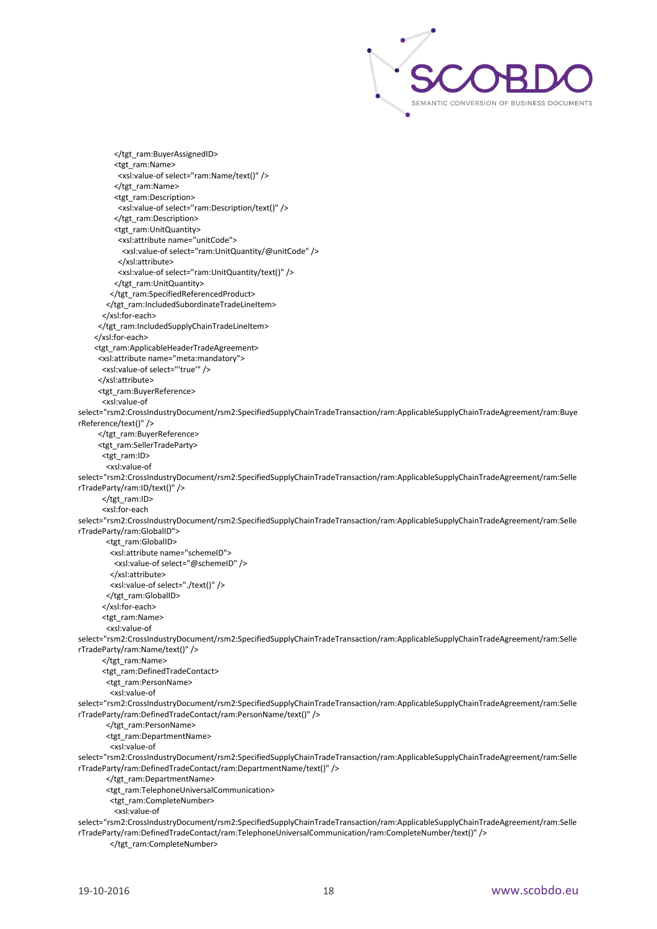

 </tgt\_ram:BuyerAssignedID> <tgt\_ram:Name> <xsl:value-of select="ram:Name/text()" /> </tgt\_ram:Name> <tgt\_ram:Description> <xsl:value-of select="ram:Description/text()" /> </tgt\_ram:Description> <tgt\_ram:UnitQuantity> <xsl:attribute name="unitCode"> <xsl:value-of select="ram:UnitQuantity/@unitCode" /> </xsl:attribute> <xsl:value-of select="ram:UnitQuantity/text()" /> </tgt\_ram:UnitQuantity> </tgt\_ram:SpecifiedReferencedProduct> </tgt\_ram:IncludedSubordinateTradeLineItem> </xsl:for-each> </tgt\_ram:IncludedSupplyChainTradeLineItem> </xsl:for-each> <tgt\_ram:ApplicableHeaderTradeAgreement> <xsl:attribute name="meta:mandatory"> <xsl:value-of select="'true'" /> </xsl:attribute> <tgt\_ram:BuyerReference> <xsl:value-of select="rsm2:CrossIndustryDocument/rsm2:SpecifiedSupplyChainTradeTransaction/ram:ApplicableSupplyChainTradeAgreement/ram:Buye rReference/text()" /> </tgt\_ram:BuyerReference> <tgt\_ram:SellerTradeParty> <tgt\_ram:ID> <xsl:value-of select="rsm2:CrossIndustryDocument/rsm2:SpecifiedSupplyChainTradeTransaction/ram:ApplicableSupplyChainTradeAgreement/ram:Selle rTradeParty/ram:ID/text()" /> </tgt\_ram:ID> <xsl:for-each select="rsm2:CrossIndustryDocument/rsm2:SpecifiedSupplyChainTradeTransaction/ram:ApplicableSupplyChainTradeAgreement/ram:Selle rTradeParty/ram:GlobalID"> <tgt\_ram:GlobalID> <xsl:attribute name="schemeID"> <xsl:value-of select="@schemeID" /> </xsl:attribute> <xsl:value-of select="./text()" /> </tgt\_ram:GlobalID> </xsl:for-each> <tgt\_ram:Name> <xsl:value-of select="rsm2:CrossIndustryDocument/rsm2:SpecifiedSupplyChainTradeTransaction/ram:ApplicableSupplyChainTradeAgreement/ram:Selle rTradeParty/ram:Name/text()" /> </tgt\_ram:Name> <tgt\_ram:DefinedTradeContact> <tgt\_ram:PersonName> <xsl:value-of select="rsm2:CrossIndustryDocument/rsm2:SpecifiedSupplyChainTradeTransaction/ram:ApplicableSupplyChainTradeAgreement/ram:Selle rTradeParty/ram:DefinedTradeContact/ram:PersonName/text()" /> </tgt\_ram:PersonName> <tgt\_ram:DepartmentName> <xsl:value-of select="rsm2:CrossIndustryDocument/rsm2:SpecifiedSupplyChainTradeTransaction/ram:ApplicableSupplyChainTradeAgreement/ram:Selle rTradeParty/ram:DefinedTradeContact/ram:DepartmentName/text()" /> </tgt\_ram:DepartmentName> <tgt\_ram:TelephoneUniversalCommunication> <tgt\_ram:CompleteNumber> <xsl:value-of select="rsm2:CrossIndustryDocument/rsm2:SpecifiedSupplyChainTradeTransaction/ram:ApplicableSupplyChainTradeAgreement/ram:Selle rTradeParty/ram:DefinedTradeContact/ram:TelephoneUniversalCommunication/ram:CompleteNumber/text()" />

</tgt\_ram:CompleteNumber>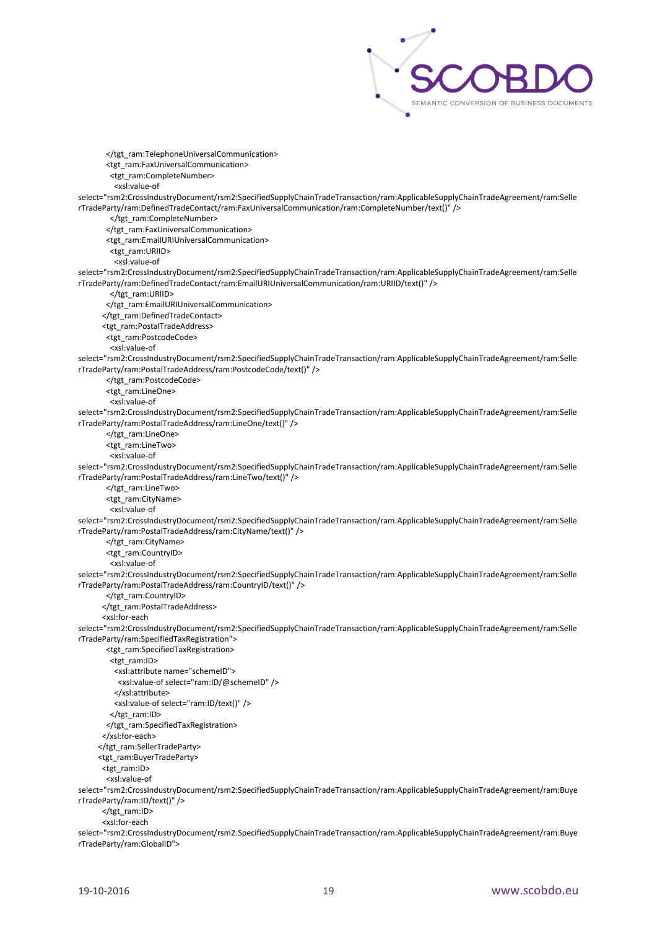

</tgt\_ram:TelephoneUniversalCommunication> <tgt\_ram:FaxUniversalCommunication> <tgt\_ram:CompleteNumber> <xsl:value-of select="rsm2:CrossIndustryDocument/rsm2:SpecifiedSupplyChainTradeTransaction/ram:ApplicableSupplyChainTradeAgreement/ram:Selle rTradeParty/ram:DefinedTradeContact/ram:FaxUniversalCommunication/ram:CompleteNumber/text()" /> </tgt\_ram:CompleteNumber> </tgt\_ram:FaxUniversalCommunication> <tgt\_ram:EmailURIUniversalCommunication> <tgt\_ram:URIID> <xsl:value-of select="rsm2:CrossIndustryDocument/rsm2:SpecifiedSupplyChainTradeTransaction/ram:ApplicableSupplyChainTradeAgreement/ram:Selle rTradeParty/ram:DefinedTradeContact/ram:EmailURIUniversalCommunication/ram:URIID/text()" /> </tgt\_ram:URIID> </tgt\_ram:EmailURIUniversalCommunication> </tgt\_ram:DefinedTradeContact> <tgt\_ram:PostalTradeAddress> <tgt\_ram:PostcodeCode> <xsl:value-of select="rsm2:CrossIndustryDocument/rsm2:SpecifiedSupplyChainTradeTransaction/ram:ApplicableSupplyChainTradeAgreement/ram:Selle rTradeParty/ram:PostalTradeAddress/ram:PostcodeCode/text()" /> </tgt\_ram:PostcodeCode> <tgt\_ram:LineOne> <xsl:value-of select="rsm2:CrossIndustryDocument/rsm2:SpecifiedSupplyChainTradeTransaction/ram:ApplicableSupplyChainTradeAgreement/ram:Selle rTradeParty/ram:PostalTradeAddress/ram:LineOne/text()" /> </tgt\_ram:LineOne> <tgt\_ram:LineTwo> <xsl:value-of select="rsm2:CrossIndustryDocument/rsm2:SpecifiedSupplyChainTradeTransaction/ram:ApplicableSupplyChainTradeAgreement/ram:Selle rTradeParty/ram:PostalTradeAddress/ram:LineTwo/text()" /> </tgt\_ram:LineTwo> <tgt\_ram:CityName> <xsl:value-of select="rsm2:CrossIndustryDocument/rsm2:SpecifiedSupplyChainTradeTransaction/ram:ApplicableSupplyChainTradeAgreement/ram:Selle rTradeParty/ram:PostalTradeAddress/ram:CityName/text()" /> </tgt\_ram:CityName> <tgt\_ram:CountryID> <xsl:value-of select="rsm2:CrossIndustryDocument/rsm2:SpecifiedSupplyChainTradeTransaction/ram:ApplicableSupplyChainTradeAgreement/ram:Selle rTradeParty/ram:PostalTradeAddress/ram:CountryID/text()" /> </tgt\_ram:CountryID> </tgt\_ram:PostalTradeAddress> <xsl:for-each select="rsm2:CrossIndustryDocument/rsm2:SpecifiedSupplyChainTradeTransaction/ram:ApplicableSupplyChainTradeAgreement/ram:Selle rTradeParty/ram:SpecifiedTaxRegistration"> <tgt\_ram:SpecifiedTaxRegistration> <tgt\_ram:ID> <xsl:attribute name="schemeID"> <xsl:value-of select="ram:ID/@schemeID" /> </xsl:attribute> <xsl:value-of select="ram:ID/text()" /> </tgt\_ram:ID> </tgt\_ram:SpecifiedTaxRegistration> </xsl:for-each> </tgt\_ram:SellerTradeParty> <tgt\_ram:BuyerTradeParty> <tgt\_ram:ID> <xsl:value-of select="rsm2:CrossIndustryDocument/rsm2:SpecifiedSupplyChainTradeTransaction/ram:ApplicableSupplyChainTradeAgreement/ram:Buye rTradeParty/ram:ID/text()" /> </tgt\_ram:ID> <xsl:for-each select="rsm2:CrossIndustryDocument/rsm2:SpecifiedSupplyChainTradeTransaction/ram:ApplicableSupplyChainTradeAgreement/ram:Buye rTradeParty/ram:GlobalID">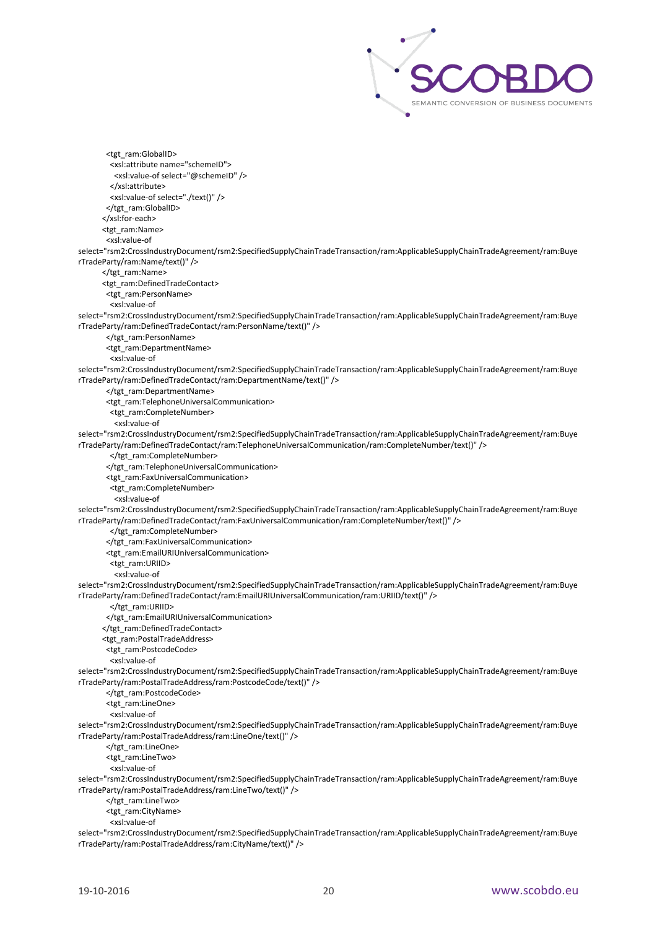

 <tgt\_ram:GlobalID> <xsl:attribute name="schemeID"> <xsl:value-of select="@schemeID" /> </xsl:attribute> <xsl:value-of select="./text()" /> </tgt\_ram:GlobalID> </xsl:for-each> <tgt\_ram:Name> <xsl:value-of select="rsm2:CrossIndustryDocument/rsm2:SpecifiedSupplyChainTradeTransaction/ram:ApplicableSupplyChainTradeAgreement/ram:Buye rTradeParty/ram:Name/text()" /> </tgt\_ram:Name> <tgt\_ram:DefinedTradeContact> <tgt\_ram:PersonName> <xsl:value-of select="rsm2:CrossIndustryDocument/rsm2:SpecifiedSupplyChainTradeTransaction/ram:ApplicableSupplyChainTradeAgreement/ram:Buye rTradeParty/ram:DefinedTradeContact/ram:PersonName/text()" /> </tgt\_ram:PersonName> <tgt\_ram:DepartmentName> <xsl:value-of select="rsm2:CrossIndustryDocument/rsm2:SpecifiedSupplyChainTradeTransaction/ram:ApplicableSupplyChainTradeAgreement/ram:Buye rTradeParty/ram:DefinedTradeContact/ram:DepartmentName/text()" /> </tgt\_ram:DepartmentName> <tgt\_ram:TelephoneUniversalCommunication> <tgt\_ram:CompleteNumber> <xsl:value-of select="rsm2:CrossIndustryDocument/rsm2:SpecifiedSupplyChainTradeTransaction/ram:ApplicableSupplyChainTradeAgreement/ram:Buye rTradeParty/ram:DefinedTradeContact/ram:TelephoneUniversalCommunication/ram:CompleteNumber/text()" /> </tgt\_ram:CompleteNumber> </tgt\_ram:TelephoneUniversalCommunication> <tgt\_ram:FaxUniversalCommunication> <tgt\_ram:CompleteNumber> <xsl:value-of select="rsm2:CrossIndustryDocument/rsm2:SpecifiedSupplyChainTradeTransaction/ram:ApplicableSupplyChainTradeAgreement/ram:Buye rTradeParty/ram:DefinedTradeContact/ram:FaxUniversalCommunication/ram:CompleteNumber/text()" /> </tgt\_ram:CompleteNumber> </tgt\_ram:FaxUniversalCommunication> <tgt\_ram:EmailURIUniversalCommunication> <tgt\_ram:URIID> <xsl:value-of select="rsm2:CrossIndustryDocument/rsm2:SpecifiedSupplyChainTradeTransaction/ram:ApplicableSupplyChainTradeAgreement/ram:Buye rTradeParty/ram:DefinedTradeContact/ram:EmailURIUniversalCommunication/ram:URIID/text()" /> </tgt\_ram:URIID> </tgt\_ram:EmailURIUniversalCommunication> </tgt\_ram:DefinedTradeContact> <tgt\_ram:PostalTradeAddress> <tgt\_ram:PostcodeCode> <xsl:value-of select="rsm2:CrossIndustryDocument/rsm2:SpecifiedSupplyChainTradeTransaction/ram:ApplicableSupplyChainTradeAgreement/ram:Buye rTradeParty/ram:PostalTradeAddress/ram:PostcodeCode/text()" /> </tgt\_ram:PostcodeCode> <tgt\_ram:LineOne> <xsl:value-of select="rsm2:CrossIndustryDocument/rsm2:SpecifiedSupplyChainTradeTransaction/ram:ApplicableSupplyChainTradeAgreement/ram:Buye rTradeParty/ram:PostalTradeAddress/ram:LineOne/text()" /> </tgt\_ram:LineOne> <tgt\_ram:LineTwo> <xsl:value-of select="rsm2:CrossIndustryDocument/rsm2:SpecifiedSupplyChainTradeTransaction/ram:ApplicableSupplyChainTradeAgreement/ram:Buye rTradeParty/ram:PostalTradeAddress/ram:LineTwo/text()" /> </tgt\_ram:LineTwo> <tgt\_ram:CityName> <xsl:value-of select="rsm2:CrossIndustryDocument/rsm2:SpecifiedSupplyChainTradeTransaction/ram:ApplicableSupplyChainTradeAgreement/ram:Buye rTradeParty/ram:PostalTradeAddress/ram:CityName/text()" />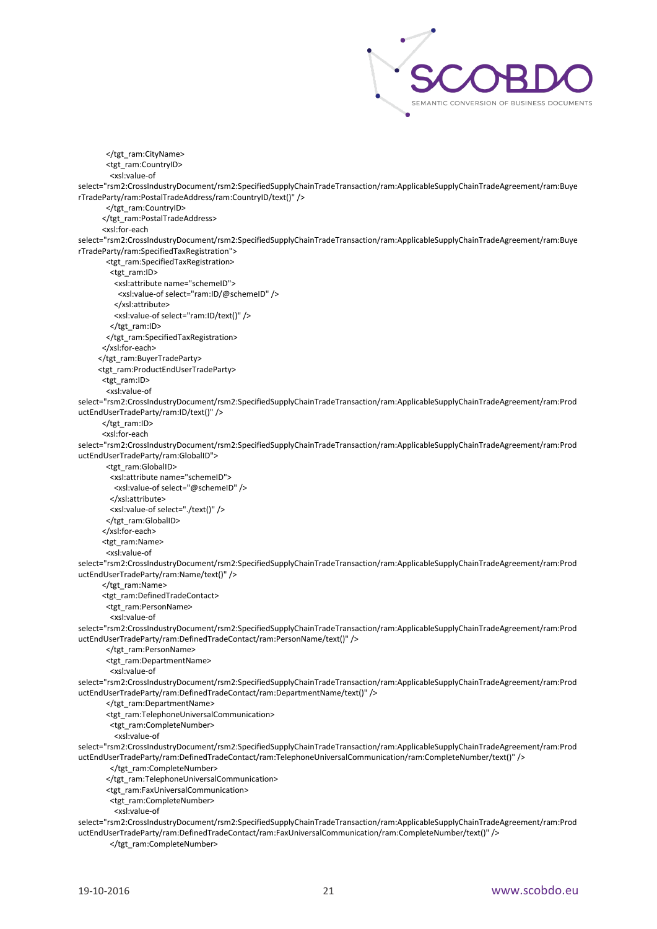

 </tgt\_ram:CityName> <tgt\_ram:CountryID> <xsl:value-of select="rsm2:CrossIndustryDocument/rsm2:SpecifiedSupplyChainTradeTransaction/ram:ApplicableSupplyChainTradeAgreement/ram:Buye rTradeParty/ram:PostalTradeAddress/ram:CountryID/text()" /> </tgt\_ram:CountryID> </tgt\_ram:PostalTradeAddress> <xsl:for-each select="rsm2:CrossIndustryDocument/rsm2:SpecifiedSupplyChainTradeTransaction/ram:ApplicableSupplyChainTradeAgreement/ram:Buye rTradeParty/ram:SpecifiedTaxRegistration"> <tgt\_ram:SpecifiedTaxRegistration> <tgt\_ram:ID> <xsl:attribute name="schemeID"> <xsl:value-of select="ram:ID/@schemeID" /> </xsl:attribute> <xsl:value-of select="ram:ID/text()" /> </tgt\_ram:ID> </tgt\_ram:SpecifiedTaxRegistration> </xsl:for-each> </tgt\_ram:BuyerTradeParty> <tgt\_ram:ProductEndUserTradeParty> <tgt\_ram:ID> <xsl:value-of select="rsm2:CrossIndustryDocument/rsm2:SpecifiedSupplyChainTradeTransaction/ram:ApplicableSupplyChainTradeAgreement/ram:Prod uctEndUserTradeParty/ram:ID/text()" /> </tgt\_ram:ID> <xsl:for-each select="rsm2:CrossIndustryDocument/rsm2:SpecifiedSupplyChainTradeTransaction/ram:ApplicableSupplyChainTradeAgreement/ram:Prod uctEndUserTradeParty/ram:GlobalID"> <tgt\_ram:GlobalID> <xsl:attribute name="schemeID"> <xsl:value-of select="@schemeID" /> </xsl:attribute> <xsl:value-of select="./text()" /> </tgt\_ram:GlobalID> </xsl:for-each> <tgt\_ram:Name> <xsl:value-of select="rsm2:CrossIndustryDocument/rsm2:SpecifiedSupplyChainTradeTransaction/ram:ApplicableSupplyChainTradeAgreement/ram:Prod uctEndUserTradeParty/ram:Name/text()" /> </tgt\_ram:Name> <tgt\_ram:DefinedTradeContact> <tgt\_ram:PersonName> <xsl:value-of select="rsm2:CrossIndustryDocument/rsm2:SpecifiedSupplyChainTradeTransaction/ram:ApplicableSupplyChainTradeAgreement/ram:Prod uctEndUserTradeParty/ram:DefinedTradeContact/ram:PersonName/text()" /> </tgt\_ram:PersonName> <tgt\_ram:DepartmentName> <xsl:value-of select="rsm2:CrossIndustryDocument/rsm2:SpecifiedSupplyChainTradeTransaction/ram:ApplicableSupplyChainTradeAgreement/ram:Prod uctEndUserTradeParty/ram:DefinedTradeContact/ram:DepartmentName/text()" /> </tgt\_ram:DepartmentName> <tgt\_ram:TelephoneUniversalCommunication> <tgt\_ram:CompleteNumber> <xsl:value-of select="rsm2:CrossIndustryDocument/rsm2:SpecifiedSupplyChainTradeTransaction/ram:ApplicableSupplyChainTradeAgreement/ram:Prod uctEndUserTradeParty/ram:DefinedTradeContact/ram:TelephoneUniversalCommunication/ram:CompleteNumber/text()" /> </tgt\_ram:CompleteNumber> </tgt\_ram:TelephoneUniversalCommunication> <tgt\_ram:FaxUniversalCommunication> <tgt\_ram:CompleteNumber> <xsl:value-of select="rsm2:CrossIndustryDocument/rsm2:SpecifiedSupplyChainTradeTransaction/ram:ApplicableSupplyChainTradeAgreement/ram:Prod uctEndUserTradeParty/ram:DefinedTradeContact/ram:FaxUniversalCommunication/ram:CompleteNumber/text()" />

</tgt\_ram:CompleteNumber>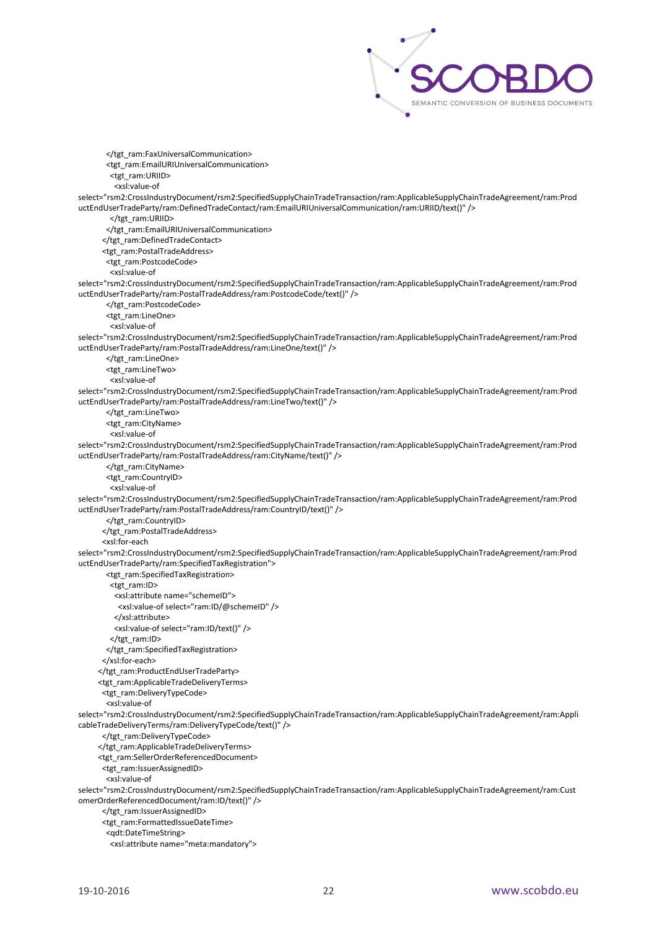

 </tgt\_ram:FaxUniversalCommunication> <tgt\_ram:EmailURIUniversalCommunication> <tgt\_ram:URIID> <xsl:value-of select="rsm2:CrossIndustryDocument/rsm2:SpecifiedSupplyChainTradeTransaction/ram:ApplicableSupplyChainTradeAgreement/ram:Prod uctEndUserTradeParty/ram:DefinedTradeContact/ram:EmailURIUniversalCommunication/ram:URIID/text()" /> </tgt\_ram:URIID> </tgt\_ram:EmailURIUniversalCommunication> </tgt\_ram:DefinedTradeContact> <tgt\_ram:PostalTradeAddress> <tgt\_ram:PostcodeCode> <xsl:value-of select="rsm2:CrossIndustryDocument/rsm2:SpecifiedSupplyChainTradeTransaction/ram:ApplicableSupplyChainTradeAgreement/ram:Prod uctEndUserTradeParty/ram:PostalTradeAddress/ram:PostcodeCode/text()" /> </tgt\_ram:PostcodeCode> <tgt\_ram:LineOne> <xsl:value-of select="rsm2:CrossIndustryDocument/rsm2:SpecifiedSupplyChainTradeTransaction/ram:ApplicableSupplyChainTradeAgreement/ram:Prod uctEndUserTradeParty/ram:PostalTradeAddress/ram:LineOne/text()" /> </tgt\_ram:LineOne> <tgt\_ram:LineTwo> <xsl:value-of select="rsm2:CrossIndustryDocument/rsm2:SpecifiedSupplyChainTradeTransaction/ram:ApplicableSupplyChainTradeAgreement/ram:Prod uctEndUserTradeParty/ram:PostalTradeAddress/ram:LineTwo/text()" /> </tgt\_ram:LineTwo> <tgt\_ram:CityName> <xsl:value-of select="rsm2:CrossIndustryDocument/rsm2:SpecifiedSupplyChainTradeTransaction/ram:ApplicableSupplyChainTradeAgreement/ram:Prod uctEndUserTradeParty/ram:PostalTradeAddress/ram:CityName/text()" /> </tgt\_ram:CityName> <tgt\_ram:CountryID> <xsl:value-of select="rsm2:CrossIndustryDocument/rsm2:SpecifiedSupplyChainTradeTransaction/ram:ApplicableSupplyChainTradeAgreement/ram:Prod uctEndUserTradeParty/ram:PostalTradeAddress/ram:CountryID/text()" /> </tgt\_ram:CountryID> </tgt\_ram:PostalTradeAddress> <xsl:for-each select="rsm2:CrossIndustryDocument/rsm2:SpecifiedSupplyChainTradeTransaction/ram:ApplicableSupplyChainTradeAgreement/ram:Prod uctEndUserTradeParty/ram:SpecifiedTaxRegistration"> <tgt\_ram:SpecifiedTaxRegistration> <tgt\_ram:ID> <xsl:attribute name="schemeID"> <xsl:value-of select="ram:ID/@schemeID" /> </xsl:attribute> <xsl:value-of select="ram:ID/text()" /> </tgt\_ram:ID> </tgt\_ram:SpecifiedTaxRegistration> </xsl:for-each> </tgt\_ram:ProductEndUserTradeParty> <tgt\_ram:ApplicableTradeDeliveryTerms> <tgt\_ram:DeliveryTypeCode> <xsl:value-of select="rsm2:CrossIndustryDocument/rsm2:SpecifiedSupplyChainTradeTransaction/ram:ApplicableSupplyChainTradeAgreement/ram:Appli cableTradeDeliveryTerms/ram:DeliveryTypeCode/text()" /> </tgt\_ram:DeliveryTypeCode> </tgt\_ram:ApplicableTradeDeliveryTerms> <tgt\_ram:SellerOrderReferencedDocument> <tgt\_ram:IssuerAssignedID> <xsl:value-of select="rsm2:CrossIndustryDocument/rsm2:SpecifiedSupplyChainTradeTransaction/ram:ApplicableSupplyChainTradeAgreement/ram:Cust omerOrderReferencedDocument/ram:ID/text()" /> </tgt\_ram:IssuerAssignedID> <tgt\_ram:FormattedIssueDateTime> <qdt:DateTimeString> <xsl:attribute name="meta:mandatory">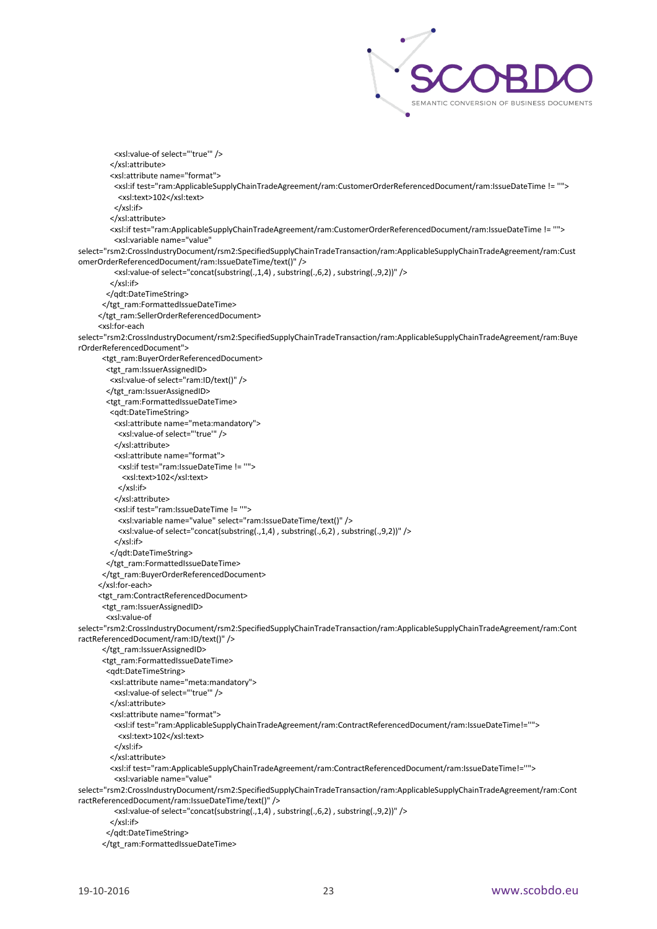

 <xsl:value-of select="'true'" /> </xsl:attribute> <xsl:attribute name="format"> <xsl:if test="ram:ApplicableSupplyChainTradeAgreement/ram:CustomerOrderReferencedDocument/ram:IssueDateTime != ''"> <xsl:text>102</xsl:text> </xsl:if> </xsl:attribute> <xsl:if test="ram:ApplicableSupplyChainTradeAgreement/ram:CustomerOrderReferencedDocument/ram:IssueDateTime != ''"> <xsl:variable name="value" select="rsm2:CrossIndustryDocument/rsm2:SpecifiedSupplyChainTradeTransaction/ram:ApplicableSupplyChainTradeAgreement/ram:Cust omerOrderReferencedDocument/ram:IssueDateTime/text()" /> <xsl:value-of select="concat(substring(.,1,4) , substring(.,6,2) , substring(.,9,2))" /> </xsl:if> </qdt:DateTimeString> </tgt\_ram:FormattedIssueDateTime> </tgt\_ram:SellerOrderReferencedDocument> <xsl:for-each select="rsm2:CrossIndustryDocument/rsm2:SpecifiedSupplyChainTradeTransaction/ram:ApplicableSupplyChainTradeAgreement/ram:Buye rOrderReferencedDocument"> <tgt\_ram:BuyerOrderReferencedDocument> <tgt\_ram:IssuerAssignedID> <xsl:value-of select="ram:ID/text()" /> </tgt\_ram:IssuerAssignedID> <tgt\_ram:FormattedIssueDateTime> <qdt:DateTimeString> <xsl:attribute name="meta:mandatory"> <xsl:value-of select="'true'" /> </xsl:attribute> <xsl:attribute name="format"> <xsl:if test="ram:IssueDateTime != ''"> <xsl:text>102</xsl:text> </xsl:if> </xsl:attribute> <xsl:if test="ram:IssueDateTime != ''"> <xsl:variable name="value" select="ram:IssueDateTime/text()" /> <xsl:value-of select="concat(substring(.,1,4) , substring(.,6,2) , substring(.,9,2))" /> </xsl:if> </qdt:DateTimeString> </tgt\_ram:FormattedIssueDateTime> </tgt\_ram:BuyerOrderReferencedDocument> </xsl:for-each> <tgt\_ram:ContractReferencedDocument> <tgt\_ram:IssuerAssignedID> <xsl:value-of select="rsm2:CrossIndustryDocument/rsm2:SpecifiedSupplyChainTradeTransaction/ram:ApplicableSupplyChainTradeAgreement/ram:Cont ractReferencedDocument/ram:ID/text()" /> </tgt\_ram:IssuerAssignedID> <tgt\_ram:FormattedIssueDateTime> <qdt:DateTimeString> <xsl:attribute name="meta:mandatory"> <xsl:value-of select="'true'" /> </xsl:attribute> <xsl:attribute name="format"> <xsl:if test="ram:ApplicableSupplyChainTradeAgreement/ram:ContractReferencedDocument/ram:IssueDateTime!=''"> <xsl:text>102</xsl:text> </xsl:if> </xsl:attribute> <xsl:if test="ram:ApplicableSupplyChainTradeAgreement/ram:ContractReferencedDocument/ram:IssueDateTime!=''"> <xsl:variable name="value" select="rsm2:CrossIndustryDocument/rsm2:SpecifiedSupplyChainTradeTransaction/ram:ApplicableSupplyChainTradeAgreement/ram:Cont ractReferencedDocument/ram:IssueDateTime/text()" /> <xsl:value-of select="concat(substring(.,1,4) , substring(.,6,2) , substring(.,9,2))" /> </xsl:if> </qdt:DateTimeString>

</tgt\_ram:FormattedIssueDateTime>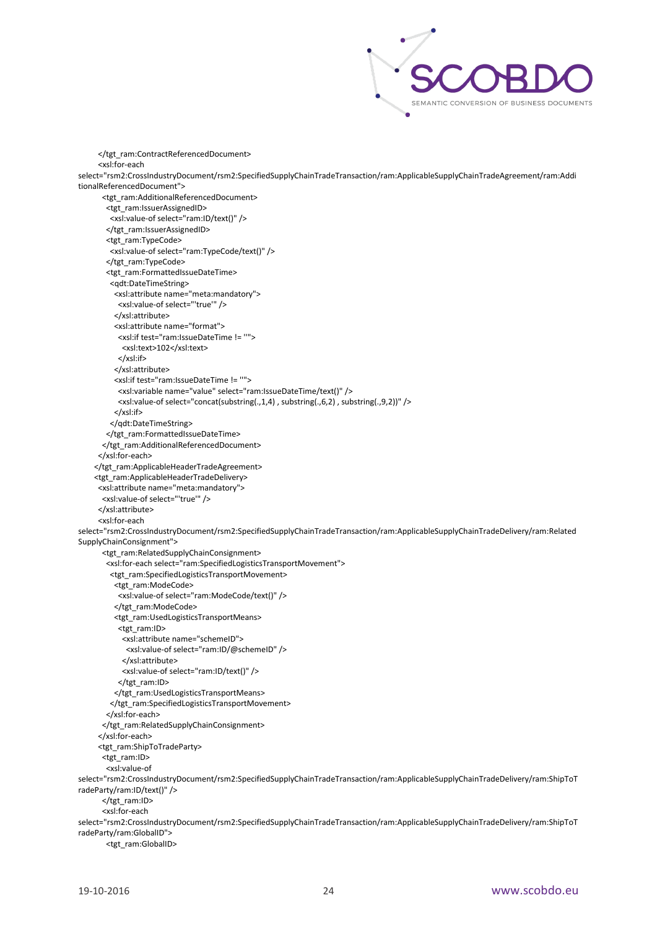

```
 </tgt_ram:ContractReferencedDocument>
      <xsl:for-each 
select="rsm2:CrossIndustryDocument/rsm2:SpecifiedSupplyChainTradeTransaction/ram:ApplicableSupplyChainTradeAgreement/ram:Addi
tionalReferencedDocument">
       <tgt_ram:AdditionalReferencedDocument>
        <tgt_ram:IssuerAssignedID>
         <xsl:value-of select="ram:ID/text()" />
        </tgt_ram:IssuerAssignedID>
        <tgt_ram:TypeCode>
         <xsl:value-of select="ram:TypeCode/text()" />
        </tgt_ram:TypeCode>
        <tgt_ram:FormattedIssueDateTime>
         <qdt:DateTimeString>
          <xsl:attribute name="meta:mandatory">
           <xsl:value-of select="'true'" />
          </xsl:attribute>
          <xsl:attribute name="format">
           <xsl:if test="ram:IssueDateTime != ''">
            <xsl:text>102</xsl:text>
           </xsl:if>
          </xsl:attribute>
          <xsl:if test="ram:IssueDateTime != ''">
           <xsl:variable name="value" select="ram:IssueDateTime/text()" />
           <xsl:value-of select="concat(substring(.,1,4) , substring(.,6,2) , substring(.,9,2))" />
          </xsl:if>
         </qdt:DateTimeString>
        </tgt_ram:FormattedIssueDateTime>
       </tgt_ram:AdditionalReferencedDocument>
      </xsl:for-each>
     </tgt_ram:ApplicableHeaderTradeAgreement>
     <tgt_ram:ApplicableHeaderTradeDelivery>
      <xsl:attribute name="meta:mandatory">
       <xsl:value-of select="'true'" />
      </xsl:attribute>
      <xsl:for-each 
select="rsm2:CrossIndustryDocument/rsm2:SpecifiedSupplyChainTradeTransaction/ram:ApplicableSupplyChainTradeDelivery/ram:Related
SupplyChainConsignment">
       <tgt_ram:RelatedSupplyChainConsignment>
        <xsl:for-each select="ram:SpecifiedLogisticsTransportMovement">
         <tgt_ram:SpecifiedLogisticsTransportMovement>
          <tgt_ram:ModeCode>
           <xsl:value-of select="ram:ModeCode/text()" />
          </tgt_ram:ModeCode>
          <tgt_ram:UsedLogisticsTransportMeans>
           <tgt_ram:ID>
             <xsl:attribute name="schemeID">
             <xsl:value-of select="ram:ID/@schemeID" />
             </xsl:attribute>
            <xsl:value-of select="ram:ID/text()" />
          </tgt_ram:ID>
          </tgt_ram:UsedLogisticsTransportMeans>
         </tgt_ram:SpecifiedLogisticsTransportMovement>
        </xsl:for-each>
       </tgt_ram:RelatedSupplyChainConsignment>
      </xsl:for-each>
      <tgt_ram:ShipToTradeParty>
       <tgt_ram:ID>
        <xsl:value-of 
select="rsm2:CrossIndustryDocument/rsm2:SpecifiedSupplyChainTradeTransaction/ram:ApplicableSupplyChainTradeDelivery/ram:ShipToT
radeParty/ram:ID/text()" />
      </tgt_ram:ID>
       <xsl:for-each 
select="rsm2:CrossIndustryDocument/rsm2:SpecifiedSupplyChainTradeTransaction/ram:ApplicableSupplyChainTradeDelivery/ram:ShipToT
radeParty/ram:GlobalID">
        <tgt_ram:GlobalID>
```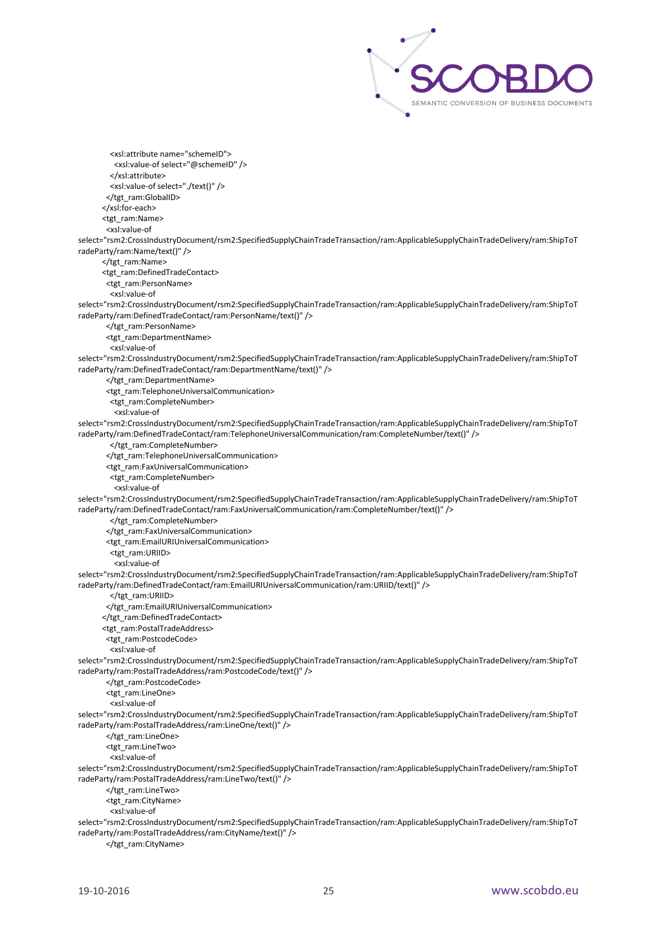

 <xsl:attribute name="schemeID"> <xsl:value-of select="@schemeID" /> </xsl:attribute> <xsl:value-of select="./text()" /> </tgt\_ram:GlobalID> </xsl:for-each> <tgt\_ram:Name> <xsl:value-of select="rsm2:CrossIndustryDocument/rsm2:SpecifiedSupplyChainTradeTransaction/ram:ApplicableSupplyChainTradeDelivery/ram:ShipToT radeParty/ram:Name/text()" /> </tgt\_ram:Name> <tgt\_ram:DefinedTradeContact> <tgt\_ram:PersonName> <xsl:value-of select="rsm2:CrossIndustryDocument/rsm2:SpecifiedSupplyChainTradeTransaction/ram:ApplicableSupplyChainTradeDelivery/ram:ShipToT radeParty/ram:DefinedTradeContact/ram:PersonName/text()" /> </tgt\_ram:PersonName> <tgt\_ram:DepartmentName> <xsl:value-of select="rsm2:CrossIndustryDocument/rsm2:SpecifiedSupplyChainTradeTransaction/ram:ApplicableSupplyChainTradeDelivery/ram:ShipToT radeParty/ram:DefinedTradeContact/ram:DepartmentName/text()" /> </tgt\_ram:DepartmentName> <tgt\_ram:TelephoneUniversalCommunication> <tgt\_ram:CompleteNumber> <xsl:value-of select="rsm2:CrossIndustryDocument/rsm2:SpecifiedSupplyChainTradeTransaction/ram:ApplicableSupplyChainTradeDelivery/ram:ShipToT radeParty/ram:DefinedTradeContact/ram:TelephoneUniversalCommunication/ram:CompleteNumber/text()" /> </tgt\_ram:CompleteNumber> </tgt\_ram:TelephoneUniversalCommunication> <tgt\_ram:FaxUniversalCommunication> <tgt\_ram:CompleteNumber> <xsl:value-of select="rsm2:CrossIndustryDocument/rsm2:SpecifiedSupplyChainTradeTransaction/ram:ApplicableSupplyChainTradeDelivery/ram:ShipToT radeParty/ram:DefinedTradeContact/ram:FaxUniversalCommunication/ram:CompleteNumber/text()" /> </tgt\_ram:CompleteNumber> </tgt\_ram:FaxUniversalCommunication> <tgt\_ram:EmailURIUniversalCommunication> <tgt\_ram:URIID> <xsl:value-of select="rsm2:CrossIndustryDocument/rsm2:SpecifiedSupplyChainTradeTransaction/ram:ApplicableSupplyChainTradeDelivery/ram:ShipToT radeParty/ram:DefinedTradeContact/ram:EmailURIUniversalCommunication/ram:URIID/text()" /> </tgt\_ram:URIID> </tgt\_ram:EmailURIUniversalCommunication> </tgt\_ram:DefinedTradeContact> <tgt\_ram:PostalTradeAddress> <tgt\_ram:PostcodeCode> <xsl:value-of select="rsm2:CrossIndustryDocument/rsm2:SpecifiedSupplyChainTradeTransaction/ram:ApplicableSupplyChainTradeDelivery/ram:ShipToT radeParty/ram:PostalTradeAddress/ram:PostcodeCode/text()" /> </tgt\_ram:PostcodeCode> <tgt\_ram:LineOne> <xsl:value-of select="rsm2:CrossIndustryDocument/rsm2:SpecifiedSupplyChainTradeTransaction/ram:ApplicableSupplyChainTradeDelivery/ram:ShipToT radeParty/ram:PostalTradeAddress/ram:LineOne/text()" /> </tgt\_ram:LineOne> <tgt\_ram:LineTwo> <xsl:value-of select="rsm2:CrossIndustryDocument/rsm2:SpecifiedSupplyChainTradeTransaction/ram:ApplicableSupplyChainTradeDelivery/ram:ShipToT radeParty/ram:PostalTradeAddress/ram:LineTwo/text()" /> </tgt\_ram:LineTwo> <tgt\_ram:CityName> <xsl:value-of select="rsm2:CrossIndustryDocument/rsm2:SpecifiedSupplyChainTradeTransaction/ram:ApplicableSupplyChainTradeDelivery/ram:ShipToT radeParty/ram:PostalTradeAddress/ram:CityName/text()" />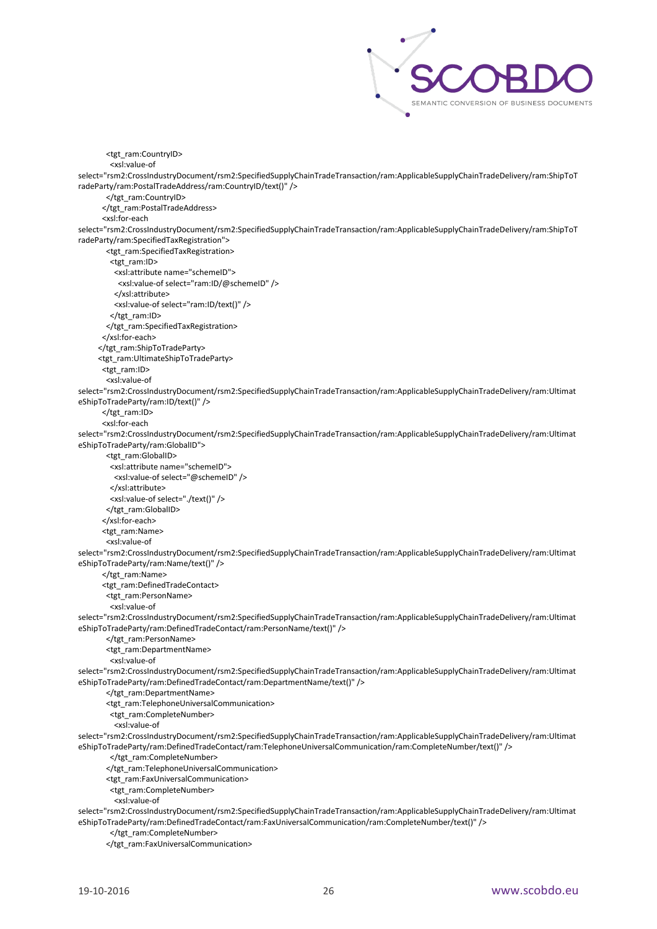

 <tgt\_ram:CountryID> <xsl:value-of select="rsm2:CrossIndustryDocument/rsm2:SpecifiedSupplyChainTradeTransaction/ram:ApplicableSupplyChainTradeDelivery/ram:ShipToT radeParty/ram:PostalTradeAddress/ram:CountryID/text()" /> </tgt\_ram:CountryID> </tgt\_ram:PostalTradeAddress> <xsl:for-each select="rsm2:CrossIndustryDocument/rsm2:SpecifiedSupplyChainTradeTransaction/ram:ApplicableSupplyChainTradeDelivery/ram:ShipToT radeParty/ram:SpecifiedTaxRegistration"> <tgt\_ram:SpecifiedTaxRegistration> <tgt\_ram:ID> <xsl:attribute name="schemeID"> <xsl:value-of select="ram:ID/@schemeID" /> </xsl:attribute> <xsl:value-of select="ram:ID/text()" /> </tgt\_ram:ID> </tgt\_ram:SpecifiedTaxRegistration> </xsl:for-each> </tgt\_ram:ShipToTradeParty> <tgt\_ram:UltimateShipToTradeParty> <tgt\_ram:ID> <xsl:value-of select="rsm2:CrossIndustryDocument/rsm2:SpecifiedSupplyChainTradeTransaction/ram:ApplicableSupplyChainTradeDelivery/ram:Ultimat eShipToTradeParty/ram:ID/text()" /> </tgt\_ram:ID> <xsl:for-each select="rsm2:CrossIndustryDocument/rsm2:SpecifiedSupplyChainTradeTransaction/ram:ApplicableSupplyChainTradeDelivery/ram:Ultimat eShipToTradeParty/ram:GlobalID"> <tgt\_ram:GlobalID> <xsl:attribute name="schemeID"> <xsl:value-of select="@schemeID" /> </xsl:attribute> <xsl:value-of select="./text()" /> </tgt\_ram:GlobalID> </xsl:for-each> <tgt\_ram:Name> <xsl:value-of select="rsm2:CrossIndustryDocument/rsm2:SpecifiedSupplyChainTradeTransaction/ram:ApplicableSupplyChainTradeDelivery/ram:Ultimat eShipToTradeParty/ram:Name/text()" /> </tgt\_ram:Name> <tgt\_ram:DefinedTradeContact> <tgt\_ram:PersonName> <xsl:value-of select="rsm2:CrossIndustryDocument/rsm2:SpecifiedSupplyChainTradeTransaction/ram:ApplicableSupplyChainTradeDelivery/ram:Ultimat eShipToTradeParty/ram:DefinedTradeContact/ram:PersonName/text()" /> </tgt\_ram:PersonName> <tgt\_ram:DepartmentName> <xsl:value-of select="rsm2:CrossIndustryDocument/rsm2:SpecifiedSupplyChainTradeTransaction/ram:ApplicableSupplyChainTradeDelivery/ram:Ultimat eShipToTradeParty/ram:DefinedTradeContact/ram:DepartmentName/text()" /> </tgt\_ram:DepartmentName> <tgt\_ram:TelephoneUniversalCommunication> <tgt\_ram:CompleteNumber> <xsl:value-of select="rsm2:CrossIndustryDocument/rsm2:SpecifiedSupplyChainTradeTransaction/ram:ApplicableSupplyChainTradeDelivery/ram:Ultimat eShipToTradeParty/ram:DefinedTradeContact/ram:TelephoneUniversalCommunication/ram:CompleteNumber/text()" /> </tgt\_ram:CompleteNumber> </tgt\_ram:TelephoneUniversalCommunication> <tgt\_ram:FaxUniversalCommunication> <tgt\_ram:CompleteNumber> <xsl:value-of select="rsm2:CrossIndustryDocument/rsm2:SpecifiedSupplyChainTradeTransaction/ram:ApplicableSupplyChainTradeDelivery/ram:Ultimat eShipToTradeParty/ram:DefinedTradeContact/ram:FaxUniversalCommunication/ram:CompleteNumber/text()" /> </tgt\_ram:CompleteNumber>

</tgt\_ram:FaxUniversalCommunication>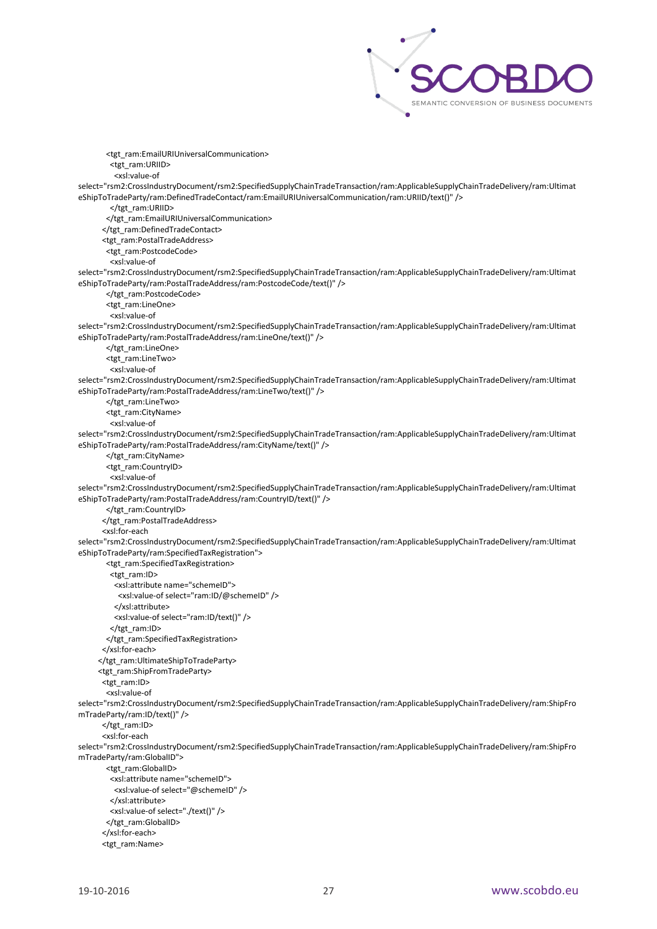

 <tgt\_ram:EmailURIUniversalCommunication> <tgt\_ram:URIID> <xsl:value-of select="rsm2:CrossIndustryDocument/rsm2:SpecifiedSupplyChainTradeTransaction/ram:ApplicableSupplyChainTradeDelivery/ram:Ultimat eShipToTradeParty/ram:DefinedTradeContact/ram:EmailURIUniversalCommunication/ram:URIID/text()" /> </tgt\_ram:URIID> </tgt\_ram:EmailURIUniversalCommunication> </tgt\_ram:DefinedTradeContact> <tgt\_ram:PostalTradeAddress> <tgt\_ram:PostcodeCode> <xsl:value-of select="rsm2:CrossIndustryDocument/rsm2:SpecifiedSupplyChainTradeTransaction/ram:ApplicableSupplyChainTradeDelivery/ram:Ultimat eShipToTradeParty/ram:PostalTradeAddress/ram:PostcodeCode/text()" /> </tgt\_ram:PostcodeCode> <tgt\_ram:LineOne> <xsl:value-of select="rsm2:CrossIndustryDocument/rsm2:SpecifiedSupplyChainTradeTransaction/ram:ApplicableSupplyChainTradeDelivery/ram:Ultimat eShipToTradeParty/ram:PostalTradeAddress/ram:LineOne/text()" /> </tgt\_ram:LineOne> <tgt\_ram:LineTwo> <xsl:value-of select="rsm2:CrossIndustryDocument/rsm2:SpecifiedSupplyChainTradeTransaction/ram:ApplicableSupplyChainTradeDelivery/ram:Ultimat eShipToTradeParty/ram:PostalTradeAddress/ram:LineTwo/text()" /> </tgt\_ram:LineTwo> <tgt\_ram:CityName> <xsl:value-of select="rsm2:CrossIndustryDocument/rsm2:SpecifiedSupplyChainTradeTransaction/ram:ApplicableSupplyChainTradeDelivery/ram:Ultimat eShipToTradeParty/ram:PostalTradeAddress/ram:CityName/text()" /> </tgt\_ram:CityName> <tgt\_ram:CountryID> <xsl:value-of select="rsm2:CrossIndustryDocument/rsm2:SpecifiedSupplyChainTradeTransaction/ram:ApplicableSupplyChainTradeDelivery/ram:Ultimat eShipToTradeParty/ram:PostalTradeAddress/ram:CountryID/text()" /> </tgt\_ram:CountryID> </tgt\_ram:PostalTradeAddress> <xsl:for-each select="rsm2:CrossIndustryDocument/rsm2:SpecifiedSupplyChainTradeTransaction/ram:ApplicableSupplyChainTradeDelivery/ram:Ultimat eShipToTradeParty/ram:SpecifiedTaxRegistration"> <tgt\_ram:SpecifiedTaxRegistration> <tgt\_ram:ID> <xsl:attribute name="schemeID"> <xsl:value-of select="ram:ID/@schemeID" /> </xsl:attribute> <xsl:value-of select="ram:ID/text()" /> </tgt\_ram:ID> </tgt\_ram:SpecifiedTaxRegistration> </xsl:for-each> </tgt\_ram:UltimateShipToTradeParty> <tgt\_ram:ShipFromTradeParty> <tgt\_ram:ID> <xsl:value-of select="rsm2:CrossIndustryDocument/rsm2:SpecifiedSupplyChainTradeTransaction/ram:ApplicableSupplyChainTradeDelivery/ram:ShipFro mTradeParty/ram:ID/text()" /> </tgt\_ram:ID> <xsl:for-each select="rsm2:CrossIndustryDocument/rsm2:SpecifiedSupplyChainTradeTransaction/ram:ApplicableSupplyChainTradeDelivery/ram:ShipFro mTradeParty/ram:GlobalID"> <tgt\_ram:GlobalID> <xsl:attribute name="schemeID"> <xsl:value-of select="@schemeID" /> </xsl:attribute> <xsl:value-of select="./text()" /> </tgt\_ram:GlobalID> </xsl:for-each> <tgt\_ram:Name>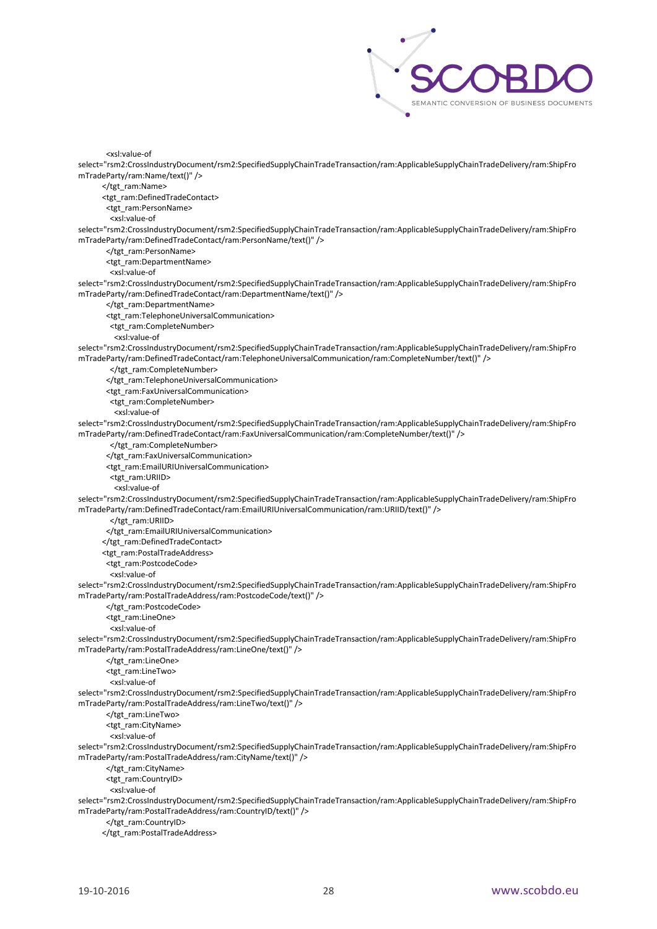

<xsl:value-of

select="rsm2:CrossIndustryDocument/rsm2:SpecifiedSupplyChainTradeTransaction/ram:ApplicableSupplyChainTradeDelivery/ram:ShipFro mTradeParty/ram:Name/text()" /> </tgt\_ram:Name>

<tgt\_ram:DefinedTradeContact>

<tgt\_ram:PersonName>

<xsl:value-of

select="rsm2:CrossIndustryDocument/rsm2:SpecifiedSupplyChainTradeTransaction/ram:ApplicableSupplyChainTradeDelivery/ram:ShipFro mTradeParty/ram:DefinedTradeContact/ram:PersonName/text()" />

</tgt\_ram:PersonName>

<tgt\_ram:DepartmentName>

<xsl:value-of

select="rsm2:CrossIndustryDocument/rsm2:SpecifiedSupplyChainTradeTransaction/ram:ApplicableSupplyChainTradeDelivery/ram:ShipFro mTradeParty/ram:DefinedTradeContact/ram:DepartmentName/text()" />

</tgt\_ram:DepartmentName>

<tgt\_ram:TelephoneUniversalCommunication>

<tgt\_ram:CompleteNumber>

<xsl:value-of

select="rsm2:CrossIndustryDocument/rsm2:SpecifiedSupplyChainTradeTransaction/ram:ApplicableSupplyChainTradeDelivery/ram:ShipFro mTradeParty/ram:DefinedTradeContact/ram:TelephoneUniversalCommunication/ram:CompleteNumber/text()" />

</tgt\_ram:CompleteNumber>

</tgt\_ram:TelephoneUniversalCommunication>

<tgt\_ram:FaxUniversalCommunication>

<tgt\_ram:CompleteNumber>

<xsl:value-of

select="rsm2:CrossIndustryDocument/rsm2:SpecifiedSupplyChainTradeTransaction/ram:ApplicableSupplyChainTradeDelivery/ram:ShipFro mTradeParty/ram:DefinedTradeContact/ram:FaxUniversalCommunication/ram:CompleteNumber/text()" />

</tgt\_ram:CompleteNumber>

</tgt\_ram:FaxUniversalCommunication>

<tgt\_ram:EmailURIUniversalCommunication>

<tgt\_ram:URIID>

<xsl:value-of

select="rsm2:CrossIndustryDocument/rsm2:SpecifiedSupplyChainTradeTransaction/ram:ApplicableSupplyChainTradeDelivery/ram:ShipFro mTradeParty/ram:DefinedTradeContact/ram:EmailURIUniversalCommunication/ram:URIID/text()" />

</tgt\_ram:URIID>

</tgt\_ram:EmailURIUniversalCommunication>

</tgt\_ram:DefinedTradeContact>

<tgt\_ram:PostalTradeAddress>

<tgt\_ram:PostcodeCode>

<xsl:value-of

select="rsm2:CrossIndustryDocument/rsm2:SpecifiedSupplyChainTradeTransaction/ram:ApplicableSupplyChainTradeDelivery/ram:ShipFro mTradeParty/ram:PostalTradeAddress/ram:PostcodeCode/text()" />

</tgt\_ram:PostcodeCode>

<tgt\_ram:LineOne>

<xsl:value-of

select="rsm2:CrossIndustryDocument/rsm2:SpecifiedSupplyChainTradeTransaction/ram:ApplicableSupplyChainTradeDelivery/ram:ShipFro mTradeParty/ram:PostalTradeAddress/ram:LineOne/text()" />

</tgt\_ram:LineOne>

<tgt\_ram:LineTwo>

<xsl:value-of

select="rsm2:CrossIndustryDocument/rsm2:SpecifiedSupplyChainTradeTransaction/ram:ApplicableSupplyChainTradeDelivery/ram:ShipFro mTradeParty/ram:PostalTradeAddress/ram:LineTwo/text()" />

</tgt\_ram:LineTwo>

<tgt\_ram:CityName>

<xsl:value-of

select="rsm2:CrossIndustryDocument/rsm2:SpecifiedSupplyChainTradeTransaction/ram:ApplicableSupplyChainTradeDelivery/ram:ShipFro mTradeParty/ram:PostalTradeAddress/ram:CityName/text()" />

</tgt\_ram:CityName>

<tgt\_ram:CountryID>

<xsl:value-of

select="rsm2:CrossIndustryDocument/rsm2:SpecifiedSupplyChainTradeTransaction/ram:ApplicableSupplyChainTradeDelivery/ram:ShipFro mTradeParty/ram:PostalTradeAddress/ram:CountryID/text()" />

</tgt\_ram:CountryID>

</tgt\_ram:PostalTradeAddress>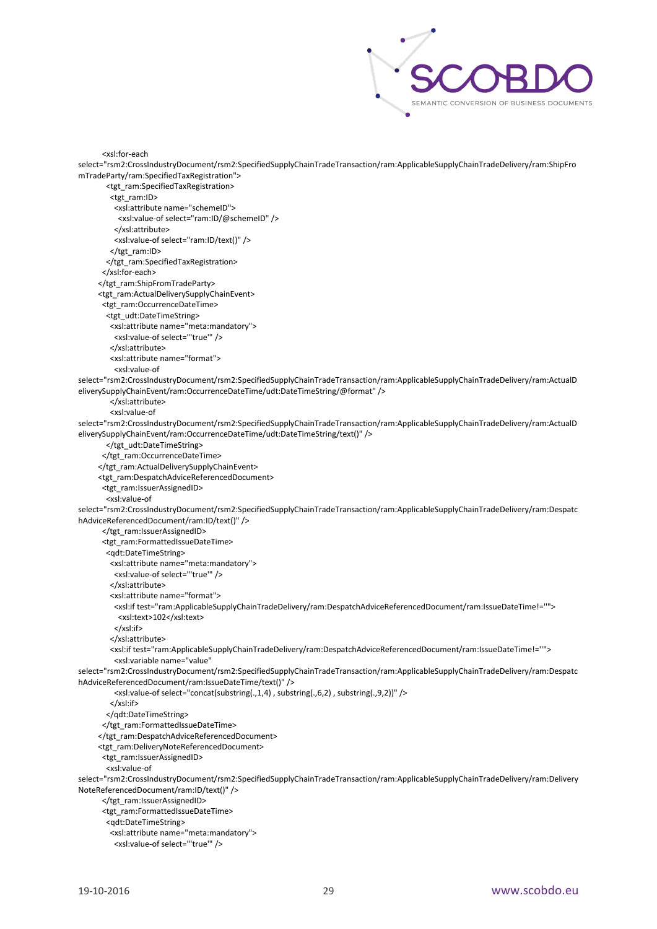

```
 <xsl:for-each 
select="rsm2:CrossIndustryDocument/rsm2:SpecifiedSupplyChainTradeTransaction/ram:ApplicableSupplyChainTradeDelivery/ram:ShipFro
mTradeParty/ram:SpecifiedTaxRegistration">
        <tgt_ram:SpecifiedTaxRegistration>
         <tgt_ram:ID>
          <xsl:attribute name="schemeID">
           <xsl:value-of select="ram:ID/@schemeID" />
          </xsl:attribute>
          <xsl:value-of select="ram:ID/text()" />
        </tgt_ram:ID>
        </tgt_ram:SpecifiedTaxRegistration>
       </xsl:for-each>
      </tgt_ram:ShipFromTradeParty>
      <tgt_ram:ActualDeliverySupplyChainEvent>
       <tgt_ram:OccurrenceDateTime>
        <tgt_udt:DateTimeString>
         <xsl:attribute name="meta:mandatory">
          <xsl:value-of select="'true'" />
         </xsl:attribute>
         <xsl:attribute name="format">
          <xsl:value-of 
select="rsm2:CrossIndustryDocument/rsm2:SpecifiedSupplyChainTradeTransaction/ram:ApplicableSupplyChainTradeDelivery/ram:ActualD
eliverySupplyChainEvent/ram:OccurrenceDateTime/udt:DateTimeString/@format" />
         </xsl:attribute>
         <xsl:value-of 
select="rsm2:CrossIndustryDocument/rsm2:SpecifiedSupplyChainTradeTransaction/ram:ApplicableSupplyChainTradeDelivery/ram:ActualD
eliverySupplyChainEvent/ram:OccurrenceDateTime/udt:DateTimeString/text()" />
        </tgt_udt:DateTimeString>
       </tgt_ram:OccurrenceDateTime>
      </tgt_ram:ActualDeliverySupplyChainEvent>
      <tgt_ram:DespatchAdviceReferencedDocument>
       <tgt_ram:IssuerAssignedID>
        <xsl:value-of 
select="rsm2:CrossIndustryDocument/rsm2:SpecifiedSupplyChainTradeTransaction/ram:ApplicableSupplyChainTradeDelivery/ram:Despatc
hAdviceReferencedDocument/ram:ID/text()" />
       </tgt_ram:IssuerAssignedID>
       <tgt_ram:FormattedIssueDateTime>
        <qdt:DateTimeString>
         <xsl:attribute name="meta:mandatory">
          <xsl:value-of select="'true'" />
         </xsl:attribute>
         <xsl:attribute name="format">
          <xsl:if test="ram:ApplicableSupplyChainTradeDelivery/ram:DespatchAdviceReferencedDocument/ram:IssueDateTime!=''">
           <xsl:text>102</xsl:text>
          </xsl:if>
         </xsl:attribute>
         <xsl:if test="ram:ApplicableSupplyChainTradeDelivery/ram:DespatchAdviceReferencedDocument/ram:IssueDateTime!=''">
          <xsl:variable name="value" 
select="rsm2:CrossIndustryDocument/rsm2:SpecifiedSupplyChainTradeTransaction/ram:ApplicableSupplyChainTradeDelivery/ram:Despatc
hAdviceReferencedDocument/ram:IssueDateTime/text()" />
          <xsl:value-of select="concat(substring(.,1,4) , substring(.,6,2) , substring(.,9,2))" />
         </xsl:if>
        </qdt:DateTimeString>
      </tgt_ram:FormattedIssueDateTime>
      </tgt_ram:DespatchAdviceReferencedDocument>
      <tgt_ram:DeliveryNoteReferencedDocument>
       <tgt_ram:IssuerAssignedID>
        <xsl:value-of 
select="rsm2:CrossIndustryDocument/rsm2:SpecifiedSupplyChainTradeTransaction/ram:ApplicableSupplyChainTradeDelivery/ram:Delivery
NoteReferencedDocument/ram:ID/text()" />
       </tgt_ram:IssuerAssignedID>
       <tgt_ram:FormattedIssueDateTime>
        <qdt:DateTimeString>
         <xsl:attribute name="meta:mandatory">
          <xsl:value-of select="'true'" />
```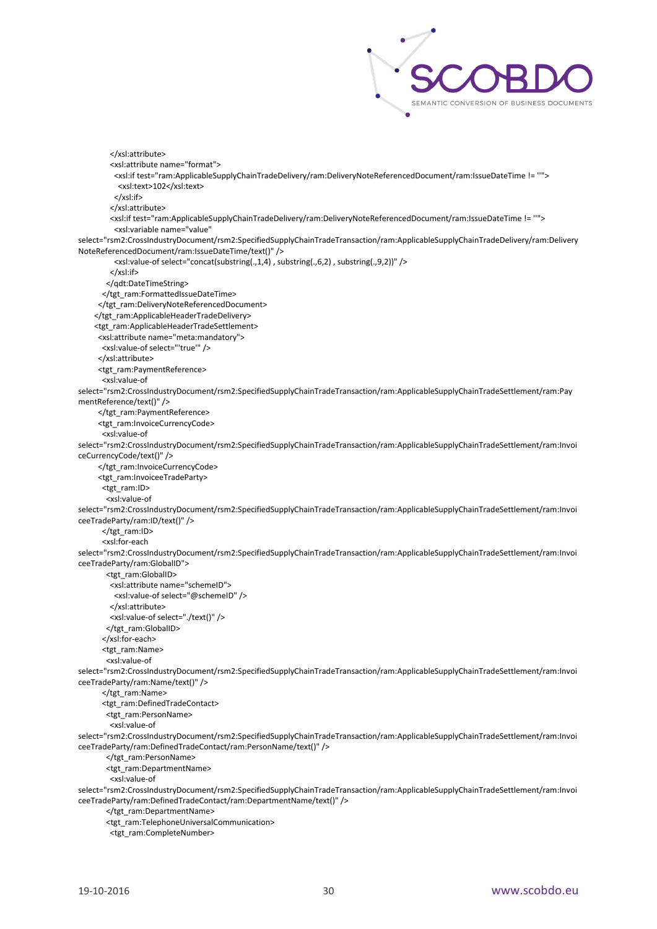

 </xsl:attribute> <xsl:attribute name="format"> <xsl:if test="ram:ApplicableSupplyChainTradeDelivery/ram:DeliveryNoteReferencedDocument/ram:IssueDateTime != ''"> <xsl:text>102</xsl:text> </xsl:if> </xsl:attribute> <xsl:if test="ram:ApplicableSupplyChainTradeDelivery/ram:DeliveryNoteReferencedDocument/ram:IssueDateTime != ''"> <xsl:variable name="value" select="rsm2:CrossIndustryDocument/rsm2:SpecifiedSupplyChainTradeTransaction/ram:ApplicableSupplyChainTradeDelivery/ram:Delivery NoteReferencedDocument/ram:IssueDateTime/text()" /> <xsl:value-of select="concat(substring(.,1,4) , substring(.,6,2) , substring(.,9,2))" /> </xsl:if> </qdt:DateTimeString> </tgt\_ram:FormattedIssueDateTime> </tgt\_ram:DeliveryNoteReferencedDocument> </tgt\_ram:ApplicableHeaderTradeDelivery> <tgt\_ram:ApplicableHeaderTradeSettlement> <xsl:attribute name="meta:mandatory"> <xsl:value-of select="'true'" /> </xsl:attribute> <tgt\_ram:PaymentReference> <xsl:value-of select="rsm2:CrossIndustryDocument/rsm2:SpecifiedSupplyChainTradeTransaction/ram:ApplicableSupplyChainTradeSettlement/ram:Pay mentReference/text()" /> </tgt\_ram:PaymentReference> <tgt\_ram:InvoiceCurrencyCode> <xsl:value-of select="rsm2:CrossIndustryDocument/rsm2:SpecifiedSupplyChainTradeTransaction/ram:ApplicableSupplyChainTradeSettlement/ram:Invoi ceCurrencyCode/text()" /> </tgt\_ram:InvoiceCurrencyCode> - etgt\_ram:InvoiceeTradeParty> <tgt\_ram:ID> <xsl:value-of select="rsm2:CrossIndustryDocument/rsm2:SpecifiedSupplyChainTradeTransaction/ram:ApplicableSupplyChainTradeSettlement/ram:Invoi ceeTradeParty/ram:ID/text()" /> </tgt\_ram:ID> <xsl:for-each select="rsm2:CrossIndustryDocument/rsm2:SpecifiedSupplyChainTradeTransaction/ram:ApplicableSupplyChainTradeSettlement/ram:Invoi ceeTradeParty/ram:GlobalID"> <tgt\_ram:GlobalID> <xsl:attribute name="schemeID"> <xsl:value-of select="@schemeID" /> </xsl:attribute> <xsl:value-of select="./text()" /> </tgt\_ram:GlobalID> </xsl:for-each> <tgt\_ram:Name> <xsl:value-of select="rsm2:CrossIndustryDocument/rsm2:SpecifiedSupplyChainTradeTransaction/ram:ApplicableSupplyChainTradeSettlement/ram:Invoi ceeTradeParty/ram:Name/text()" /> </tgt\_ram:Name> <tgt\_ram:DefinedTradeContact> <tgt\_ram:PersonName> <xsl:value-of select="rsm2:CrossIndustryDocument/rsm2:SpecifiedSupplyChainTradeTransaction/ram:ApplicableSupplyChainTradeSettlement/ram:Invoi ceeTradeParty/ram:DefinedTradeContact/ram:PersonName/text()" /> </tgt\_ram:PersonName> <tgt\_ram:DepartmentName> <xsl:value-of select="rsm2:CrossIndustryDocument/rsm2:SpecifiedSupplyChainTradeTransaction/ram:ApplicableSupplyChainTradeSettlement/ram:Invoi ceeTradeParty/ram:DefinedTradeContact/ram:DepartmentName/text()" /> </tgt\_ram:DepartmentName> <tgt\_ram:TelephoneUniversalCommunication>

<tgt\_ram:CompleteNumber>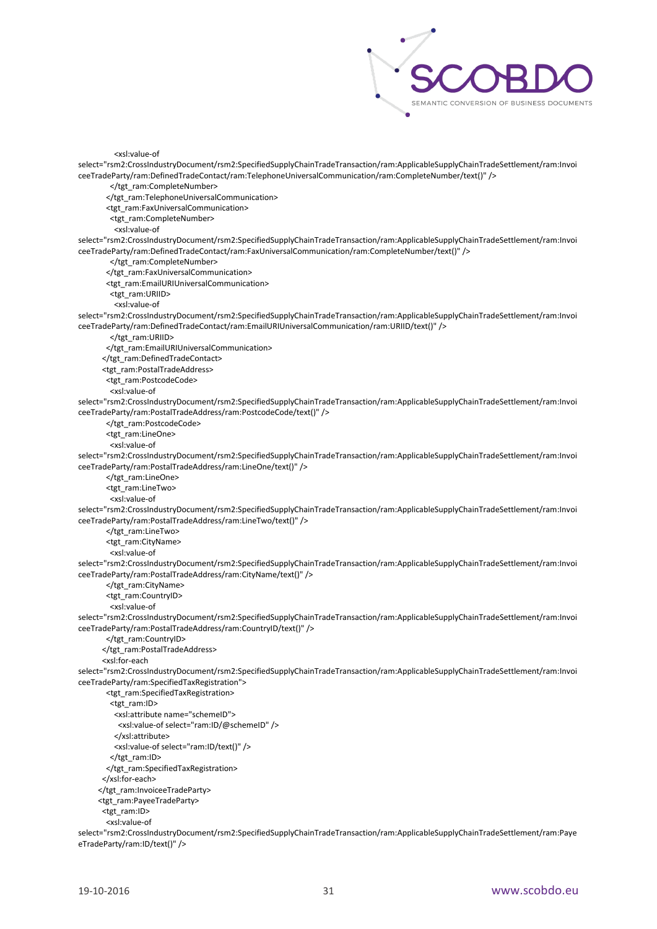

<xsl:value-of

select="rsm2:CrossIndustryDocument/rsm2:SpecifiedSupplyChainTradeTransaction/ram:ApplicableSupplyChainTradeSettlement/ram:Invoi ceeTradeParty/ram:DefinedTradeContact/ram:TelephoneUniversalCommunication/ram:CompleteNumber/text()" /> </tgt\_ram:CompleteNumber> </tgt\_ram:TelephoneUniversalCommunication> <tgt\_ram:FaxUniversalCommunication> <tgt\_ram:CompleteNumber> <xsl:value-of select="rsm2:CrossIndustryDocument/rsm2:SpecifiedSupplyChainTradeTransaction/ram:ApplicableSupplyChainTradeSettlement/ram:Invoi ceeTradeParty/ram:DefinedTradeContact/ram:FaxUniversalCommunication/ram:CompleteNumber/text()" /> </tgt\_ram:CompleteNumber> </tgt\_ram:FaxUniversalCommunication> <tgt\_ram:EmailURIUniversalCommunication> <tgt\_ram:URIID> <xsl:value-of select="rsm2:CrossIndustryDocument/rsm2:SpecifiedSupplyChainTradeTransaction/ram:ApplicableSupplyChainTradeSettlement/ram:Invoi ceeTradeParty/ram:DefinedTradeContact/ram:EmailURIUniversalCommunication/ram:URIID/text()" /> </tgt\_ram:URIID> </tgt\_ram:EmailURIUniversalCommunication> </tgt\_ram:DefinedTradeContact> <tgt\_ram:PostalTradeAddress> <tgt\_ram:PostcodeCode> <xsl:value-of select="rsm2:CrossIndustryDocument/rsm2:SpecifiedSupplyChainTradeTransaction/ram:ApplicableSupplyChainTradeSettlement/ram:Invoi ceeTradeParty/ram:PostalTradeAddress/ram:PostcodeCode/text()" /> </tgt\_ram:PostcodeCode> <tgt\_ram:LineOne> <xsl:value-of select="rsm2:CrossIndustryDocument/rsm2:SpecifiedSupplyChainTradeTransaction/ram:ApplicableSupplyChainTradeSettlement/ram:Invoi ceeTradeParty/ram:PostalTradeAddress/ram:LineOne/text()" /> </tgt\_ram:LineOne> <tgt\_ram:LineTwo> <xsl:value-of select="rsm2:CrossIndustryDocument/rsm2:SpecifiedSupplyChainTradeTransaction/ram:ApplicableSupplyChainTradeSettlement/ram:Invoi ceeTradeParty/ram:PostalTradeAddress/ram:LineTwo/text()" /> </tgt\_ram:LineTwo> <tgt\_ram:CityName> <xsl:value-of select="rsm2:CrossIndustryDocument/rsm2:SpecifiedSupplyChainTradeTransaction/ram:ApplicableSupplyChainTradeSettlement/ram:Invoi ceeTradeParty/ram:PostalTradeAddress/ram:CityName/text()" /> </tgt\_ram:CityName> <tgt\_ram:CountryID> <xsl:value-of select="rsm2:CrossIndustryDocument/rsm2:SpecifiedSupplyChainTradeTransaction/ram:ApplicableSupplyChainTradeSettlement/ram:Invoi ceeTradeParty/ram:PostalTradeAddress/ram:CountryID/text()" /> </tgt\_ram:CountryID> </tgt\_ram:PostalTradeAddress> <xsl:for-each select="rsm2:CrossIndustryDocument/rsm2:SpecifiedSupplyChainTradeTransaction/ram:ApplicableSupplyChainTradeSettlement/ram:Invoi ceeTradeParty/ram:SpecifiedTaxRegistration"> <tgt\_ram:SpecifiedTaxRegistration> <tgt\_ram:ID> <xsl:attribute name="schemeID"> <xsl:value-of select="ram:ID/@schemeID" /> </xsl:attribute> <xsl:value-of select="ram:ID/text()" /> </tgt\_ram:ID> </tgt\_ram:SpecifiedTaxRegistration> </xsl:for-each> </tgt\_ram:InvoiceeTradeParty> <tgt\_ram:PayeeTradeParty> <tgt\_ram:ID> <xsl:value-of

select="rsm2:CrossIndustryDocument/rsm2:SpecifiedSupplyChainTradeTransaction/ram:ApplicableSupplyChainTradeSettlement/ram:Paye eTradeParty/ram:ID/text()" />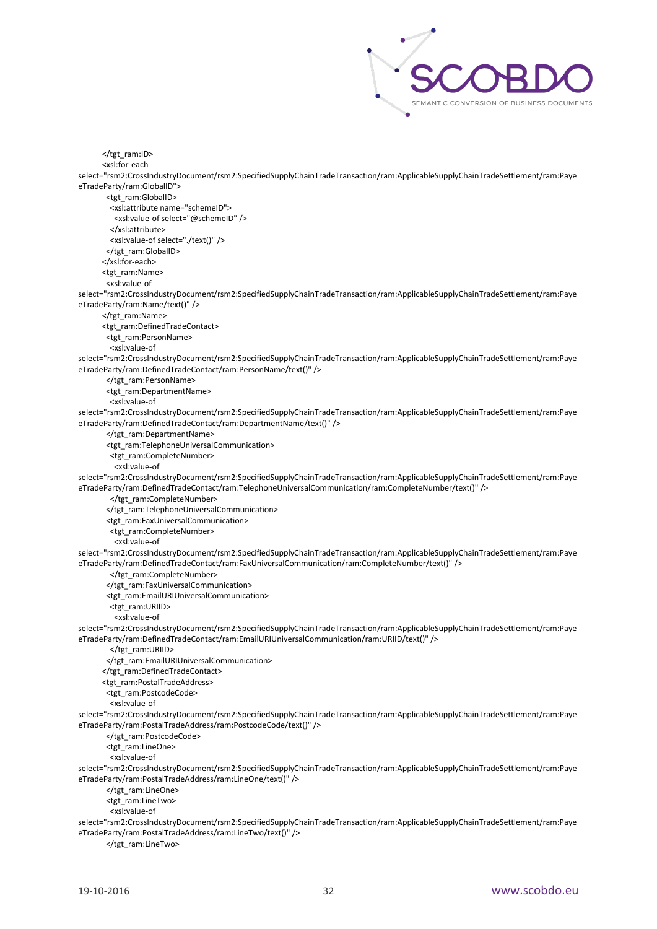

 </tgt\_ram:ID> <xsl:for-each select="rsm2:CrossIndustryDocument/rsm2:SpecifiedSupplyChainTradeTransaction/ram:ApplicableSupplyChainTradeSettlement/ram:Paye eTradeParty/ram:GlobalID"> <tgt\_ram:GlobalID> <xsl:attribute name="schemeID"> <xsl:value-of select="@schemeID" /> </xsl:attribute> <xsl:value-of select="./text()" /> </tgt\_ram:GlobalID> </xsl:for-each> <tgt\_ram:Name> <xsl:value-of select="rsm2:CrossIndustryDocument/rsm2:SpecifiedSupplyChainTradeTransaction/ram:ApplicableSupplyChainTradeSettlement/ram:Paye eTradeParty/ram:Name/text()" /> </tgt\_ram:Name> <tgt\_ram:DefinedTradeContact> <tgt\_ram:PersonName> <xsl:value-of select="rsm2:CrossIndustryDocument/rsm2:SpecifiedSupplyChainTradeTransaction/ram:ApplicableSupplyChainTradeSettlement/ram:Paye eTradeParty/ram:DefinedTradeContact/ram:PersonName/text()" /> </tgt\_ram:PersonName> <tgt\_ram:DepartmentName> <xsl:value-of select="rsm2:CrossIndustryDocument/rsm2:SpecifiedSupplyChainTradeTransaction/ram:ApplicableSupplyChainTradeSettlement/ram:Paye eTradeParty/ram:DefinedTradeContact/ram:DepartmentName/text()" /> </tgt\_ram:DepartmentName> <tgt\_ram:TelephoneUniversalCommunication> <tgt\_ram:CompleteNumber> <xsl:value-of select="rsm2:CrossIndustryDocument/rsm2:SpecifiedSupplyChainTradeTransaction/ram:ApplicableSupplyChainTradeSettlement/ram:Paye eTradeParty/ram:DefinedTradeContact/ram:TelephoneUniversalCommunication/ram:CompleteNumber/text()" /> </tgt\_ram:CompleteNumber> </tgt\_ram:TelephoneUniversalCommunication> <tgt\_ram:FaxUniversalCommunication> <tgt\_ram:CompleteNumber> <xsl:value-of select="rsm2:CrossIndustryDocument/rsm2:SpecifiedSupplyChainTradeTransaction/ram:ApplicableSupplyChainTradeSettlement/ram:Paye eTradeParty/ram:DefinedTradeContact/ram:FaxUniversalCommunication/ram:CompleteNumber/text()" /> </tgt\_ram:CompleteNumber> </tgt\_ram:FaxUniversalCommunication> <tgt\_ram:EmailURIUniversalCommunication> <tgt\_ram:URIID> <xsl:value-of select="rsm2:CrossIndustryDocument/rsm2:SpecifiedSupplyChainTradeTransaction/ram:ApplicableSupplyChainTradeSettlement/ram:Paye eTradeParty/ram:DefinedTradeContact/ram:EmailURIUniversalCommunication/ram:URIID/text()" /> </tgt\_ram:URIID> </tgt\_ram:EmailURIUniversalCommunication> </tgt\_ram:DefinedTradeContact> <tgt\_ram:PostalTradeAddress> <tgt\_ram:PostcodeCode> <xsl:value-of select="rsm2:CrossIndustryDocument/rsm2:SpecifiedSupplyChainTradeTransaction/ram:ApplicableSupplyChainTradeSettlement/ram:Paye eTradeParty/ram:PostalTradeAddress/ram:PostcodeCode/text()" /> </tgt\_ram:PostcodeCode> <tgt\_ram:LineOne> <xsl:value-of select="rsm2:CrossIndustryDocument/rsm2:SpecifiedSupplyChainTradeTransaction/ram:ApplicableSupplyChainTradeSettlement/ram:Paye eTradeParty/ram:PostalTradeAddress/ram:LineOne/text()" /> </tgt\_ram:LineOne> <tgt\_ram:LineTwo> <xsl:value-of select="rsm2:CrossIndustryDocument/rsm2:SpecifiedSupplyChainTradeTransaction/ram:ApplicableSupplyChainTradeSettlement/ram:Paye eTradeParty/ram:PostalTradeAddress/ram:LineTwo/text()" /> </tgt\_ram:LineTwo>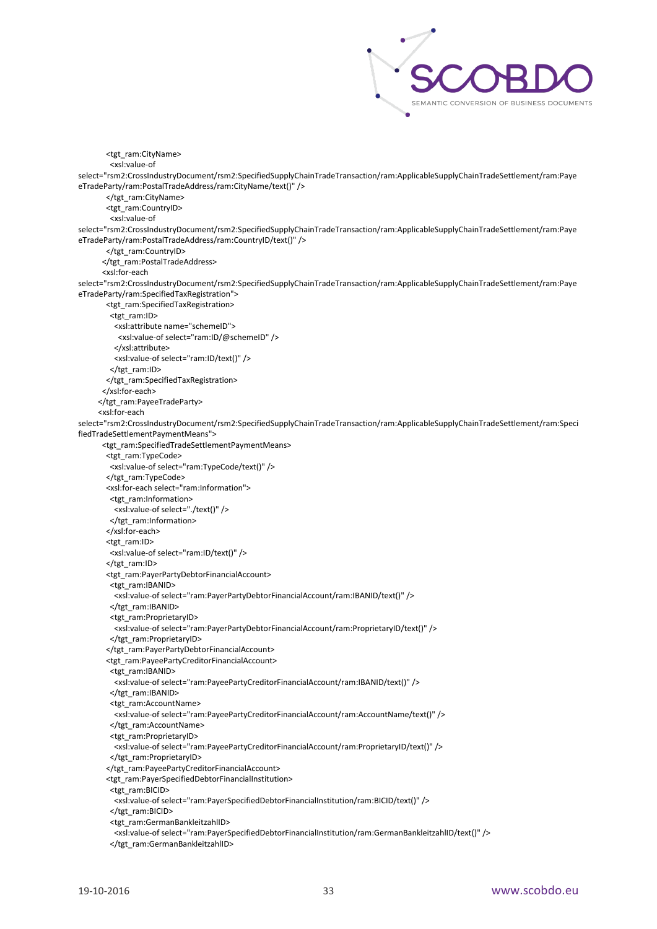

 <tgt\_ram:CityName> <xsl:value-of select="rsm2:CrossIndustryDocument/rsm2:SpecifiedSupplyChainTradeTransaction/ram:ApplicableSupplyChainTradeSettlement/ram:Paye eTradeParty/ram:PostalTradeAddress/ram:CityName/text()" /> </tgt\_ram:CityName> <tgt\_ram:CountryID> <xsl:value-of select="rsm2:CrossIndustryDocument/rsm2:SpecifiedSupplyChainTradeTransaction/ram:ApplicableSupplyChainTradeSettlement/ram:Paye eTradeParty/ram:PostalTradeAddress/ram:CountryID/text()" /> </tgt\_ram:CountryID> </tgt\_ram:PostalTradeAddress> <xsl:for-each select="rsm2:CrossIndustryDocument/rsm2:SpecifiedSupplyChainTradeTransaction/ram:ApplicableSupplyChainTradeSettlement/ram:Paye eTradeParty/ram:SpecifiedTaxRegistration"> <tgt\_ram:SpecifiedTaxRegistration> <tgt\_ram:ID> <xsl:attribute name="schemeID"> <xsl:value-of select="ram:ID/@schemeID" /> </xsl:attribute> <xsl:value-of select="ram:ID/text()" /> </tgt\_ram:ID> </tgt\_ram:SpecifiedTaxRegistration> </xsl:for-each> </tgt\_ram:PayeeTradeParty> <xsl:for-each select="rsm2:CrossIndustryDocument/rsm2:SpecifiedSupplyChainTradeTransaction/ram:ApplicableSupplyChainTradeSettlement/ram:Speci fiedTradeSettlementPaymentMeans"> <tgt\_ram:SpecifiedTradeSettlementPaymentMeans> <tgt\_ram:TypeCode> <xsl:value-of select="ram:TypeCode/text()" /> </tgt\_ram:TypeCode> <xsl:for-each select="ram:Information"> <tgt\_ram:Information> <xsl:value-of select="./text()" /> </tgt\_ram:Information> </xsl:for-each> <tgt\_ram:ID> <xsl:value-of select="ram:ID/text()" /> </tgt\_ram:ID> <tgt\_ram:PayerPartyDebtorFinancialAccount> <tgt\_ram:IBANID> <xsl:value-of select="ram:PayerPartyDebtorFinancialAccount/ram:IBANID/text()" /> </tgt\_ram:IBANID> <tgt\_ram:ProprietaryID> <xsl:value-of select="ram:PayerPartyDebtorFinancialAccount/ram:ProprietaryID/text()" /> </tgt\_ram:ProprietaryID> </tgt\_ram:PayerPartyDebtorFinancialAccount> <tgt\_ram:PayeePartyCreditorFinancialAccount> <tgt\_ram:IBANID> <xsl:value-of select="ram:PayeePartyCreditorFinancialAccount/ram:IBANID/text()" /> </tgt\_ram:IBANID> <tgt\_ram:AccountName> <xsl:value-of select="ram:PayeePartyCreditorFinancialAccount/ram:AccountName/text()" /> </tgt\_ram:AccountName> <tgt\_ram:ProprietaryID> <xsl:value-of select="ram:PayeePartyCreditorFinancialAccount/ram:ProprietaryID/text()" /> </tgt\_ram:ProprietaryID> </tgt\_ram:PayeePartyCreditorFinancialAccount> <tgt\_ram:PayerSpecifiedDebtorFinancialInstitution> <tgt\_ram:BICID> <xsl:value-of select="ram:PayerSpecifiedDebtorFinancialInstitution/ram:BICID/text()" /> </tgt\_ram:BICID> <tgt\_ram:GermanBankleitzahlID> <xsl:value-of select="ram:PayerSpecifiedDebtorFinancialInstitution/ram:GermanBankleitzahlID/text()" /> </tgt\_ram:GermanBankleitzahlID>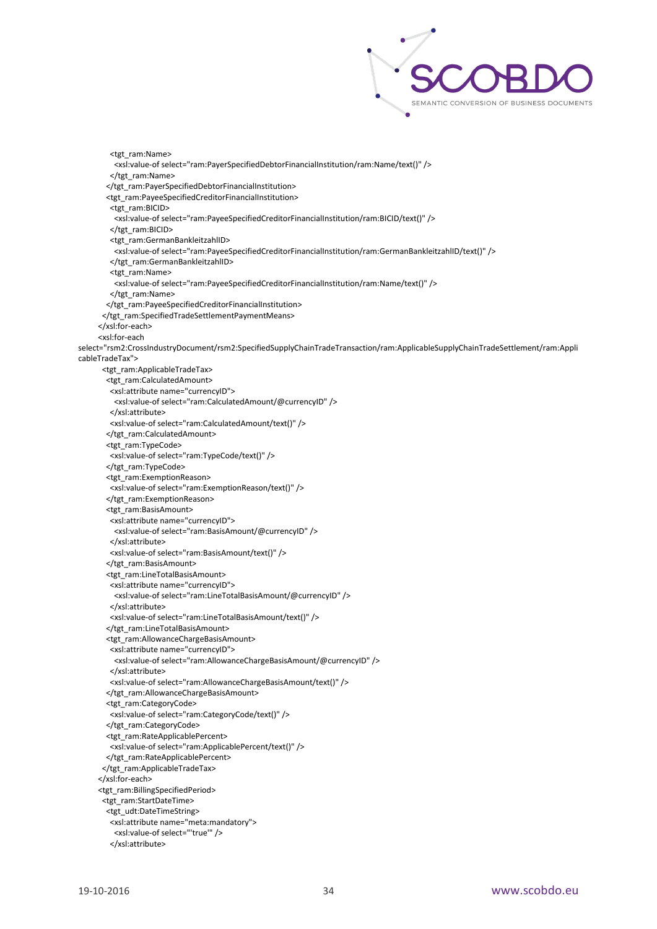

 <tgt\_ram:Name> <xsl:value-of select="ram:PayerSpecifiedDebtorFinancialInstitution/ram:Name/text()" /> </tgt\_ram:Name> </tgt\_ram:PayerSpecifiedDebtorFinancialInstitution> <tgt\_ram:PayeeSpecifiedCreditorFinancialInstitution> <tgt\_ram:BICID> <xsl:value-of select="ram:PayeeSpecifiedCreditorFinancialInstitution/ram:BICID/text()" /> </tgt\_ram:BICID> <tgt\_ram:GermanBankleitzahlID> <xsl:value-of select="ram:PayeeSpecifiedCreditorFinancialInstitution/ram:GermanBankleitzahlID/text()" /> </tgt\_ram:GermanBankleitzahlID> <tgt\_ram:Name> <xsl:value-of select="ram:PayeeSpecifiedCreditorFinancialInstitution/ram:Name/text()" /> </tgt\_ram:Name> </tgt\_ram:PayeeSpecifiedCreditorFinancialInstitution> </tgt\_ram:SpecifiedTradeSettlementPaymentMeans> </xsl:for-each> <xsl:for-each select="rsm2:CrossIndustryDocument/rsm2:SpecifiedSupplyChainTradeTransaction/ram:ApplicableSupplyChainTradeSettlement/ram:Appli cableTradeTax"> <tgt\_ram:ApplicableTradeTax> <tgt\_ram:CalculatedAmount> <xsl:attribute name="currencyID"> <xsl:value-of select="ram:CalculatedAmount/@currencyID" /> </xsl:attribute> <xsl:value-of select="ram:CalculatedAmount/text()" /> </tgt\_ram:CalculatedAmount> <tgt\_ram:TypeCode> <xsl:value-of select="ram:TypeCode/text()" /> </tgt\_ram:TypeCode> <tgt\_ram:ExemptionReason> <xsl:value-of select="ram:ExemptionReason/text()" /> </tgt\_ram:ExemptionReason> <tgt\_ram:BasisAmount> <xsl:attribute name="currencyID"> <xsl:value-of select="ram:BasisAmount/@currencyID" /> </xsl:attribute> <xsl:value-of select="ram:BasisAmount/text()" /> </tgt\_ram:BasisAmount> <tgt\_ram:LineTotalBasisAmount> <xsl:attribute name="currencyID"> <xsl:value-of select="ram:LineTotalBasisAmount/@currencyID" /> </xsl:attribute> <xsl:value-of select="ram:LineTotalBasisAmount/text()" /> </tgt\_ram:LineTotalBasisAmount> <tgt\_ram:AllowanceChargeBasisAmount> <xsl:attribute name="currencyID"> <xsl:value-of select="ram:AllowanceChargeBasisAmount/@currencyID" /> </xsl:attribute> <xsl:value-of select="ram:AllowanceChargeBasisAmount/text()" /> </tgt\_ram:AllowanceChargeBasisAmount> <tgt\_ram:CategoryCode> <xsl:value-of select="ram:CategoryCode/text()" /> </tgt\_ram:CategoryCode> <tgt\_ram:RateApplicablePercent> <xsl:value-of select="ram:ApplicablePercent/text()" /> </tgt\_ram:RateApplicablePercent> </tgt\_ram:ApplicableTradeTax> </xsl:for-each> <tgt\_ram:BillingSpecifiedPeriod> <tgt\_ram:StartDateTime> <tgt\_udt:DateTimeString> <xsl:attribute name="meta:mandatory"> <xsl:value-of select="'true'" /> </xsl:attribute>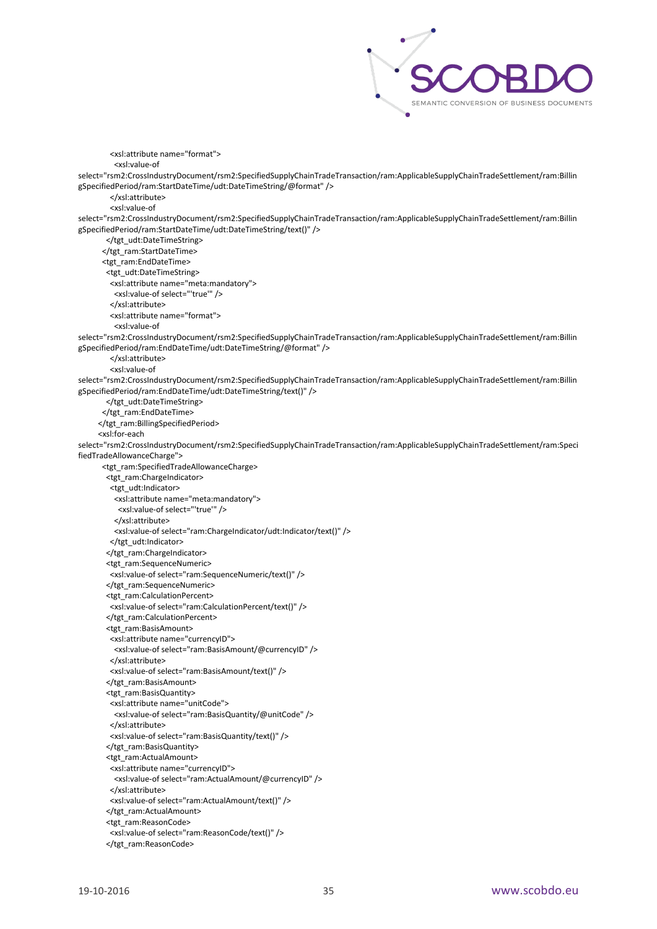

 <xsl:attribute name="format"> <xsl:value-of select="rsm2:CrossIndustryDocument/rsm2:SpecifiedSupplyChainTradeTransaction/ram:ApplicableSupplyChainTradeSettlement/ram:Billin gSpecifiedPeriod/ram:StartDateTime/udt:DateTimeString/@format" /> </xsl:attribute> <xsl:value-of select="rsm2:CrossIndustryDocument/rsm2:SpecifiedSupplyChainTradeTransaction/ram:ApplicableSupplyChainTradeSettlement/ram:Billin gSpecifiedPeriod/ram:StartDateTime/udt:DateTimeString/text()" /> </tgt\_udt:DateTimeString> </tgt\_ram:StartDateTime> <tgt\_ram:EndDateTime> <tgt\_udt:DateTimeString> <xsl:attribute name="meta:mandatory"> <xsl:value-of select="'true'" /> </xsl:attribute> <xsl:attribute name="format"> <xsl:value-of select="rsm2:CrossIndustryDocument/rsm2:SpecifiedSupplyChainTradeTransaction/ram:ApplicableSupplyChainTradeSettlement/ram:Billin gSpecifiedPeriod/ram:EndDateTime/udt:DateTimeString/@format" /> </xsl:attribute> <xsl:value-of select="rsm2:CrossIndustryDocument/rsm2:SpecifiedSupplyChainTradeTransaction/ram:ApplicableSupplyChainTradeSettlement/ram:Billin gSpecifiedPeriod/ram:EndDateTime/udt:DateTimeString/text()" /> </tgt\_udt:DateTimeString> </tgt\_ram:EndDateTime> </tgt\_ram:BillingSpecifiedPeriod> <xsl:for-each select="rsm2:CrossIndustryDocument/rsm2:SpecifiedSupplyChainTradeTransaction/ram:ApplicableSupplyChainTradeSettlement/ram:Speci fiedTradeAllowanceCharge"> <tgt\_ram:SpecifiedTradeAllowanceCharge> <tgt\_ram:ChargeIndicator> <tgt\_udt:Indicator> <xsl:attribute name="meta:mandatory"> <xsl:value-of select="'true'" /> </xsl:attribute> <xsl:value-of select="ram:ChargeIndicator/udt:Indicator/text()" /> </tgt\_udt:Indicator> </tgt\_ram:ChargeIndicator> <tgt\_ram:SequenceNumeric> <xsl:value-of select="ram:SequenceNumeric/text()" /> </tgt\_ram:SequenceNumeric> <tgt\_ram:CalculationPercent> <xsl:value-of select="ram:CalculationPercent/text()" /> </tgt\_ram:CalculationPercent> <tgt\_ram:BasisAmount> <xsl:attribute name="currencyID"> <xsl:value-of select="ram:BasisAmount/@currencyID" /> </xsl:attribute> <xsl:value-of select="ram:BasisAmount/text()" /> </tgt\_ram:BasisAmount> <tgt\_ram:BasisQuantity> <xsl:attribute name="unitCode"> <xsl:value-of select="ram:BasisQuantity/@unitCode" /> </xsl:attribute> <xsl:value-of select="ram:BasisQuantity/text()" /> </tgt\_ram:BasisQuantity> <tgt\_ram:ActualAmount> <xsl:attribute name="currencyID"> <xsl:value-of select="ram:ActualAmount/@currencyID" /> </xsl:attribute> <xsl:value-of select="ram:ActualAmount/text()" /> </tgt\_ram:ActualAmount> <tgt\_ram:ReasonCode> <xsl:value-of select="ram:ReasonCode/text()" /> </tgt\_ram:ReasonCode>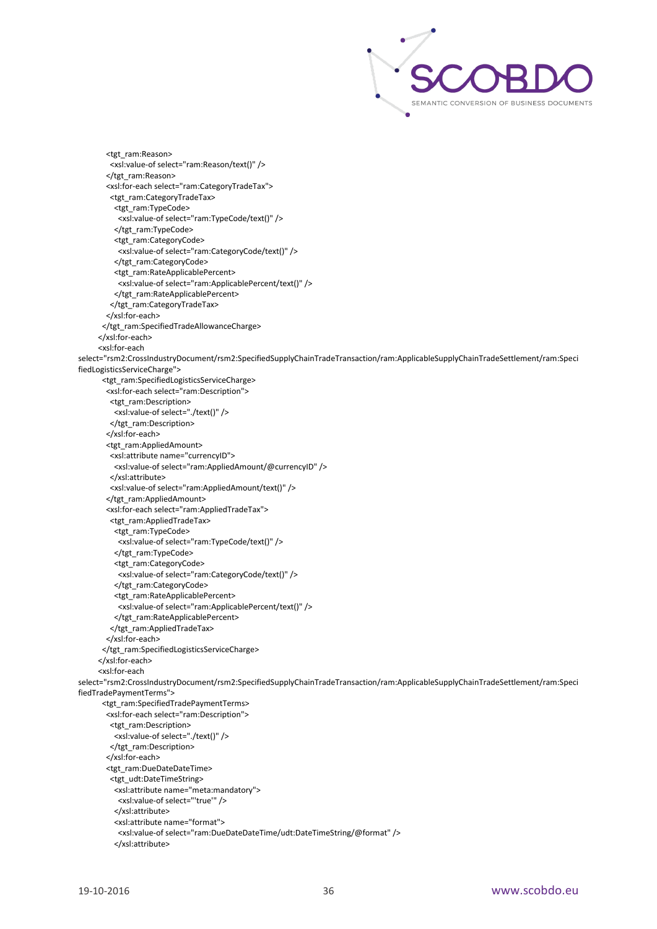

 <tgt\_ram:Reason> <xsl:value-of select="ram:Reason/text()" /> </tgt\_ram:Reason> <xsl:for-each select="ram:CategoryTradeTax"> <tgt\_ram:CategoryTradeTax> <tgt\_ram:TypeCode> <xsl:value-of select="ram:TypeCode/text()" /> </tgt\_ram:TypeCode> <tgt\_ram:CategoryCode> <xsl:value-of select="ram:CategoryCode/text()" /> </tgt\_ram:CategoryCode> <tgt\_ram:RateApplicablePercent> <xsl:value-of select="ram:ApplicablePercent/text()" /> </tgt\_ram:RateApplicablePercent> </tgt\_ram:CategoryTradeTax> </xsl:for-each> </tgt\_ram:SpecifiedTradeAllowanceCharge> </xsl:for-each> <xsl:for-each select="rsm2:CrossIndustryDocument/rsm2:SpecifiedSupplyChainTradeTransaction/ram:ApplicableSupplyChainTradeSettlement/ram:Speci fiedLogisticsServiceCharge"> <tgt\_ram:SpecifiedLogisticsServiceCharge> <xsl:for-each select="ram:Description"> <tgt\_ram:Description>  $\overline{\phantom{a}}$  <xsl:value-of select="./text()" /> </tgt\_ram:Description> </xsl:for-each> <tgt\_ram:AppliedAmount> <xsl:attribute name="currencyID"> <xsl:value-of select="ram:AppliedAmount/@currencyID" /> </xsl:attribute> <xsl:value-of select="ram:AppliedAmount/text()" /> </tgt\_ram:AppliedAmount> <xsl:for-each select="ram:AppliedTradeTax"> <tgt\_ram:AppliedTradeTax> <tgt\_ram:TypeCode> <xsl:value-of select="ram:TypeCode/text()" /> </tgt\_ram:TypeCode> <tgt\_ram:CategoryCode> <xsl:value-of select="ram:CategoryCode/text()" /> </tgt\_ram:CategoryCode> <tgt\_ram:RateApplicablePercent> <xsl:value-of select="ram:ApplicablePercent/text()" /> </tgt\_ram:RateApplicablePercent> </tgt\_ram:AppliedTradeTax> </xsl:for-each> </tgt\_ram:SpecifiedLogisticsServiceCharge> </xsl:for-each> <xsl:for-each select="rsm2:CrossIndustryDocument/rsm2:SpecifiedSupplyChainTradeTransaction/ram:ApplicableSupplyChainTradeSettlement/ram:Speci fiedTradePaymentTerms"> <tgt\_ram:SpecifiedTradePaymentTerms> <xsl:for-each select="ram:Description"> <tgt\_ram:Description> <xsl:value-of select="./text()" /> </tgt\_ram:Description> </xsl:for-each> <tgt\_ram:DueDateDateTime> <tgt\_udt:DateTimeString> <xsl:attribute name="meta:mandatory"> <xsl:value-of select="'true'" /> </xsl:attribute> <xsl:attribute name="format"> <xsl:value-of select="ram:DueDateDateTime/udt:DateTimeString/@format" /> </xsl:attribute>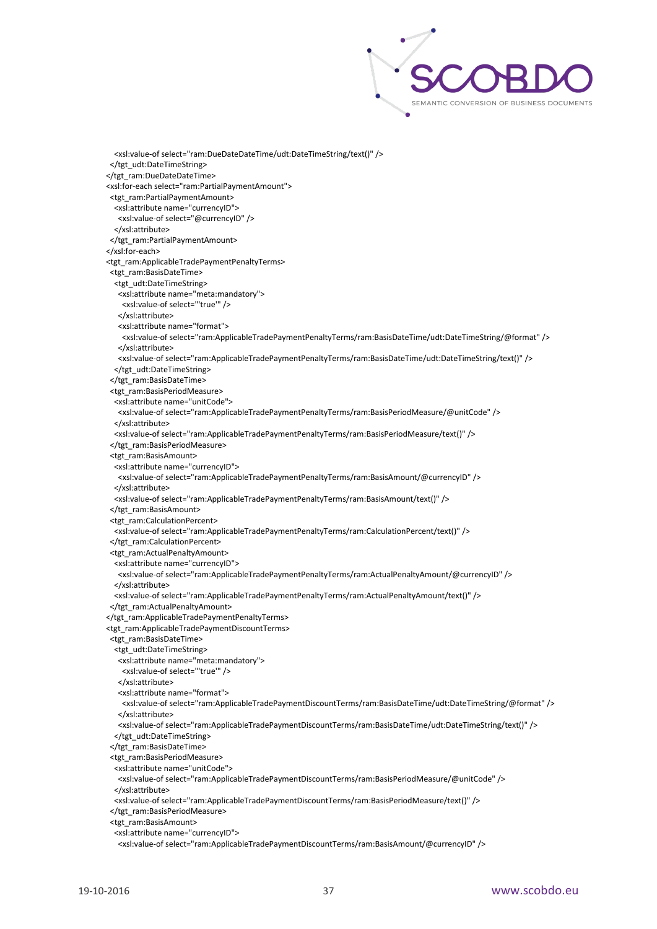

 <xsl:value-of select="ram:DueDateDateTime/udt:DateTimeString/text()" /> </tgt\_udt:DateTimeString> </tgt\_ram:DueDateDateTime> <xsl:for-each select="ram:PartialPaymentAmount"> <tgt\_ram:PartialPaymentAmount> <xsl:attribute name="currencyID"> <xsl:value-of select="@currencyID" /> </xsl:attribute> </tgt\_ram:PartialPaymentAmount> </xsl:for-each> <tgt\_ram:ApplicableTradePaymentPenaltyTerms> <tgt\_ram:BasisDateTime> <tgt\_udt:DateTimeString> <xsl:attribute name="meta:mandatory"> <xsl:value-of select="'true'" /> </xsl:attribute> <xsl:attribute name="format"> <xsl:value-of select="ram:ApplicableTradePaymentPenaltyTerms/ram:BasisDateTime/udt:DateTimeString/@format" /> </xsl:attribute> <xsl:value-of select="ram:ApplicableTradePaymentPenaltyTerms/ram:BasisDateTime/udt:DateTimeString/text()" /> </tgt\_udt:DateTimeString> </tgt\_ram:BasisDateTime> <tgt\_ram:BasisPeriodMeasure> <xsl:attribute name="unitCode"> <xsl:value-of select="ram:ApplicableTradePaymentPenaltyTerms/ram:BasisPeriodMeasure/@unitCode" /> </xsl:attribute> <xsl:value-of select="ram:ApplicableTradePaymentPenaltyTerms/ram:BasisPeriodMeasure/text()" /> </tgt\_ram:BasisPeriodMeasure> <tgt\_ram:BasisAmount> <xsl:attribute name="currencyID"> <xsl:value-of select="ram:ApplicableTradePaymentPenaltyTerms/ram:BasisAmount/@currencyID" /> </xsl:attribute> <xsl:value-of select="ram:ApplicableTradePaymentPenaltyTerms/ram:BasisAmount/text()" /> </tgt\_ram:BasisAmount> <tgt\_ram:CalculationPercent> <xsl:value-of select="ram:ApplicableTradePaymentPenaltyTerms/ram:CalculationPercent/text()" /> </tgt\_ram:CalculationPercent> <tgt\_ram:ActualPenaltyAmount> <xsl:attribute name="currencyID"> <xsl:value-of select="ram:ApplicableTradePaymentPenaltyTerms/ram:ActualPenaltyAmount/@currencyID" /> </xsl:attribute> <xsl:value-of select="ram:ApplicableTradePaymentPenaltyTerms/ram:ActualPenaltyAmount/text()" /> </tgt\_ram:ActualPenaltyAmount> </tgt\_ram:ApplicableTradePaymentPenaltyTerms> <tgt\_ram:ApplicableTradePaymentDiscountTerms> <tgt\_ram:BasisDateTime> <tgt\_udt:DateTimeString> <xsl:attribute name="meta:mandatory"> <xsl:value-of select="'true'" /> </xsl:attribute> <xsl:attribute name="format"> <xsl:value-of select="ram:ApplicableTradePaymentDiscountTerms/ram:BasisDateTime/udt:DateTimeString/@format" /> </xsl:attribute> <xsl:value-of select="ram:ApplicableTradePaymentDiscountTerms/ram:BasisDateTime/udt:DateTimeString/text()" /> </tgt\_udt:DateTimeString> </tgt\_ram:BasisDateTime> <tgt\_ram:BasisPeriodMeasure> <xsl:attribute name="unitCode"> <xsl:value-of select="ram:ApplicableTradePaymentDiscountTerms/ram:BasisPeriodMeasure/@unitCode" /> </xsl:attribute> <xsl:value-of select="ram:ApplicableTradePaymentDiscountTerms/ram:BasisPeriodMeasure/text()" /> </tgt\_ram:BasisPeriodMeasure> <tgt\_ram:BasisAmount> <xsl:attribute name="currencyID"> <xsl:value-of select="ram:ApplicableTradePaymentDiscountTerms/ram:BasisAmount/@currencyID" />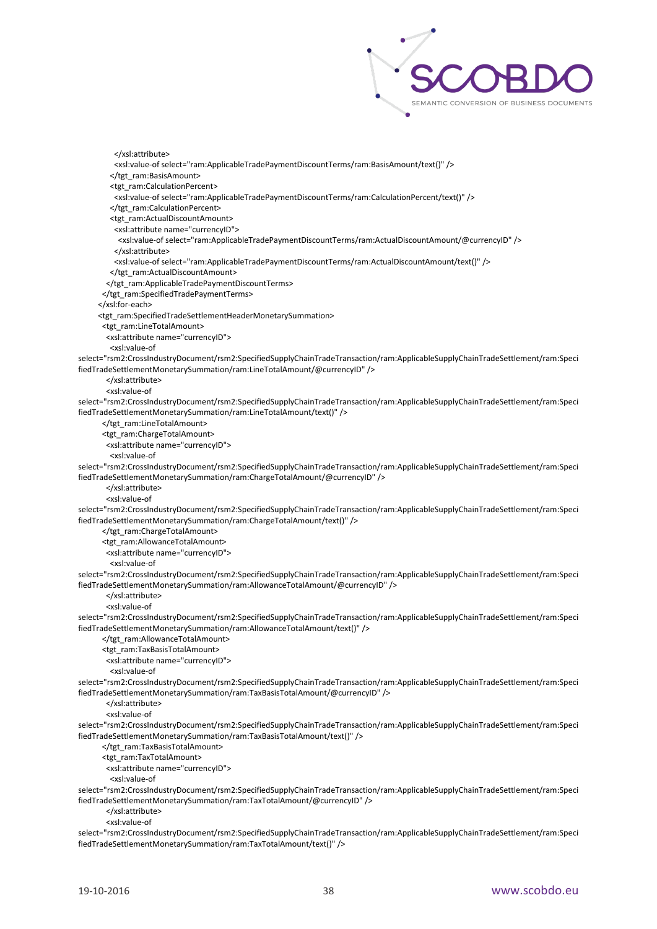

 </xsl:attribute> <xsl:value-of select="ram:ApplicableTradePaymentDiscountTerms/ram:BasisAmount/text()" /> </tgt\_ram:BasisAmount> <tgt\_ram:CalculationPercent> <xsl:value-of select="ram:ApplicableTradePaymentDiscountTerms/ram:CalculationPercent/text()" /> </tgt\_ram:CalculationPercent> <tgt\_ram:ActualDiscountAmount> <xsl:attribute name="currencyID"> <xsl:value-of select="ram:ApplicableTradePaymentDiscountTerms/ram:ActualDiscountAmount/@currencyID" /> </xsl:attribute> <xsl:value-of select="ram:ApplicableTradePaymentDiscountTerms/ram:ActualDiscountAmount/text()" /> </tgt\_ram:ActualDiscountAmount> </tgt\_ram:ApplicableTradePaymentDiscountTerms> </tgt\_ram:SpecifiedTradePaymentTerms> </xsl:for-each> <tgt\_ram:SpecifiedTradeSettlementHeaderMonetarySummation> <tgt\_ram:LineTotalAmount> <xsl:attribute name="currencyID"> <xsl:value-of select="rsm2:CrossIndustryDocument/rsm2:SpecifiedSupplyChainTradeTransaction/ram:ApplicableSupplyChainTradeSettlement/ram:Speci fiedTradeSettlementMonetarySummation/ram:LineTotalAmount/@currencyID" /> </xsl:attribute> <xsl:value-of select="rsm2:CrossIndustryDocument/rsm2:SpecifiedSupplyChainTradeTransaction/ram:ApplicableSupplyChainTradeSettlement/ram:Speci fiedTradeSettlementMonetarySummation/ram:LineTotalAmount/text()" /> </tgt\_ram:LineTotalAmount> <tgt\_ram:ChargeTotalAmount> <xsl:attribute name="currencyID"> <xsl:value-of select="rsm2:CrossIndustryDocument/rsm2:SpecifiedSupplyChainTradeTransaction/ram:ApplicableSupplyChainTradeSettlement/ram:Speci fiedTradeSettlementMonetarySummation/ram:ChargeTotalAmount/@currencyID" /> </xsl:attribute> <xsl:value-of select="rsm2:CrossIndustryDocument/rsm2:SpecifiedSupplyChainTradeTransaction/ram:ApplicableSupplyChainTradeSettlement/ram:Speci fiedTradeSettlementMonetarySummation/ram:ChargeTotalAmount/text()" /> </tgt\_ram:ChargeTotalAmount> <tgt\_ram:AllowanceTotalAmount> <xsl:attribute name="currencyID"> <xsl:value-of select="rsm2:CrossIndustryDocument/rsm2:SpecifiedSupplyChainTradeTransaction/ram:ApplicableSupplyChainTradeSettlement/ram:Speci fiedTradeSettlementMonetarySummation/ram:AllowanceTotalAmount/@currencyID" /> </xsl:attribute> <xsl:value-of select="rsm2:CrossIndustryDocument/rsm2:SpecifiedSupplyChainTradeTransaction/ram:ApplicableSupplyChainTradeSettlement/ram:Speci fiedTradeSettlementMonetarySummation/ram:AllowanceTotalAmount/text()" /> </tgt\_ram:AllowanceTotalAmount> <tgt\_ram:TaxBasisTotalAmount> <xsl:attribute name="currencyID"> <xsl:value-of select="rsm2:CrossIndustryDocument/rsm2:SpecifiedSupplyChainTradeTransaction/ram:ApplicableSupplyChainTradeSettlement/ram:Speci fiedTradeSettlementMonetarySummation/ram:TaxBasisTotalAmount/@currencyID" /> </xsl:attribute> <xsl:value-of select="rsm2:CrossIndustryDocument/rsm2:SpecifiedSupplyChainTradeTransaction/ram:ApplicableSupplyChainTradeSettlement/ram:Speci fiedTradeSettlementMonetarySummation/ram:TaxBasisTotalAmount/text()" /> </tgt\_ram:TaxBasisTotalAmount> <tgt\_ram:TaxTotalAmount> <xsl:attribute name="currencyID"> <xsl:value-of select="rsm2:CrossIndustryDocument/rsm2:SpecifiedSupplyChainTradeTransaction/ram:ApplicableSupplyChainTradeSettlement/ram:Speci fiedTradeSettlementMonetarySummation/ram:TaxTotalAmount/@currencyID" /> </xsl:attribute> <xsl:value-of

select="rsm2:CrossIndustryDocument/rsm2:SpecifiedSupplyChainTradeTransaction/ram:ApplicableSupplyChainTradeSettlement/ram:Speci fiedTradeSettlementMonetarySummation/ram:TaxTotalAmount/text()" />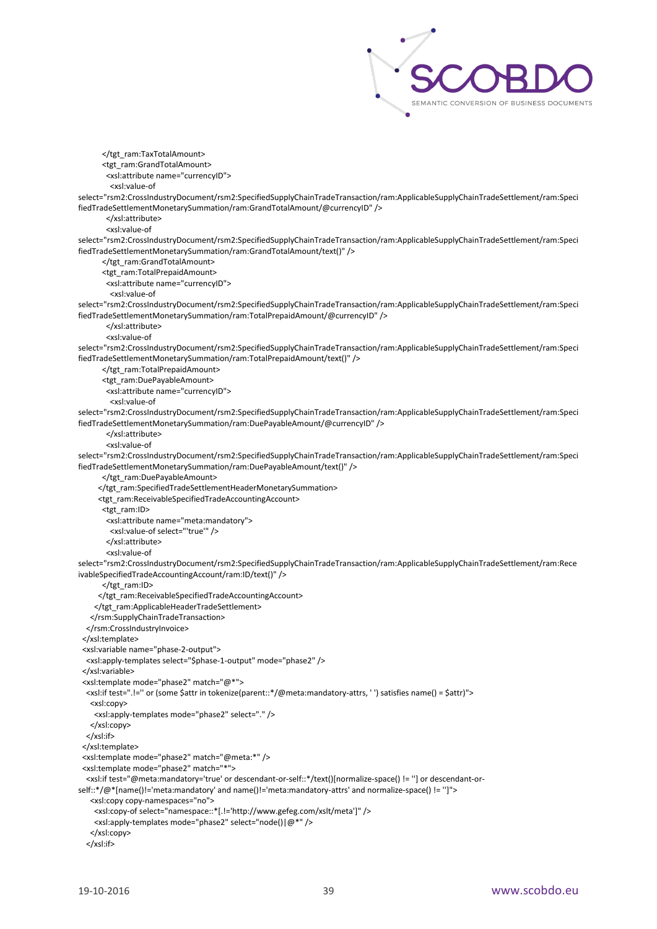

</tgt\_ram:TaxTotalAmount> <tgt\_ram:GrandTotalAmount> <xsl:attribute name="currencyID"> <xsl:value-of select="rsm2:CrossIndustryDocument/rsm2:SpecifiedSupplyChainTradeTransaction/ram:ApplicableSupplyChainTradeSettlement/ram:Speci fiedTradeSettlementMonetarySummation/ram:GrandTotalAmount/@currencyID" /> </xsl:attribute> <xsl:value-of select="rsm2:CrossIndustryDocument/rsm2:SpecifiedSupplyChainTradeTransaction/ram:ApplicableSupplyChainTradeSettlement/ram:Speci fiedTradeSettlementMonetarySummation/ram:GrandTotalAmount/text()" /> </tgt\_ram:GrandTotalAmount> <tgt\_ram:TotalPrepaidAmount> <xsl:attribute name="currencyID"> <xsl:value-of select="rsm2:CrossIndustryDocument/rsm2:SpecifiedSupplyChainTradeTransaction/ram:ApplicableSupplyChainTradeSettlement/ram:Speci fiedTradeSettlementMonetarySummation/ram:TotalPrepaidAmount/@currencyID" /> </xsl:attribute> <xsl:value-of select="rsm2:CrossIndustryDocument/rsm2:SpecifiedSupplyChainTradeTransaction/ram:ApplicableSupplyChainTradeSettlement/ram:Speci fiedTradeSettlementMonetarySummation/ram:TotalPrepaidAmount/text()" /> </tgt\_ram:TotalPrepaidAmount> <tgt\_ram:DuePayableAmount> <xsl:attribute name="currencyID"> <xsl:value-of select="rsm2:CrossIndustryDocument/rsm2:SpecifiedSupplyChainTradeTransaction/ram:ApplicableSupplyChainTradeSettlement/ram:Speci fiedTradeSettlementMonetarySummation/ram:DuePayableAmount/@currencyID" /> </xsl:attribute> <xsl:value-of select="rsm2:CrossIndustryDocument/rsm2:SpecifiedSupplyChainTradeTransaction/ram:ApplicableSupplyChainTradeSettlement/ram:Speci fiedTradeSettlementMonetarySummation/ram:DuePayableAmount/text()" /> </tgt\_ram:DuePayableAmount> </tgt\_ram:SpecifiedTradeSettlementHeaderMonetarySummation> <tgt\_ram:ReceivableSpecifiedTradeAccountingAccount> <tgt\_ram:ID> <xsl:attribute name="meta:mandatory"> <xsl:value-of select="'true'" /> </xsl:attribute> <xsl:value-of select="rsm2:CrossIndustryDocument/rsm2:SpecifiedSupplyChainTradeTransaction/ram:ApplicableSupplyChainTradeSettlement/ram:Rece ivableSpecifiedTradeAccountingAccount/ram:ID/text()" /> </tgt\_ram:ID> </tgt\_ram:ReceivableSpecifiedTradeAccountingAccount> </tgt\_ram:ApplicableHeaderTradeSettlement> </rsm:SupplyChainTradeTransaction> </rsm:CrossIndustryInvoice> </xsl:template> <xsl:variable name="phase-2-output"> <xsl:apply-templates select="\$phase-1-output" mode="phase2" /> </xsl:variable> <xsl:template mode="phase2" match="@\*"> <xsl:if test=".!='' or (some \$attr in tokenize(parent::\*/@meta:mandatory-attrs, ' ') satisfies name() = \$attr)"> <xsl:copy> <xsl:apply-templates mode="phase2" select="." /> </xsl:copy> </xsl:if> </xsl:template> <xsl:template mode="phase2" match="@meta:\*" /> <xsl:template mode="phase2" match="\*"> <xsl:if test="@meta:mandatory='true' or descendant-or-self::\*/text()[normalize-space() != ''] or descendant-orself::\*/@\*[name()!='meta:mandatory' and name()!='meta:mandatory-attrs' and normalize-space() != '']"> <xsl:copy copy-namespaces="no"> <xsl:copy-of select="namespace::\*[.!='http://www.gefeg.com/xslt/meta']" /> <xsl:apply-templates mode="phase2" select="node()|@\*" /> </xsl:copy> </xsl:if>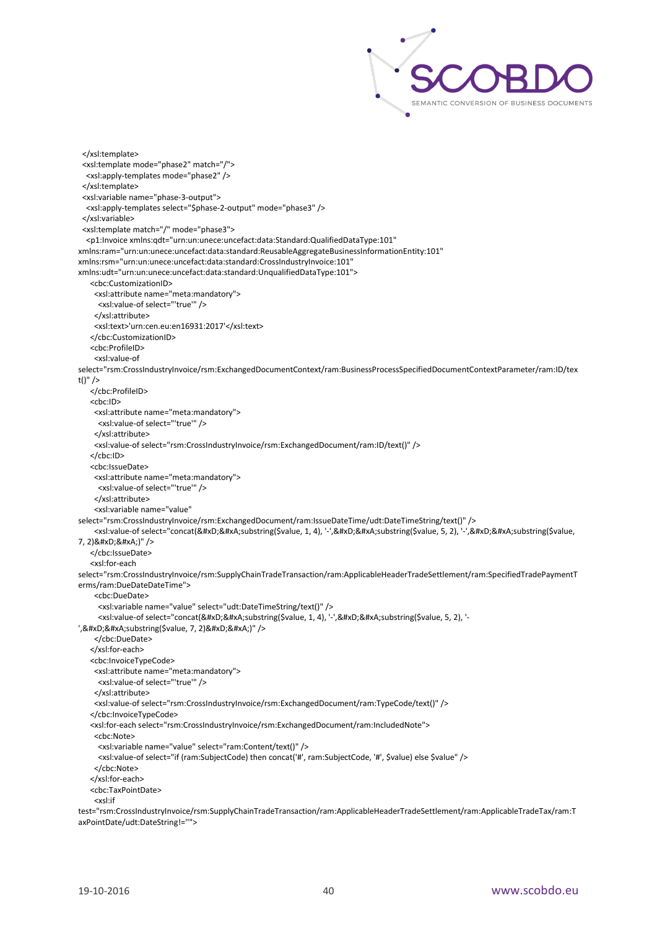

```
 </xsl:template>
  <xsl:template mode="phase2" match="/">
   <xsl:apply-templates mode="phase2" />
  </xsl:template>
  <xsl:variable name="phase-3-output">
   <xsl:apply-templates select="$phase-2-output" mode="phase3" />
  </xsl:variable>
  <xsl:template match="/" mode="phase3">
   <p1:Invoice xmlns:qdt="urn:un:unece:uncefact:data:Standard:QualifiedDataType:101" 
xmlns:ram="urn:un:unece:uncefact:data:standard:ReusableAggregateBusinessInformationEntity:101" 
xmlns:rsm="urn:un:unece:uncefact:data:standard:CrossIndustryInvoice:101" 
xmlns:udt="urn:un:unece:uncefact:data:standard:UnqualifiedDataType:101">
    <cbc:CustomizationID>
     <xsl:attribute name="meta:mandatory">
      <xsl:value-of select="'true'" />
     </xsl:attribute>
     <xsl:text>'urn:cen.eu:en16931:2017'</xsl:text>
    </cbc:CustomizationID>
    <cbc:ProfileID>
     <xsl:value-of 
select="rsm:CrossIndustryInvoice/rsm:ExchangedDocumentContext/ram:BusinessProcessSpecifiedDocumentContextParameter/ram:ID/tex
t()" />
    </cbc:ProfileID>
    <cbc:ID>
     <xsl:attribute name="meta:mandatory">
      <xsl:value-of select="'true'" />
     </xsl:attribute>
     <xsl:value-of select="rsm:CrossIndustryInvoice/rsm:ExchangedDocument/ram:ID/text()" />
    </cbc:ID>
    <cbc:IssueDate>
     <xsl:attribute name="meta:mandatory">
      <xsl:value-of select="'true'" />
     </xsl:attribute>
     <xsl:variable name="value" 
select="rsm:CrossIndustryInvoice/rsm:ExchangedDocument/ram:IssueDateTime/udt:DateTimeString/text()" />
    <xsl:value-of select="concat(&#xD;&#xA;substring($value, 1, 4), '-',&#xD;&#xA;substring($value, 5, 2), '-',&#xD;&#xA;substring($value,
7, 2) & #xD; & #xA;)" />
    </cbc:IssueDate>
    <xsl:for-each 
select="rsm:CrossIndustryInvoice/rsm:SupplyChainTradeTransaction/ram:ApplicableHeaderTradeSettlement/ram:SpecifiedTradePaymentT
erms/ram:DueDateDateTime">
     <cbc:DueDate>
      <xsl:variable name="value" select="udt:DateTimeString/text()" />
     <xsl:value-of select="concat(&#xD;&#xA;substring($value, 1, 4), '-',&#xD;&#xA;substring($value, 5, 2), '-
', 

 substring ($value, 7, 2) 

)" />
     </cbc:DueDate>
    </xsl:for-each>
    <cbc:InvoiceTypeCode>
     <xsl:attribute name="meta:mandatory">
      <xsl:value-of select="'true'" />
     </xsl:attribute>
     <xsl:value-of select="rsm:CrossIndustryInvoice/rsm:ExchangedDocument/ram:TypeCode/text()" />
    </cbc:InvoiceTypeCode>
    <xsl:for-each select="rsm:CrossIndustryInvoice/rsm:ExchangedDocument/ram:IncludedNote">
     <cbc:Note>
      <xsl:variable name="value" select="ram:Content/text()" />
      <xsl:value-of select="if (ram:SubjectCode) then concat('#', ram:SubjectCode, '#', $value) else $value" />
     </cbc:Note>
    </xsl:for-each>
    <cbc:TaxPointDate>
    \epsilonycl\cdotif
test="rsm:CrossIndustryInvoice/rsm:SupplyChainTradeTransaction/ram:ApplicableHeaderTradeSettlement/ram:ApplicableTradeTax/ram:T
axPointDate/udt:DateString!=''">
```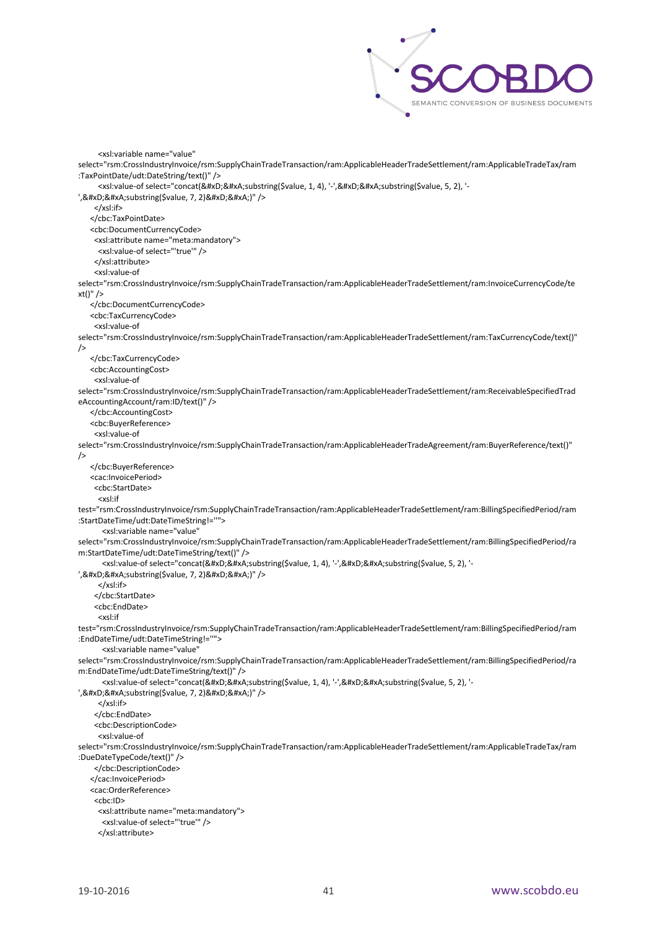

```
 <xsl:variable name="value" 
select="rsm:CrossIndustryInvoice/rsm:SupplyChainTradeTransaction/ram:ApplicableHeaderTradeSettlement/ram:ApplicableTradeTax/ram
:TaxPointDate/udt:DateString/text()" />
     <xsl:value-of select="concat(&#xD;&#xA;substring($value, 1, 4), '-',&#xD;&#xA;substring($value, 5, 2), '-
', & #xD; & #xA; substring ($value, 7, 2) & #xD; & #xA;)" />
     </xsl:if>
    </cbc:TaxPointDate>
    <cbc:DocumentCurrencyCode>
     <xsl:attribute name="meta:mandatory">
      <xsl:value-of select="'true'" />
     </xsl:attribute>
     <xsl:value-of 
select="rsm:CrossIndustryInvoice/rsm:SupplyChainTradeTransaction/ram:ApplicableHeaderTradeSettlement/ram:InvoiceCurrencyCode/te
xt()" />
    </cbc:DocumentCurrencyCode>
    <cbc:TaxCurrencyCode>
     <xsl:value-of 
select="rsm:CrossIndustryInvoice/rsm:SupplyChainTradeTransaction/ram:ApplicableHeaderTradeSettlement/ram:TaxCurrencyCode/text()" 
/>
    </cbc:TaxCurrencyCode>
    <cbc:AccountingCost>
     <xsl:value-of 
select="rsm:CrossIndustryInvoice/rsm:SupplyChainTradeTransaction/ram:ApplicableHeaderTradeSettlement/ram:ReceivableSpecifiedTrad
eAccountingAccount/ram:ID/text()" />
    </cbc:AccountingCost>
    <cbc:BuyerReference>
     <xsl:value-of 
select="rsm:CrossIndustryInvoice/rsm:SupplyChainTradeTransaction/ram:ApplicableHeaderTradeAgreement/ram:BuyerReference/text()"
/>
    </cbc:BuyerReference>
    <cac:InvoicePeriod>
     <cbc:StartDate>
      <xsl:if 
test="rsm:CrossIndustryInvoice/rsm:SupplyChainTradeTransaction/ram:ApplicableHeaderTradeSettlement/ram:BillingSpecifiedPeriod/ram
:StartDateTime/udt:DateTimeString!=''">
       <xsl:variable name="value" 
select="rsm:CrossIndustryInvoice/rsm:SupplyChainTradeTransaction/ram:ApplicableHeaderTradeSettlement/ram:BillingSpecifiedPeriod/ra
m:StartDateTime/udt:DateTimeString/text()" />
       <xsl:value-of select="concat(&#xD;&#xA;substring($value, 1, 4), '-',&#xD;&#xA;substring($value, 5, 2), '-
', 

 substring ($value, 7, 2) 

)" />
      </xsl:if>
     </cbc:StartDate>
     <cbc:EndDate>
      <xsl:if 
test="rsm:CrossIndustryInvoice/rsm:SupplyChainTradeTransaction/ram:ApplicableHeaderTradeSettlement/ram:BillingSpecifiedPeriod/ram
:EndDateTime/udt:DateTimeString!=''">
        <xsl:variable name="value" 
select="rsm:CrossIndustryInvoice/rsm:SupplyChainTradeTransaction/ram:ApplicableHeaderTradeSettlement/ram:BillingSpecifiedPeriod/ra
m:EndDateTime/udt:DateTimeString/text()" />
      <xsl:value-of select="concat(&#xD;&#xA;substring($value, 1, 4), '-',&#xD;&#xA;substring($value, 5, 2), '-
', 

 substring ($value, 7, 2) 

)" />
      </xsl:if>
     </cbc:EndDate>
     <cbc:DescriptionCode>
      <xsl:value-of 
select="rsm:CrossIndustryInvoice/rsm:SupplyChainTradeTransaction/ram:ApplicableHeaderTradeSettlement/ram:ApplicableTradeTax/ram
:DueDateTypeCode/text()" />
     </cbc:DescriptionCode>
    </cac:InvoicePeriod>
    <cac:OrderReference>
     <cbc:ID>
      <xsl:attribute name="meta:mandatory">
       <xsl:value-of select="'true'" />
      </xsl:attribute>
```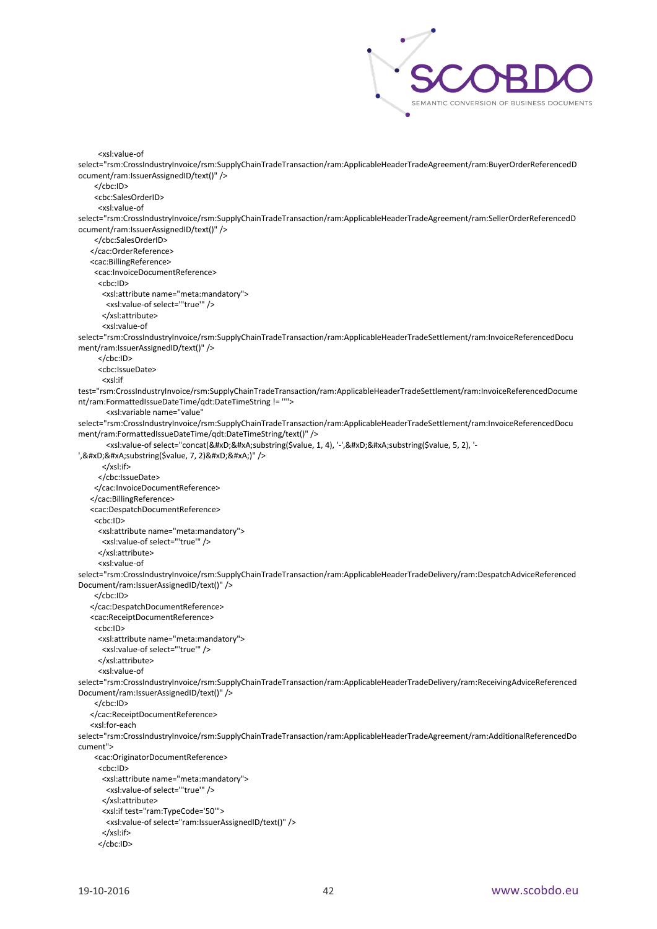

```
 <xsl:value-of 
select="rsm:CrossIndustryInvoice/rsm:SupplyChainTradeTransaction/ram:ApplicableHeaderTradeAgreement/ram:BuyerOrderReferencedD
ocument/ram:IssuerAssignedID/text()" />
     </cbc:ID>
     <cbc:SalesOrderID>
      <xsl:value-of 
select="rsm:CrossIndustryInvoice/rsm:SupplyChainTradeTransaction/ram:ApplicableHeaderTradeAgreement/ram:SellerOrderReferencedD
ocument/ram:IssuerAssignedID/text()" />
     </cbc:SalesOrderID>
    </cac:OrderReference>
    <cac:BillingReference>
     <cac:InvoiceDocumentReference>
      <cbc:ID>
       <xsl:attribute name="meta:mandatory">
        <xsl:value-of select="'true'" />
       </xsl:attribute>
       <xsl:value-of 
select="rsm:CrossIndustryInvoice/rsm:SupplyChainTradeTransaction/ram:ApplicableHeaderTradeSettlement/ram:InvoiceReferencedDocu
ment/ram:IssuerAssignedID/text()" />
      </cbc:ID>
      <cbc:IssueDate>
        <xsl:if 
test="rsm:CrossIndustryInvoice/rsm:SupplyChainTradeTransaction/ram:ApplicableHeaderTradeSettlement/ram:InvoiceReferencedDocume
nt/ram:FormattedIssueDateTime/qdt:DateTimeString != ''">
        <xsl:variable name="value" 
select="rsm:CrossIndustryInvoice/rsm:SupplyChainTradeTransaction/ram:ApplicableHeaderTradeSettlement/ram:InvoiceReferencedDocu
ment/ram:FormattedIssueDateTime/qdt:DateTimeString/text()" />
        <xsl:value-of select="concat(&#xD;&#xA;substring($value, 1, 4), '-',&#xD;&#xA;substring($value, 5, 2), '-
', & #xD; & #xA; substring ($value, 7, 2) & #xD; & #xA;)" />
        </xsl:if>
       </cbc:IssueDate>
     </cac:InvoiceDocumentReference>
    </cac:BillingReference>
    <cac:DespatchDocumentReference>
     <cbc:ID>
      <xsl:attribute name="meta:mandatory">
       <xsl:value-of select="'true'" />
      </xsl:attribute>
      <xsl:value-of 
select="rsm:CrossIndustryInvoice/rsm:SupplyChainTradeTransaction/ram:ApplicableHeaderTradeDelivery/ram:DespatchAdviceReferenced
Document/ram:IssuerAssignedID/text()" />
     </cbc:ID>
    </cac:DespatchDocumentReference>
    <cac:ReceiptDocumentReference>
     <cbc:ID>
      <xsl:attribute name="meta:mandatory">
       <xsl:value-of select="'true'" />
      </xsl:attribute>
      <xsl:value-of 
select="rsm:CrossIndustryInvoice/rsm:SupplyChainTradeTransaction/ram:ApplicableHeaderTradeDelivery/ram:ReceivingAdviceReferenced
Document/ram:IssuerAssignedID/text()" />
     </cbc:ID>
    </cac:ReceiptDocumentReference>
    <xsl:for-each 
select="rsm:CrossIndustryInvoice/rsm:SupplyChainTradeTransaction/ram:ApplicableHeaderTradeAgreement/ram:AdditionalReferencedDo
cument">
     <cac:OriginatorDocumentReference>
      <cbc:ID>
       <xsl:attribute name="meta:mandatory">
        <xsl:value-of select="'true'" />
       </xsl:attribute>
       <xsl:if test="ram:TypeCode='50'">
        <xsl:value-of select="ram:IssuerAssignedID/text()" />
       </xsl:if>
      </cbc:ID>
```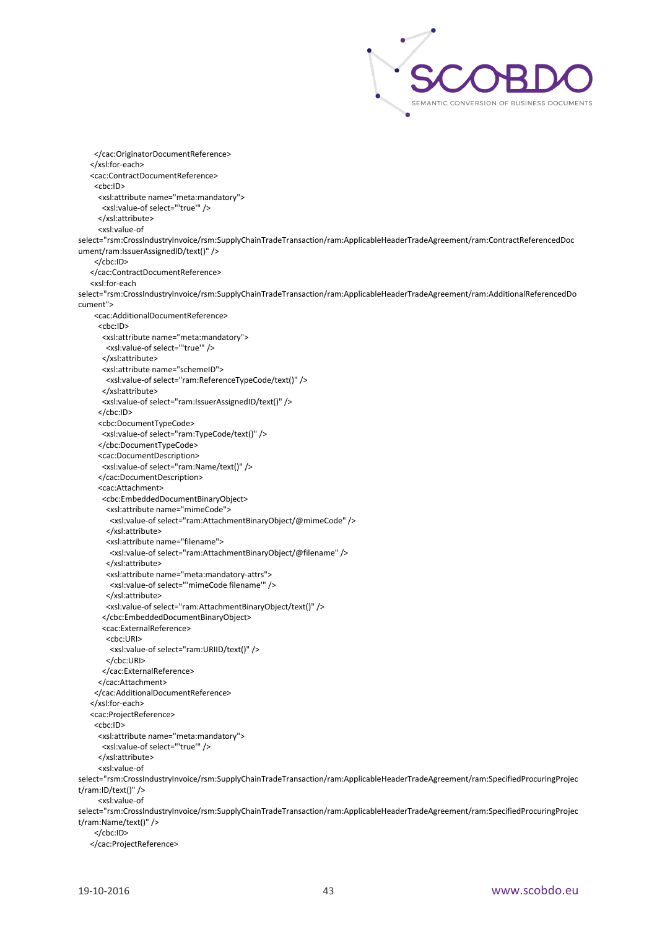

 </cac:OriginatorDocumentReference> </xsl:for-each> <cac:ContractDocumentReference> <cbc:ID> <xsl:attribute name="meta:mandatory"> <xsl:value-of select="'true'" /> </xsl:attribute> <xsl:value-of select="rsm:CrossIndustryInvoice/rsm:SupplyChainTradeTransaction/ram:ApplicableHeaderTradeAgreement/ram:ContractReferencedDoc ument/ram:IssuerAssignedID/text()" /> </cbc:ID> </cac:ContractDocumentReference> <xsl:for-each select="rsm:CrossIndustryInvoice/rsm:SupplyChainTradeTransaction/ram:ApplicableHeaderTradeAgreement/ram:AdditionalReferencedDo cument"> <cac:AdditionalDocumentReference> <cbc:ID> <xsl:attribute name="meta:mandatory"> <xsl:value-of select="'true'" /> </xsl:attribute> <xsl:attribute name="schemeID"> <xsl:value-of select="ram:ReferenceTypeCode/text()" /> </xsl:attribute> <xsl:value-of select="ram:IssuerAssignedID/text()" /> </cbc:ID> <cbc:DocumentTypeCode> <xsl:value-of select="ram:TypeCode/text()" /> </cbc:DocumentTypeCode> <cac:DocumentDescription> <xsl:value-of select="ram:Name/text()" /> </cac:DocumentDescription> <cac:Attachment> <cbc:EmbeddedDocumentBinaryObject> <xsl:attribute name="mimeCode"> <xsl:value-of select="ram:AttachmentBinaryObject/@mimeCode" /> </xsl:attribute> <xsl:attribute name="filename"> <xsl:value-of select="ram:AttachmentBinaryObject/@filename" /> </xsl:attribute> <xsl:attribute name="meta:mandatory-attrs"> <xsl:value-of select="'mimeCode filename'" /> </xsl:attribute> <xsl:value-of select="ram:AttachmentBinaryObject/text()" /> </cbc:EmbeddedDocumentBinaryObject> <cac:ExternalReference> <cbc:URI> <xsl:value-of select="ram:URIID/text()" /> </cbc:URI> </cac:ExternalReference> </cac:Attachment> </cac:AdditionalDocumentReference> </xsl:for-each> <cac:ProjectReference> <cbc:ID> <xsl:attribute name="meta:mandatory"> <xsl:value-of select="'true'" /> </xsl:attribute> <xsl:value-of select="rsm:CrossIndustryInvoice/rsm:SupplyChainTradeTransaction/ram:ApplicableHeaderTradeAgreement/ram:SpecifiedProcuringProjec t/ram:ID/text()" /> <xsl:value-of select="rsm:CrossIndustryInvoice/rsm:SupplyChainTradeTransaction/ram:ApplicableHeaderTradeAgreement/ram:SpecifiedProcuringProjec t/ram:Name/text()" /> </cbc:ID> </cac:ProjectReference>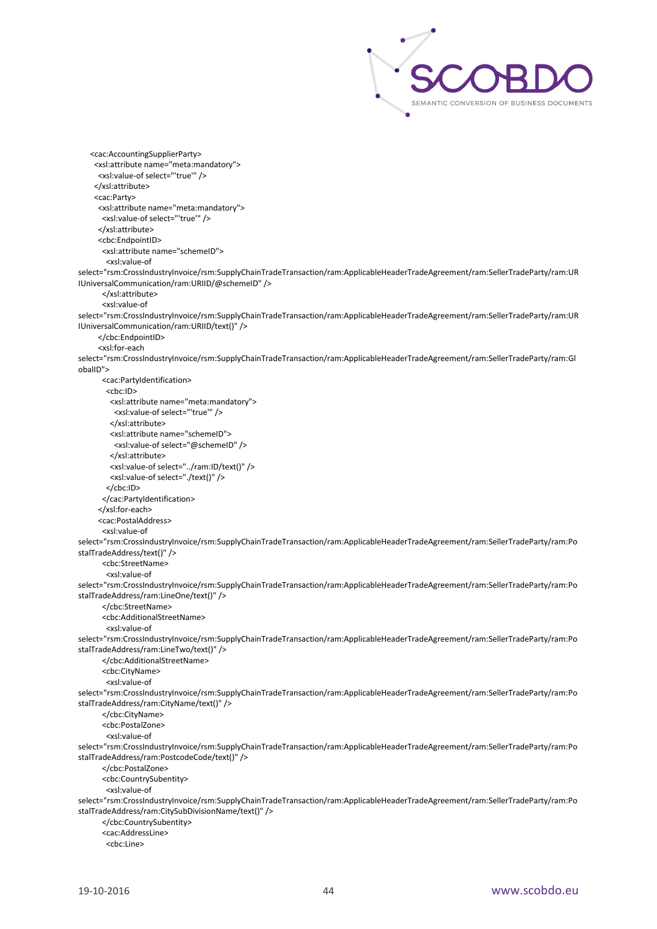

```
 <cac:AccountingSupplierParty>
     <xsl:attribute name="meta:mandatory">
      <xsl:value-of select="'true'" />
     </xsl:attribute>
     <cac:Party>
      <xsl:attribute name="meta:mandatory">
       <xsl:value-of select="'true'" />
      </xsl:attribute>
      <cbc:EndpointID>
       <xsl:attribute name="schemeID">
        <xsl:value-of 
select="rsm:CrossIndustryInvoice/rsm:SupplyChainTradeTransaction/ram:ApplicableHeaderTradeAgreement/ram:SellerTradeParty/ram:UR
IUniversalCommunication/ram:URIID/@schemeID" />
       </xsl:attribute>
        <xsl:value-of 
select="rsm:CrossIndustryInvoice/rsm:SupplyChainTradeTransaction/ram:ApplicableHeaderTradeAgreement/ram:SellerTradeParty/ram:UR
IUniversalCommunication/ram:URIID/text()" />
      </cbc:EndpointID>
      <xsl:for-each 
select="rsm:CrossIndustryInvoice/rsm:SupplyChainTradeTransaction/ram:ApplicableHeaderTradeAgreement/ram:SellerTradeParty/ram:Gl
obalID">
       <cac:PartyIdentification>
        <cbc:ID>
         <xsl:attribute name="meta:mandatory">
          <xsl:value-of select="'true'" />
         </xsl:attribute>
          <xsl:attribute name="schemeID">
          <xsl:value-of select="@schemeID" />
         </xsl:attribute>
         <xsl:value-of select="../ram:ID/text()" />
         <xsl:value-of select="./text()" />
         </cbc:ID>
       </cac:PartyIdentification>
      </xsl:for-each>
      <cac:PostalAddress>
       <xsl:value-of 
select="rsm:CrossIndustryInvoice/rsm:SupplyChainTradeTransaction/ram:ApplicableHeaderTradeAgreement/ram:SellerTradeParty/ram:Po
stalTradeAddress/text()" />
        <cbc:StreetName>
        <xsl:value-of 
select="rsm:CrossIndustryInvoice/rsm:SupplyChainTradeTransaction/ram:ApplicableHeaderTradeAgreement/ram:SellerTradeParty/ram:Po
stalTradeAddress/ram:LineOne/text()" />
       </cbc:StreetName>
       <cbc:AdditionalStreetName>
         <xsl:value-of 
select="rsm:CrossIndustryInvoice/rsm:SupplyChainTradeTransaction/ram:ApplicableHeaderTradeAgreement/ram:SellerTradeParty/ram:Po
stalTradeAddress/ram:LineTwo/text()" />
       </cbc:AdditionalStreetName>
       <cbc:CityName>
        <xsl:value-of 
select="rsm:CrossIndustryInvoice/rsm:SupplyChainTradeTransaction/ram:ApplicableHeaderTradeAgreement/ram:SellerTradeParty/ram:Po
stalTradeAddress/ram:CityName/text()" />
        </cbc:CityName>
        <cbc:PostalZone>
        <xsl:value-of 
select="rsm:CrossIndustryInvoice/rsm:SupplyChainTradeTransaction/ram:ApplicableHeaderTradeAgreement/ram:SellerTradeParty/ram:Po
stalTradeAddress/ram:PostcodeCode/text()" />
        </cbc:PostalZone>
       <cbc:CountrySubentity>
         <xsl:value-of 
select="rsm:CrossIndustryInvoice/rsm:SupplyChainTradeTransaction/ram:ApplicableHeaderTradeAgreement/ram:SellerTradeParty/ram:Po
stalTradeAddress/ram:CitySubDivisionName/text()" />
       </cbc:CountrySubentity>
       <cac:AddressLine>
        <cbc:Line>
```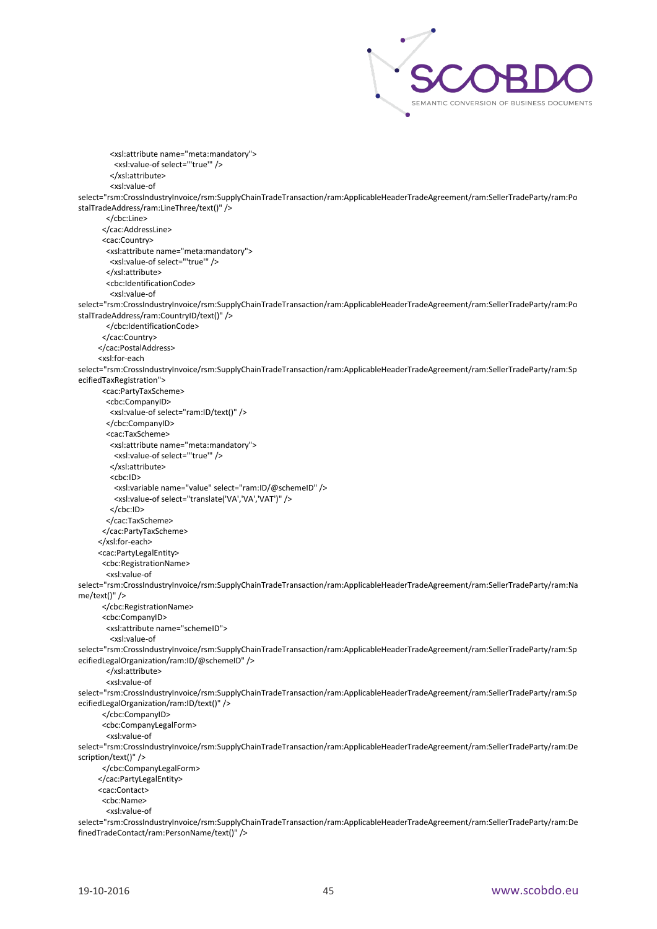

 <xsl:attribute name="meta:mandatory"> <xsl:value-of select="'true'" /> </xsl:attribute> <xsl:value-of select="rsm:CrossIndustryInvoice/rsm:SupplyChainTradeTransaction/ram:ApplicableHeaderTradeAgreement/ram:SellerTradeParty/ram:Po stalTradeAddress/ram:LineThree/text()" /> </cbc:Line> </cac:AddressLine> <cac:Country> <xsl:attribute name="meta:mandatory"> <xsl:value-of select="'true'" /> </xsl:attribute> <cbc:IdentificationCode> <xsl:value-of select="rsm:CrossIndustryInvoice/rsm:SupplyChainTradeTransaction/ram:ApplicableHeaderTradeAgreement/ram:SellerTradeParty/ram:Po stalTradeAddress/ram:CountryID/text()" /> </cbc:IdentificationCode> </cac:Country> </cac:PostalAddress> <xsl:for-each select="rsm:CrossIndustryInvoice/rsm:SupplyChainTradeTransaction/ram:ApplicableHeaderTradeAgreement/ram:SellerTradeParty/ram:Sp ecifiedTaxRegistration"> <cac:PartyTaxScheme> <cbc:CompanyID> <xsl:value-of select="ram:ID/text()" /> </cbc:CompanyID> <cac:TaxScheme> <xsl:attribute name="meta:mandatory"> <xsl:value-of select="'true'" /> </xsl:attribute>  $<$ c $bc$ :ID $>$  <xsl:variable name="value" select="ram:ID/@schemeID" /> <xsl:value-of select="translate('VA','VA','VAT')" /> </cbc:ID> </cac:TaxScheme> </cac:PartyTaxScheme> </xsl:for-each> <cac:PartyLegalEntity> <cbc:RegistrationName> <xsl:value-of select="rsm:CrossIndustryInvoice/rsm:SupplyChainTradeTransaction/ram:ApplicableHeaderTradeAgreement/ram:SellerTradeParty/ram:Na me/text()" /> </cbc:RegistrationName> <cbc:CompanyID> <xsl:attribute name="schemeID"> <xsl:value-of select="rsm:CrossIndustryInvoice/rsm:SupplyChainTradeTransaction/ram:ApplicableHeaderTradeAgreement/ram:SellerTradeParty/ram:Sp ecifiedLegalOrganization/ram:ID/@schemeID" /> </xsl:attribute> <xsl:value-of select="rsm:CrossIndustryInvoice/rsm:SupplyChainTradeTransaction/ram:ApplicableHeaderTradeAgreement/ram:SellerTradeParty/ram:Sp ecifiedLegalOrganization/ram:ID/text()" /> </cbc:CompanyID> <cbc:CompanyLegalForm> <xsl:value-of select="rsm:CrossIndustryInvoice/rsm:SupplyChainTradeTransaction/ram:ApplicableHeaderTradeAgreement/ram:SellerTradeParty/ram:De scription/text()" /> </cbc:CompanyLegalForm> </cac:PartyLegalEntity> <cac:Contact> <cbc:Name> <xsl:value-of select="rsm:CrossIndustryInvoice/rsm:SupplyChainTradeTransaction/ram:ApplicableHeaderTradeAgreement/ram:SellerTradeParty/ram:De finedTradeContact/ram:PersonName/text()" />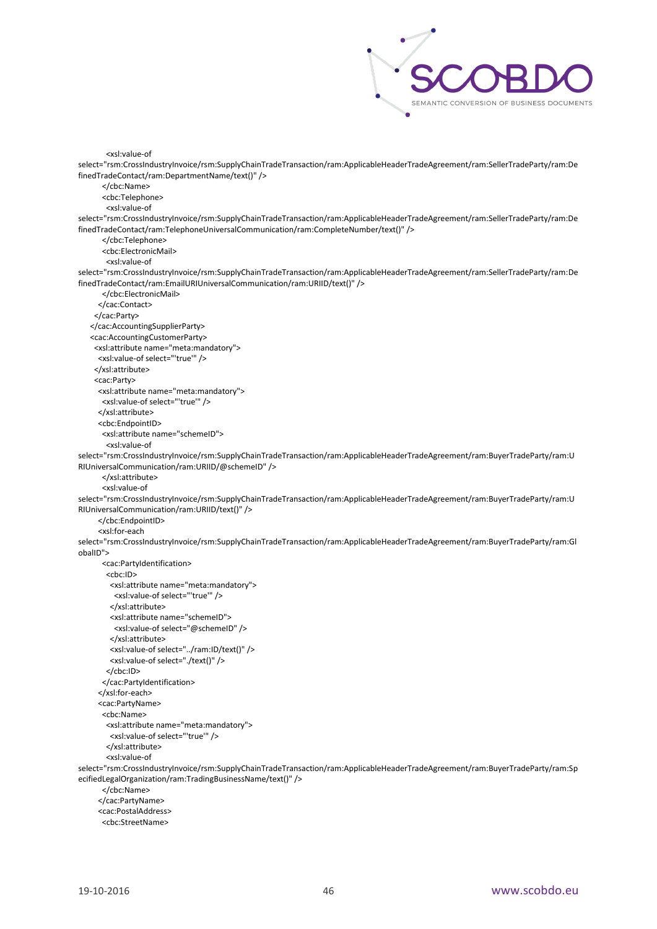

 <xsl:value-of select="rsm:CrossIndustryInvoice/rsm:SupplyChainTradeTransaction/ram:ApplicableHeaderTradeAgreement/ram:SellerTradeParty/ram:De finedTradeContact/ram:DepartmentName/text()" /> </cbc:Name> <cbc:Telephone> <xsl:value-of select="rsm:CrossIndustryInvoice/rsm:SupplyChainTradeTransaction/ram:ApplicableHeaderTradeAgreement/ram:SellerTradeParty/ram:De finedTradeContact/ram:TelephoneUniversalCommunication/ram:CompleteNumber/text()" /> </cbc:Telephone> <cbc:ElectronicMail> <xsl:value-of select="rsm:CrossIndustryInvoice/rsm:SupplyChainTradeTransaction/ram:ApplicableHeaderTradeAgreement/ram:SellerTradeParty/ram:De finedTradeContact/ram:EmailURIUniversalCommunication/ram:URIID/text()" /> </cbc:ElectronicMail> </cac:Contact> </cac:Party> </cac:AccountingSupplierParty> <cac:AccountingCustomerParty> <xsl:attribute name="meta:mandatory"> <xsl:value-of select="'true'" /> </xsl:attribute> <cac:Party> <xsl:attribute name="meta:mandatory"> <xsl:value-of select="'true'" /> </xsl:attribute> <cbc:EndpointID> <xsl:attribute name="schemeID"> <xsl:value-of select="rsm:CrossIndustryInvoice/rsm:SupplyChainTradeTransaction/ram:ApplicableHeaderTradeAgreement/ram:BuyerTradeParty/ram:U RIUniversalCommunication/ram:URIID/@schemeID" /> </xsl:attribute> <xsl:value-of select="rsm:CrossIndustryInvoice/rsm:SupplyChainTradeTransaction/ram:ApplicableHeaderTradeAgreement/ram:BuyerTradeParty/ram:U RIUniversalCommunication/ram:URIID/text()" /> </cbc:EndpointID> <xsl:for-each select="rsm:CrossIndustryInvoice/rsm:SupplyChainTradeTransaction/ram:ApplicableHeaderTradeAgreement/ram:BuyerTradeParty/ram:Gl obalID"> <cac:PartyIdentification> <cbc:ID> <xsl:attribute name="meta:mandatory"> <xsl:value-of select="'true'" /> </xsl:attribute> <xsl:attribute name="schemeID"> <xsl:value-of select="@schemeID" /> </xsl:attribute> <xsl:value-of select="../ram:ID/text()" /> <xsl:value-of select="./text()" /> </cbc:ID> </cac:PartyIdentification> </xsl:for-each> <cac:PartyName> <cbc:Name> <xsl:attribute name="meta:mandatory"> <xsl:value-of select="'true'" /> </xsl:attribute> <xsl:value-of select="rsm:CrossIndustryInvoice/rsm:SupplyChainTradeTransaction/ram:ApplicableHeaderTradeAgreement/ram:BuyerTradeParty/ram:Sp ecifiedLegalOrganization/ram:TradingBusinessName/text()" /> </cbc:Name> </cac:PartyName> <cac:PostalAddress> <cbc:StreetName>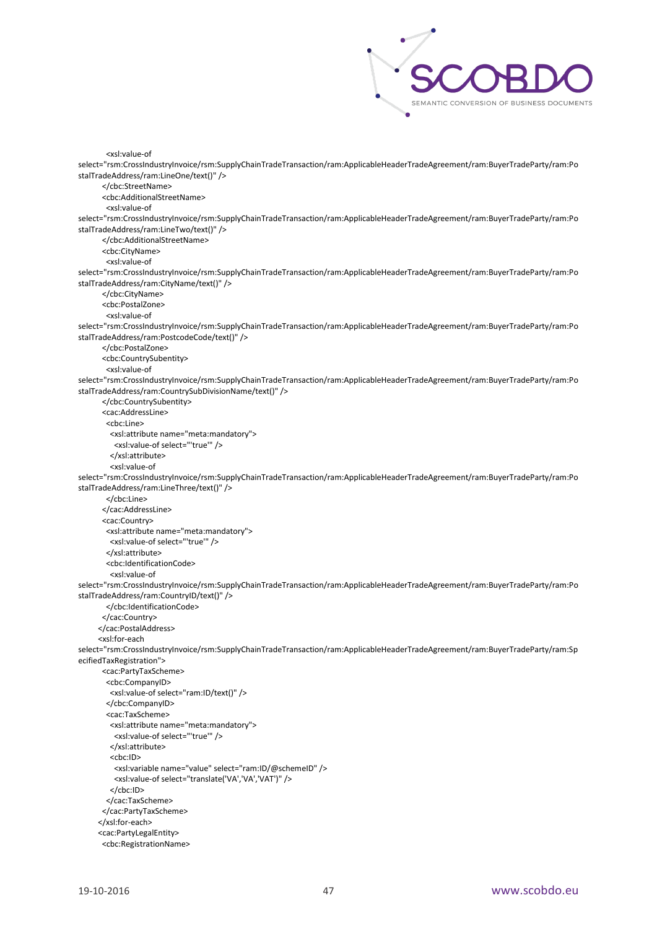

 <xsl:value-of select="rsm:CrossIndustryInvoice/rsm:SupplyChainTradeTransaction/ram:ApplicableHeaderTradeAgreement/ram:BuyerTradeParty/ram:Po stalTradeAddress/ram:LineOne/text()" /> </cbc:StreetName> <cbc:AdditionalStreetName> <xsl:value-of select="rsm:CrossIndustryInvoice/rsm:SupplyChainTradeTransaction/ram:ApplicableHeaderTradeAgreement/ram:BuyerTradeParty/ram:Po stalTradeAddress/ram:LineTwo/text()" /> </cbc:AdditionalStreetName> <cbc:CityName> <xsl:value-of select="rsm:CrossIndustryInvoice/rsm:SupplyChainTradeTransaction/ram:ApplicableHeaderTradeAgreement/ram:BuyerTradeParty/ram:Po stalTradeAddress/ram:CityName/text()" /> </cbc:CityName> <cbc:PostalZone> <xsl:value-of select="rsm:CrossIndustryInvoice/rsm:SupplyChainTradeTransaction/ram:ApplicableHeaderTradeAgreement/ram:BuyerTradeParty/ram:Po stalTradeAddress/ram:PostcodeCode/text()" /> </cbc:PostalZone> <cbc:CountrySubentity> <xsl:value-of select="rsm:CrossIndustryInvoice/rsm:SupplyChainTradeTransaction/ram:ApplicableHeaderTradeAgreement/ram:BuyerTradeParty/ram:Po stalTradeAddress/ram:CountrySubDivisionName/text()" /> </cbc:CountrySubentity> <cac:AddressLine> <cbc:Line> <xsl:attribute name="meta:mandatory"> <xsl:value-of select="'true'" /> </xsl:attribute> <xsl:value-of select="rsm:CrossIndustryInvoice/rsm:SupplyChainTradeTransaction/ram:ApplicableHeaderTradeAgreement/ram:BuyerTradeParty/ram:Po stalTradeAddress/ram:LineThree/text()" /> </cbc:Line> </cac:AddressLine> <cac:Country> <xsl:attribute name="meta:mandatory"> <xsl:value-of select="'true'" /> </xsl:attribute> <cbc:IdentificationCode> <xsl:value-of select="rsm:CrossIndustryInvoice/rsm:SupplyChainTradeTransaction/ram:ApplicableHeaderTradeAgreement/ram:BuyerTradeParty/ram:Po stalTradeAddress/ram:CountryID/text()" /> </cbc:IdentificationCode> </cac:Country> </cac:PostalAddress> <xsl:for-each select="rsm:CrossIndustryInvoice/rsm:SupplyChainTradeTransaction/ram:ApplicableHeaderTradeAgreement/ram:BuyerTradeParty/ram:Sp ecifiedTaxRegistration"> <cac:PartyTaxScheme> <cbc:CompanyID> <xsl:value-of select="ram:ID/text()" /> </cbc:CompanyID> <cac:TaxScheme> <xsl:attribute name="meta:mandatory"> <xsl:value-of select="'true'" /> </xsl:attribute> <cbc:ID> <xsl:variable name="value" select="ram:ID/@schemeID" /> <xsl:value-of select="translate('VA','VA','VAT')" /> </cbc:ID> </cac:TaxScheme> </cac:PartyTaxScheme> </xsl:for-each> <cac:PartyLegalEntity> <cbc:RegistrationName>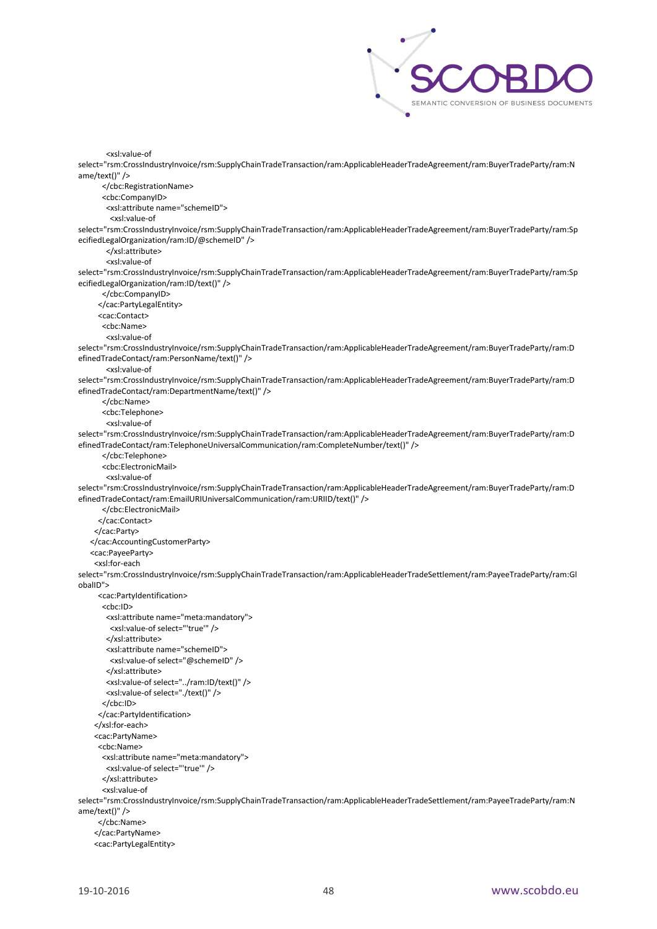

<xsl:value-of

select="rsm:CrossIndustryInvoice/rsm:SupplyChainTradeTransaction/ram:ApplicableHeaderTradeAgreement/ram:BuyerTradeParty/ram:N ame/text()" />

</cbc:RegistrationName>

<cbc:CompanyID>

<xsl:attribute name="schemeID">

<xsl:value-of

select="rsm:CrossIndustryInvoice/rsm:SupplyChainTradeTransaction/ram:ApplicableHeaderTradeAgreement/ram:BuyerTradeParty/ram:Sp ecifiedLegalOrganization/ram:ID/@schemeID" />

</xsl:attribute>

<xsl:value-of

select="rsm:CrossIndustryInvoice/rsm:SupplyChainTradeTransaction/ram:ApplicableHeaderTradeAgreement/ram:BuyerTradeParty/ram:Sp ecifiedLegalOrganization/ram:ID/text()" />

</cbc:CompanyID>

</cac:PartyLegalEntity>

<cac:Contact>

<cbc:Name>

<xsl:value-of

select="rsm:CrossIndustryInvoice/rsm:SupplyChainTradeTransaction/ram:ApplicableHeaderTradeAgreement/ram:BuyerTradeParty/ram:D efinedTradeContact/ram:PersonName/text()" />

<xsl:value-of

select="rsm:CrossIndustryInvoice/rsm:SupplyChainTradeTransaction/ram:ApplicableHeaderTradeAgreement/ram:BuyerTradeParty/ram:D efinedTradeContact/ram:DepartmentName/text()" />

</cbc:Name>

<cbc:Telephone>

<xsl:value-of

select="rsm:CrossIndustryInvoice/rsm:SupplyChainTradeTransaction/ram:ApplicableHeaderTradeAgreement/ram:BuyerTradeParty/ram:D efinedTradeContact/ram:TelephoneUniversalCommunication/ram:CompleteNumber/text()" />

</cbc:Telephone>

<cbc:ElectronicMail>

<xsl:value-of

select="rsm:CrossIndustryInvoice/rsm:SupplyChainTradeTransaction/ram:ApplicableHeaderTradeAgreement/ram:BuyerTradeParty/ram:D efinedTradeContact/ram:EmailURIUniversalCommunication/ram:URIID/text()" />

</cbc:ElectronicMail>

</cac:Contact>

</cac:Party>

</cac:AccountingCustomerParty>

<cac:PayeeParty>

<xsl:for-each

select="rsm:CrossIndustryInvoice/rsm:SupplyChainTradeTransaction/ram:ApplicableHeaderTradeSettlement/ram:PayeeTradeParty/ram:Gl obalID">

<cac:PartyIdentification>

<cbc:ID>

 <xsl:attribute name="meta:mandatory"> <xsl:value-of select="'true'" />

</xsl:attribute>

<xsl:attribute name="schemeID">

<xsl:value-of select="@schemeID" />

 </xsl:attribute> <xsl:value-of select="../ram:ID/text()" />

<xsl:value-of select="./text()" />

</cbc:ID>

</cac:PartyIdentification>

</xsl:for-each>

<cac:PartyName>

 <cbc:Name> <xsl:attribute name="meta:mandatory">

<xsl:value-of select="'true'" />

</xsl:attribute>

<xsl:value-of

select="rsm:CrossIndustryInvoice/rsm:SupplyChainTradeTransaction/ram:ApplicableHeaderTradeSettlement/ram:PayeeTradeParty/ram:N ame/text()" />

</cbc:Name>

</cac:PartyName>

<cac:PartyLegalEntity>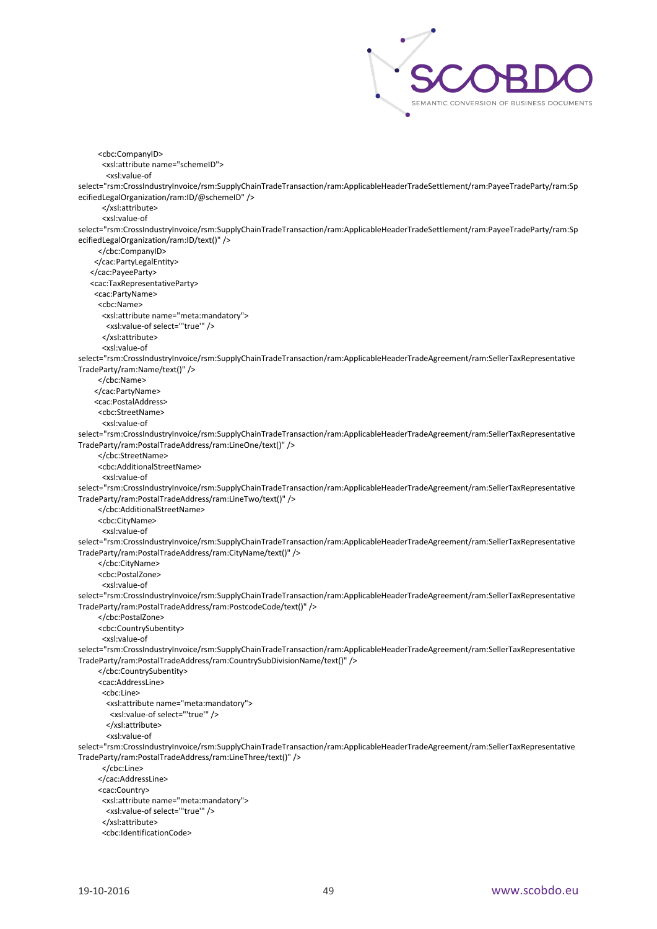

 <cbc:CompanyID> <xsl:attribute name="schemeID"> <xsl:value-of select="rsm:CrossIndustryInvoice/rsm:SupplyChainTradeTransaction/ram:ApplicableHeaderTradeSettlement/ram:PayeeTradeParty/ram:Sp ecifiedLegalOrganization/ram:ID/@schemeID" /> </xsl:attribute> <xsl:value-of select="rsm:CrossIndustryInvoice/rsm:SupplyChainTradeTransaction/ram:ApplicableHeaderTradeSettlement/ram:PayeeTradeParty/ram:Sp ecifiedLegalOrganization/ram:ID/text()" /> </cbc:CompanyID> </cac:PartyLegalEntity> </cac:PayeeParty> <cac:TaxRepresentativeParty> <cac:PartyName> <cbc:Name> <xsl:attribute name="meta:mandatory"> <xsl:value-of select="'true'" /> </xsl:attribute> <xsl:value-of select="rsm:CrossIndustryInvoice/rsm:SupplyChainTradeTransaction/ram:ApplicableHeaderTradeAgreement/ram:SellerTaxRepresentative TradeParty/ram:Name/text()" /> </cbc:Name> </cac:PartyName> <cac:PostalAddress> <cbc:StreetName> <xsl:value-of select="rsm:CrossIndustryInvoice/rsm:SupplyChainTradeTransaction/ram:ApplicableHeaderTradeAgreement/ram:SellerTaxRepresentative TradeParty/ram:PostalTradeAddress/ram:LineOne/text()" /> </cbc:StreetName> <cbc:AdditionalStreetName> <xsl:value-of select="rsm:CrossIndustryInvoice/rsm:SupplyChainTradeTransaction/ram:ApplicableHeaderTradeAgreement/ram:SellerTaxRepresentative TradeParty/ram:PostalTradeAddress/ram:LineTwo/text()" /> </cbc:AdditionalStreetName> <cbc:CityName> <xsl:value-of select="rsm:CrossIndustryInvoice/rsm:SupplyChainTradeTransaction/ram:ApplicableHeaderTradeAgreement/ram:SellerTaxRepresentative TradeParty/ram:PostalTradeAddress/ram:CityName/text()" /> </cbc:CityName> <cbc:PostalZone> <xsl:value-of select="rsm:CrossIndustryInvoice/rsm:SupplyChainTradeTransaction/ram:ApplicableHeaderTradeAgreement/ram:SellerTaxRepresentative TradeParty/ram:PostalTradeAddress/ram:PostcodeCode/text()" /> </cbc:PostalZone> <cbc:CountrySubentity> <xsl:value-of select="rsm:CrossIndustryInvoice/rsm:SupplyChainTradeTransaction/ram:ApplicableHeaderTradeAgreement/ram:SellerTaxRepresentative TradeParty/ram:PostalTradeAddress/ram:CountrySubDivisionName/text()" /> </cbc:CountrySubentity> <cac:AddressLine> <cbc:Line> <xsl:attribute name="meta:mandatory"> <xsl:value-of select="'true'" /> </xsl:attribute> <xsl:value-of select="rsm:CrossIndustryInvoice/rsm:SupplyChainTradeTransaction/ram:ApplicableHeaderTradeAgreement/ram:SellerTaxRepresentative TradeParty/ram:PostalTradeAddress/ram:LineThree/text()" /> </cbc:Line> </cac:AddressLine> <cac:Country> <xsl:attribute name="meta:mandatory"> <xsl:value-of select="'true'" /> </xsl:attribute> <cbc:IdentificationCode>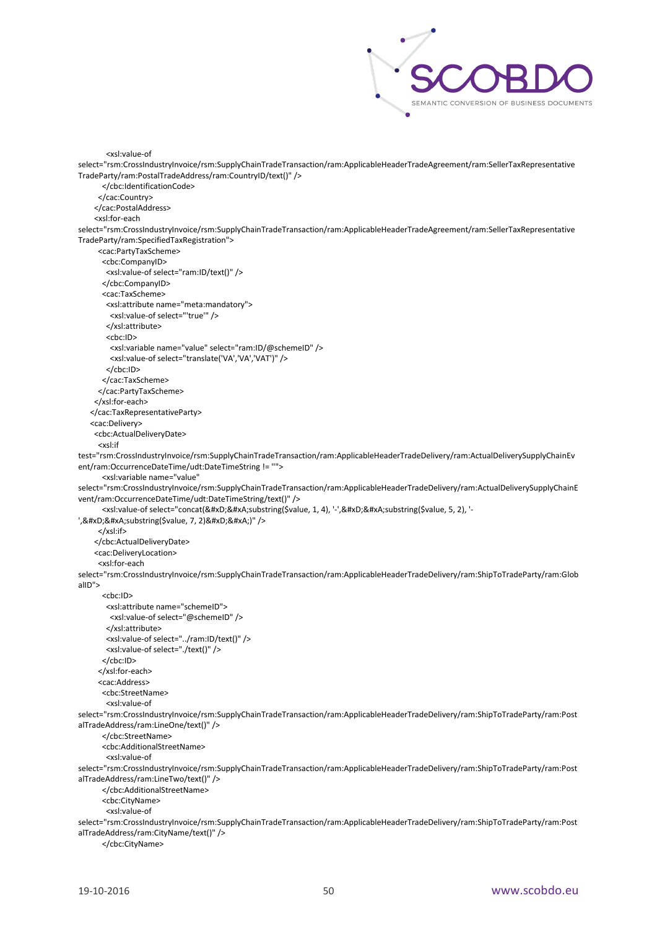

select="rsm:CrossIndustryInvoice/rsm:SupplyChainTradeTransaction/ram:ApplicableHeaderTradeAgreement/ram:SellerTaxRepresentative TradeParty/ram:PostalTradeAddress/ram:CountryID/text()" /> </cbc:IdentificationCode> </cac:Country> </cac:PostalAddress> <xsl:for-each select="rsm:CrossIndustryInvoice/rsm:SupplyChainTradeTransaction/ram:ApplicableHeaderTradeAgreement/ram:SellerTaxRepresentative TradeParty/ram:SpecifiedTaxRegistration"> <cac:PartyTaxScheme> <cbc:CompanyID> <xsl:value-of select="ram:ID/text()" /> </cbc:CompanyID> <cac:TaxScheme> <xsl:attribute name="meta:mandatory"> <xsl:value-of select="'true'" /> </xsl:attribute> <cbc:ID> <xsl:variable name="value" select="ram:ID/@schemeID" /> <xsl:value-of select="translate('VA','VA','VAT')" /> </cbc:ID> </cac:TaxScheme> </cac:PartyTaxScheme> </xsl:for-each> </cac:TaxRepresentativeParty> <cac:Delivery> <cbc:ActualDeliveryDate> <xsl:if test="rsm:CrossIndustryInvoice/rsm:SupplyChainTradeTransaction/ram:ApplicableHeaderTradeDelivery/ram:ActualDeliverySupplyChainEv ent/ram:OccurrenceDateTime/udt:DateTimeString != ''"> <xsl:variable name="value" select="rsm:CrossIndustryInvoice/rsm:SupplyChainTradeTransaction/ram:ApplicableHeaderTradeDelivery/ram:ActualDeliverySupplyChainE vent/ram:OccurrenceDateTime/udt:DateTimeString/text()" /> <xsl:value-of select="concat(&#xD;&#xA;substring(\$value, 1, 4), '-',&#xD;&#xA;substring(\$value, 5, 2), '-',

substring(\$value, 7, 2)

)" /> </xsl:if> </cbc:ActualDeliveryDate> <cac:DeliveryLocation> <xsl:for-each select="rsm:CrossIndustryInvoice/rsm:SupplyChainTradeTransaction/ram:ApplicableHeaderTradeDelivery/ram:ShipToTradeParty/ram:Glob alID"> <cbc:ID> <xsl:attribute name="schemeID"> <xsl:value-of select="@schemeID" /> </xsl:attribute> <xsl:value-of select="../ram:ID/text()" /> <xsl:value-of select="./text()" /> </cbc:ID> </xsl:for-each> <cac:Address> <cbc:StreetName> <xsl:value-of select="rsm:CrossIndustryInvoice/rsm:SupplyChainTradeTransaction/ram:ApplicableHeaderTradeDelivery/ram:ShipToTradeParty/ram:Post alTradeAddress/ram:LineOne/text()" /> </cbc:StreetName> <cbc:AdditionalStreetName> <xsl:value-of select="rsm:CrossIndustryInvoice/rsm:SupplyChainTradeTransaction/ram:ApplicableHeaderTradeDelivery/ram:ShipToTradeParty/ram:Post alTradeAddress/ram:LineTwo/text()" /> </cbc:AdditionalStreetName> <cbc:CityName> <xsl:value-of select="rsm:CrossIndustryInvoice/rsm:SupplyChainTradeTransaction/ram:ApplicableHeaderTradeDelivery/ram:ShipToTradeParty/ram:Post alTradeAddress/ram:CityName/text()" /> </cbc:CityName>

<xsl:value-of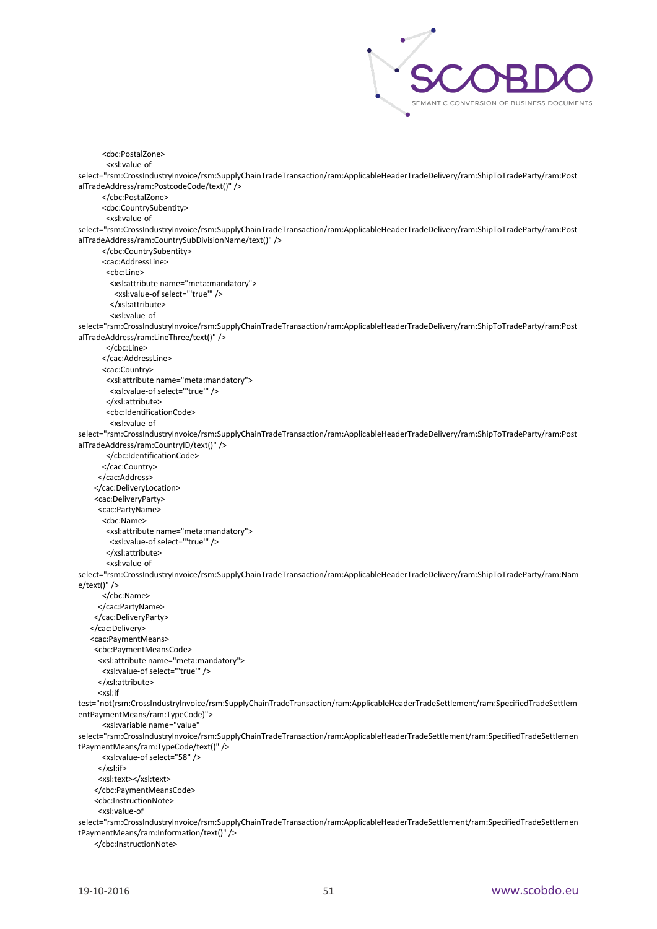

```
 <cbc:PostalZone>
        <xsl:value-of 
select="rsm:CrossIndustryInvoice/rsm:SupplyChainTradeTransaction/ram:ApplicableHeaderTradeDelivery/ram:ShipToTradeParty/ram:Post
alTradeAddress/ram:PostcodeCode/text()" />
        </cbc:PostalZone>
        <cbc:CountrySubentity>
        <xsl:value-of 
select="rsm:CrossIndustryInvoice/rsm:SupplyChainTradeTransaction/ram:ApplicableHeaderTradeDelivery/ram:ShipToTradeParty/ram:Post
alTradeAddress/ram:CountrySubDivisionName/text()" />
       </cbc:CountrySubentity>
       <cac:AddressLine>
         <cbc:Line>
         <xsl:attribute name="meta:mandatory">
           <xsl:value-of select="'true'" />
         </xsl:attribute>
          <xsl:value-of 
select="rsm:CrossIndustryInvoice/rsm:SupplyChainTradeTransaction/ram:ApplicableHeaderTradeDelivery/ram:ShipToTradeParty/ram:Post
alTradeAddress/ram:LineThree/text()" />
        </cbc:Line>
        </cac:AddressLine>
       <cac:Country>
         <xsl:attribute name="meta:mandatory">
         <xsl:value-of select="'true'" />
         </xsl:attribute>
        <cbc:IdentificationCode>
         <xsl:value-of 
select="rsm:CrossIndustryInvoice/rsm:SupplyChainTradeTransaction/ram:ApplicableHeaderTradeDelivery/ram:ShipToTradeParty/ram:Post
alTradeAddress/ram:CountryID/text()" />
        </cbc:IdentificationCode>
        </cac:Country>
      </cac:Address>
     </cac:DeliveryLocation>
     <cac:DeliveryParty>
      <cac:PartyName>
       <cbc:Name>
        <xsl:attribute name="meta:mandatory">
         <xsl:value-of select="'true'" />
        </xsl:attribute>
         <xsl:value-of 
select="rsm:CrossIndustryInvoice/rsm:SupplyChainTradeTransaction/ram:ApplicableHeaderTradeDelivery/ram:ShipToTradeParty/ram:Nam
e/text()" />
        </cbc:Name>
      </cac:PartyName>
     </cac:DeliveryParty>
    </cac:Delivery>
    <cac:PaymentMeans>
     <cbc:PaymentMeansCode>
      <xsl:attribute name="meta:mandatory">
       <xsl:value-of select="'true'" />
      </xsl:attribute>
      <xsl:if 
test="not(rsm:CrossIndustryInvoice/rsm:SupplyChainTradeTransaction/ram:ApplicableHeaderTradeSettlement/ram:SpecifiedTradeSettlem
entPaymentMeans/ram:TypeCode)">
        <xsl:variable name="value" 
select="rsm:CrossIndustryInvoice/rsm:SupplyChainTradeTransaction/ram:ApplicableHeaderTradeSettlement/ram:SpecifiedTradeSettlemen
tPaymentMeans/ram:TypeCode/text()" />
       <xsl:value-of select="58" />
      </xsl:if>
      <xsl:text></xsl:text>
     </cbc:PaymentMeansCode>
     <cbc:InstructionNote>
      <xsl:value-of 
select="rsm:CrossIndustryInvoice/rsm:SupplyChainTradeTransaction/ram:ApplicableHeaderTradeSettlement/ram:SpecifiedTradeSettlemen
tPaymentMeans/ram:Information/text()" />
     </cbc:InstructionNote>
```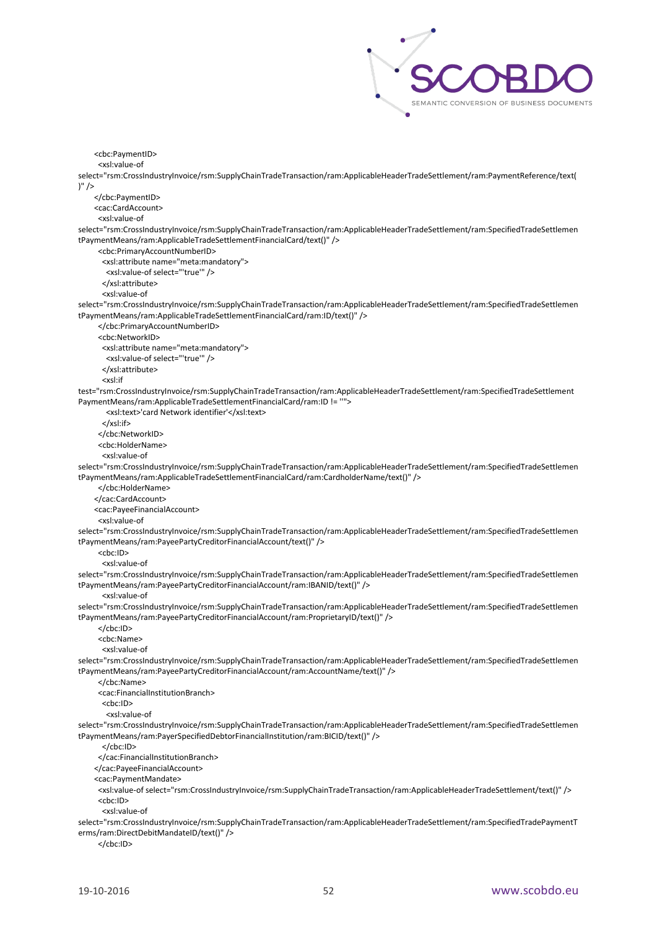

 <cbc:PaymentID> <xsl:value-of select="rsm:CrossIndustryInvoice/rsm:SupplyChainTradeTransaction/ram:ApplicableHeaderTradeSettlement/ram:PaymentReference/text(  $)'$  /> </cbc:PaymentID> <cac:CardAccount> <xsl:value-of select="rsm:CrossIndustryInvoice/rsm:SupplyChainTradeTransaction/ram:ApplicableHeaderTradeSettlement/ram:SpecifiedTradeSettlemen tPaymentMeans/ram:ApplicableTradeSettlementFinancialCard/text()" /> <cbc:PrimaryAccountNumberID> <xsl:attribute name="meta:mandatory"> <xsl:value-of select="'true'" /> </xsl:attribute> <xsl:value-of select="rsm:CrossIndustryInvoice/rsm:SupplyChainTradeTransaction/ram:ApplicableHeaderTradeSettlement/ram:SpecifiedTradeSettlemen tPaymentMeans/ram:ApplicableTradeSettlementFinancialCard/ram:ID/text()" /> </cbc:PrimaryAccountNumberID> <cbc:NetworkID> <xsl:attribute name="meta:mandatory"> <xsl:value-of select="'true'" /> </xsl:attribute> <xsl:if test="rsm:CrossIndustryInvoice/rsm:SupplyChainTradeTransaction/ram:ApplicableHeaderTradeSettlement/ram:SpecifiedTradeSettlement PaymentMeans/ram:ApplicableTradeSettlementFinancialCard/ram:ID != ''"> <xsl:text>'card Network identifier'</xsl:text> </xsl:if> </cbc:NetworkID> <cbc:HolderName> <xsl:value-of select="rsm:CrossIndustryInvoice/rsm:SupplyChainTradeTransaction/ram:ApplicableHeaderTradeSettlement/ram:SpecifiedTradeSettlemen tPaymentMeans/ram:ApplicableTradeSettlementFinancialCard/ram:CardholderName/text()" /> </cbc:HolderName> </cac:CardAccount> <cac:PayeeFinancialAccount> <xsl:value-of select="rsm:CrossIndustryInvoice/rsm:SupplyChainTradeTransaction/ram:ApplicableHeaderTradeSettlement/ram:SpecifiedTradeSettlemen tPaymentMeans/ram:PayeePartyCreditorFinancialAccount/text()" /> <cbc:ID> <xsl:value-of select="rsm:CrossIndustryInvoice/rsm:SupplyChainTradeTransaction/ram:ApplicableHeaderTradeSettlement/ram:SpecifiedTradeSettlemen tPaymentMeans/ram:PayeePartyCreditorFinancialAccount/ram:IBANID/text()" /> <xsl:value-of select="rsm:CrossIndustryInvoice/rsm:SupplyChainTradeTransaction/ram:ApplicableHeaderTradeSettlement/ram:SpecifiedTradeSettlemen tPaymentMeans/ram:PayeePartyCreditorFinancialAccount/ram:ProprietaryID/text()" /> </cbc:ID> <cbc:Name> <xsl:value-of select="rsm:CrossIndustryInvoice/rsm:SupplyChainTradeTransaction/ram:ApplicableHeaderTradeSettlement/ram:SpecifiedTradeSettlemen tPaymentMeans/ram:PayeePartyCreditorFinancialAccount/ram:AccountName/text()" /> </cbc:Name> <cac:FinancialInstitutionBranch> <cbc:ID> <xsl:value-of select="rsm:CrossIndustryInvoice/rsm:SupplyChainTradeTransaction/ram:ApplicableHeaderTradeSettlement/ram:SpecifiedTradeSettlemen tPaymentMeans/ram:PayerSpecifiedDebtorFinancialInstitution/ram:BICID/text()" /> </cbc:ID> </cac:FinancialInstitutionBranch> </cac:PayeeFinancialAccount> <cac:PaymentMandate> <xsl:value-of select="rsm:CrossIndustryInvoice/rsm:SupplyChainTradeTransaction/ram:ApplicableHeaderTradeSettlement/text()" /> <cbc:ID> <xsl:value-of select="rsm:CrossIndustryInvoice/rsm:SupplyChainTradeTransaction/ram:ApplicableHeaderTradeSettlement/ram:SpecifiedTradePaymentT erms/ram:DirectDebitMandateID/text()" />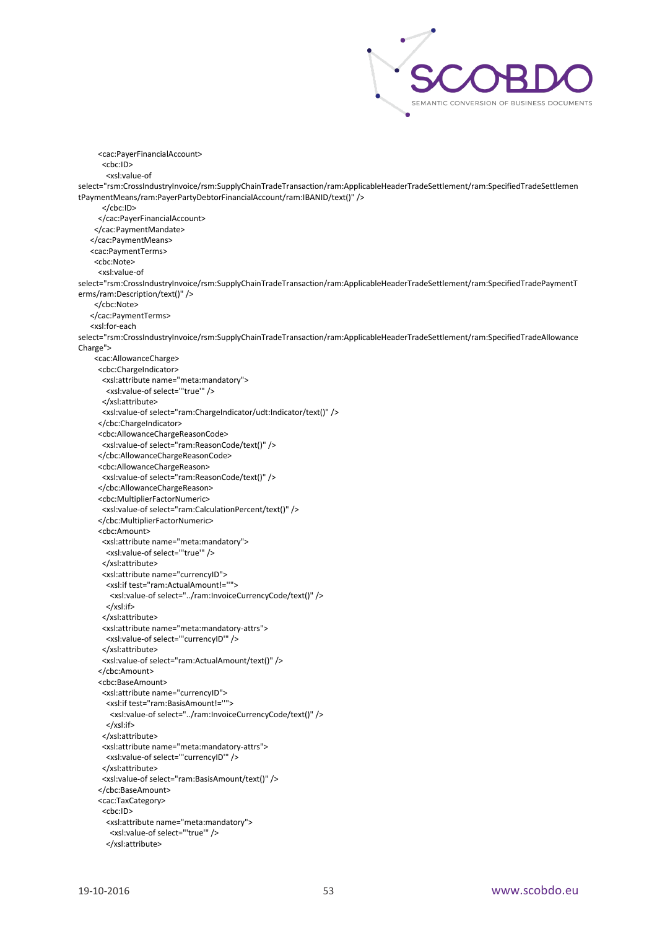

 <cac:PayerFinancialAccount> <cbc:ID> <xsl:value-of select="rsm:CrossIndustryInvoice/rsm:SupplyChainTradeTransaction/ram:ApplicableHeaderTradeSettlement/ram:SpecifiedTradeSettlemen tPaymentMeans/ram:PayerPartyDebtorFinancialAccount/ram:IBANID/text()" /> </cbc:ID> </cac:PayerFinancialAccount> </cac:PaymentMandate> </cac:PaymentMeans> <cac:PaymentTerms> <cbc:Note> <xsl:value-of select="rsm:CrossIndustryInvoice/rsm:SupplyChainTradeTransaction/ram:ApplicableHeaderTradeSettlement/ram:SpecifiedTradePaymentT erms/ram:Description/text()" /> </cbc:Note> </cac:PaymentTerms> <xsl:for-each select="rsm:CrossIndustryInvoice/rsm:SupplyChainTradeTransaction/ram:ApplicableHeaderTradeSettlement/ram:SpecifiedTradeAllowance Charge"> <cac:AllowanceCharge> <cbc:ChargeIndicator> <xsl:attribute name="meta:mandatory"> <xsl:value-of select="'true'" /> </xsl:attribute> <xsl:value-of select="ram:ChargeIndicator/udt:Indicator/text()" /> </cbc:ChargeIndicator> <cbc:AllowanceChargeReasonCode> <xsl:value-of select="ram:ReasonCode/text()" /> </cbc:AllowanceChargeReasonCode> <cbc:AllowanceChargeReason> <xsl:value-of select="ram:ReasonCode/text()" /> </cbc:AllowanceChargeReason> <cbc:MultiplierFactorNumeric> <xsl:value-of select="ram:CalculationPercent/text()" /> </cbc:MultiplierFactorNumeric> <cbc:Amount> <xsl:attribute name="meta:mandatory"> <xsl:value-of select="'true'" /> </xsl:attribute> <xsl:attribute name="currencyID"> <xsl:if test="ram:ActualAmount!=''"> <xsl:value-of select="../ram:InvoiceCurrencyCode/text()" /> </xsl:if> </xsl:attribute> <xsl:attribute name="meta:mandatory-attrs"> <xsl:value-of select="'currencyID'" /> </xsl:attribute> <xsl:value-of select="ram:ActualAmount/text()" /> </cbc:Amount> <cbc:BaseAmount> <xsl:attribute name="currencyID"> <xsl:if test="ram:BasisAmount!=''"> <xsl:value-of select="../ram:InvoiceCurrencyCode/text()" /> </xsl:if> </xsl:attribute> <xsl:attribute name="meta:mandatory-attrs"> <xsl:value-of select="'currencyID'" /> </xsl:attribute> <xsl:value-of select="ram:BasisAmount/text()" /> </cbc:BaseAmount> <cac:TaxCategory> <cbc:ID> <xsl:attribute name="meta:mandatory"> <xsl:value-of select="'true'" /> </xsl:attribute>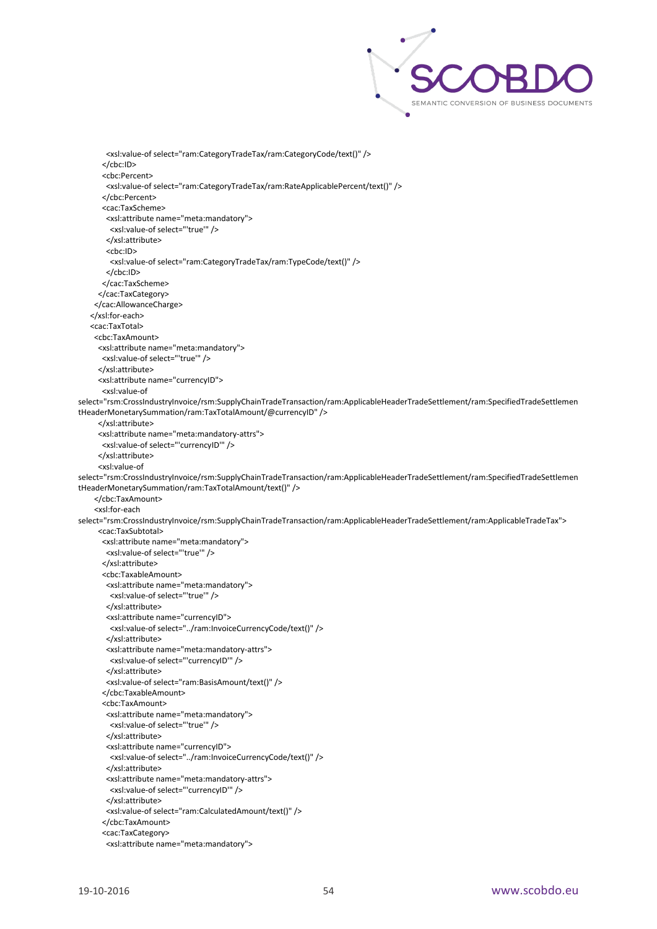

 <xsl:value-of select="ram:CategoryTradeTax/ram:CategoryCode/text()" /> </cbc:ID> <cbc:Percent> <xsl:value-of select="ram:CategoryTradeTax/ram:RateApplicablePercent/text()" /> </cbc:Percent> <cac:TaxScheme> <xsl:attribute name="meta:mandatory"> <xsl:value-of select="'true'" /> </xsl:attribute> <cbc:ID> <xsl:value-of select="ram:CategoryTradeTax/ram:TypeCode/text()" /> </cbc:ID> </cac:TaxScheme> </cac:TaxCategory> </cac:AllowanceCharge> </xsl:for-each> <cac:TaxTotal> <cbc:TaxAmount> <xsl:attribute name="meta:mandatory"> <xsl:value-of select="'true'" /> </xsl:attribute> <xsl:attribute name="currencyID"> <xsl:value-of select="rsm:CrossIndustryInvoice/rsm:SupplyChainTradeTransaction/ram:ApplicableHeaderTradeSettlement/ram:SpecifiedTradeSettlemen tHeaderMonetarySummation/ram:TaxTotalAmount/@currencyID" /> </xsl:attribute> <xsl:attribute name="meta:mandatory-attrs"> <xsl:value-of select="'currencyID'" /> </xsl:attribute> <xsl:value-of select="rsm:CrossIndustryInvoice/rsm:SupplyChainTradeTransaction/ram:ApplicableHeaderTradeSettlement/ram:SpecifiedTradeSettlemen tHeaderMonetarySummation/ram:TaxTotalAmount/text()" /> </cbc:TaxAmount> <xsl:for-each select="rsm:CrossIndustryInvoice/rsm:SupplyChainTradeTransaction/ram:ApplicableHeaderTradeSettlement/ram:ApplicableTradeTax"> <cac:TaxSubtotal> <xsl:attribute name="meta:mandatory"> <xsl:value-of select="'true'" /> </xsl:attribute> <cbc:TaxableAmount> <xsl:attribute name="meta:mandatory"> <xsl:value-of select="'true'" /> </xsl:attribute> <xsl:attribute name="currencyID"> <xsl:value-of select="../ram:InvoiceCurrencyCode/text()" /> </xsl:attribute> <xsl:attribute name="meta:mandatory-attrs"> <xsl:value-of select="'currencyID'" /> </xsl:attribute> <xsl:value-of select="ram:BasisAmount/text()" /> </cbc:TaxableAmount> <cbc:TaxAmount> <xsl:attribute name="meta:mandatory"> <xsl:value-of select="'true'" /> </xsl:attribute> <xsl:attribute name="currencyID"> <xsl:value-of select="../ram:InvoiceCurrencyCode/text()" /> </xsl:attribute> <xsl:attribute name="meta:mandatory-attrs"> <xsl:value-of select="'currencyID'" /> </xsl:attribute> <xsl:value-of select="ram:CalculatedAmount/text()" /> </cbc:TaxAmount> <cac:TaxCategory> <xsl:attribute name="meta:mandatory">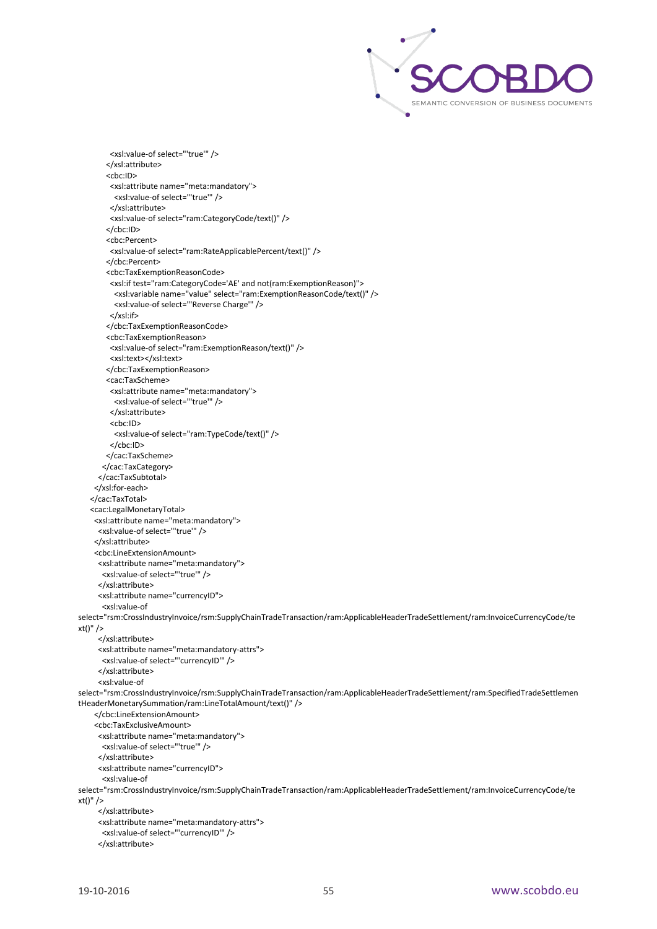

 <xsl:value-of select="'true'" /> </xsl:attribute> <cbc:ID> <xsl:attribute name="meta:mandatory"> <xsl:value-of select="'true'" /> </xsl:attribute> <xsl:value-of select="ram:CategoryCode/text()" /> </cbc:ID> <cbc:Percent> <xsl:value-of select="ram:RateApplicablePercent/text()" /> </cbc:Percent> <cbc:TaxExemptionReasonCode> <xsl:if test="ram:CategoryCode='AE' and not(ram:ExemptionReason)"> <xsl:variable name="value" select="ram:ExemptionReasonCode/text()" /> <xsl:value-of select="'Reverse Charge'" /> </xsl:if> </cbc:TaxExemptionReasonCode> <cbc:TaxExemptionReason> <xsl:value-of select="ram:ExemptionReason/text()" /> <xsl:text></xsl:text> </cbc:TaxExemptionReason> <cac:TaxScheme> <xsl:attribute name="meta:mandatory"> <xsl:value-of select="'true'" /> </xsl:attribute> <cbc:ID> <xsl:value-of select="ram:TypeCode/text()" /> </cbc:ID> </cac:TaxScheme> </cac:TaxCategory> </cac:TaxSubtotal> </xsl:for-each> </cac:TaxTotal> <cac:LegalMonetaryTotal> <xsl:attribute name="meta:mandatory"> <xsl:value-of select="'true'" /> </xsl:attribute> <cbc:LineExtensionAmount> <xsl:attribute name="meta:mandatory"> <xsl:value-of select="'true'" /> </xsl:attribute> <xsl:attribute name="currencyID"> <xsl:value-of select="rsm:CrossIndustryInvoice/rsm:SupplyChainTradeTransaction/ram:ApplicableHeaderTradeSettlement/ram:InvoiceCurrencyCode/te xt()" /> </xsl:attribute> <xsl:attribute name="meta:mandatory-attrs"> <xsl:value-of select="'currencyID'" /> </xsl:attribute> <xsl:value-of select="rsm:CrossIndustryInvoice/rsm:SupplyChainTradeTransaction/ram:ApplicableHeaderTradeSettlement/ram:SpecifiedTradeSettlemen tHeaderMonetarySummation/ram:LineTotalAmount/text()" /> </cbc:LineExtensionAmount> <cbc:TaxExclusiveAmount> <xsl:attribute name="meta:mandatory"> <xsl:value-of select="'true'" /> </xsl:attribute> <xsl:attribute name="currencyID"> <xsl:value-of select="rsm:CrossIndustryInvoice/rsm:SupplyChainTradeTransaction/ram:ApplicableHeaderTradeSettlement/ram:InvoiceCurrencyCode/te xt()" /> </xsl:attribute> <xsl:attribute name="meta:mandatory-attrs"> <xsl:value-of select="'currencyID'" /> </xsl:attribute>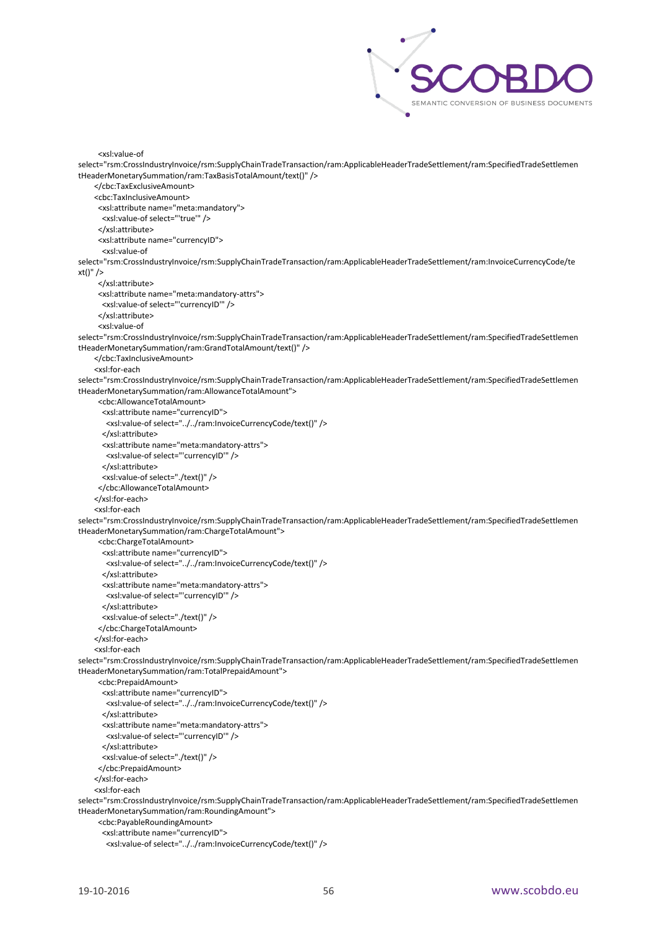

```
 <xsl:value-of 
select="rsm:CrossIndustryInvoice/rsm:SupplyChainTradeTransaction/ram:ApplicableHeaderTradeSettlement/ram:SpecifiedTradeSettlemen
tHeaderMonetarySummation/ram:TaxBasisTotalAmount/text()" />
     </cbc:TaxExclusiveAmount>
     <cbc:TaxInclusiveAmount>
      <xsl:attribute name="meta:mandatory">
       <xsl:value-of select="'true'" />
      </xsl:attribute>
      <xsl:attribute name="currencyID">
       <xsl:value-of 
select="rsm:CrossIndustryInvoice/rsm:SupplyChainTradeTransaction/ram:ApplicableHeaderTradeSettlement/ram:InvoiceCurrencyCode/te
xt()" />
      </xsl:attribute>
      <xsl:attribute name="meta:mandatory-attrs">
       <xsl:value-of select="'currencyID'" />
      </xsl:attribute>
      <xsl:value-of 
select="rsm:CrossIndustryInvoice/rsm:SupplyChainTradeTransaction/ram:ApplicableHeaderTradeSettlement/ram:SpecifiedTradeSettlemen
tHeaderMonetarySummation/ram:GrandTotalAmount/text()" />
     </cbc:TaxInclusiveAmount>
     <xsl:for-each 
select="rsm:CrossIndustryInvoice/rsm:SupplyChainTradeTransaction/ram:ApplicableHeaderTradeSettlement/ram:SpecifiedTradeSettlemen
tHeaderMonetarySummation/ram:AllowanceTotalAmount">
      <cbc:AllowanceTotalAmount>
       <xsl:attribute name="currencyID">
        <xsl:value-of select="../../ram:InvoiceCurrencyCode/text()" />
       </xsl:attribute>
       <xsl:attribute name="meta:mandatory-attrs">
        <xsl:value-of select="'currencyID'" />
       </xsl:attribute>
       <xsl:value-of select="./text()" />
      </cbc:AllowanceTotalAmount>
     </xsl:for-each>
     <xsl:for-each 
select="rsm:CrossIndustryInvoice/rsm:SupplyChainTradeTransaction/ram:ApplicableHeaderTradeSettlement/ram:SpecifiedTradeSettlemen
tHeaderMonetarySummation/ram:ChargeTotalAmount">
      <cbc:ChargeTotalAmount>
       <xsl:attribute name="currencyID">
        <xsl:value-of select="../../ram:InvoiceCurrencyCode/text()" />
       </xsl:attribute>
       <xsl:attribute name="meta:mandatory-attrs">
        <xsl:value-of select="'currencyID'" />
       </xsl:attribute>
       <xsl:value-of select="./text()" />
      </cbc:ChargeTotalAmount>
     </xsl:for-each>
     <xsl:for-each 
select="rsm:CrossIndustryInvoice/rsm:SupplyChainTradeTransaction/ram:ApplicableHeaderTradeSettlement/ram:SpecifiedTradeSettlemen
tHeaderMonetarySummation/ram:TotalPrepaidAmount">
      <cbc:PrepaidAmount>
       <xsl:attribute name="currencyID">
        <xsl:value-of select="../../ram:InvoiceCurrencyCode/text()" />
       </xsl:attribute>
       <xsl:attribute name="meta:mandatory-attrs">
        <xsl:value-of select="'currencyID'" />
       </xsl:attribute>
       <xsl:value-of select="./text()" />
      </cbc:PrepaidAmount>
     </xsl:for-each>
     <xsl:for-each 
select="rsm:CrossIndustryInvoice/rsm:SupplyChainTradeTransaction/ram:ApplicableHeaderTradeSettlement/ram:SpecifiedTradeSettlemen
tHeaderMonetarySummation/ram:RoundingAmount">
      <cbc:PayableRoundingAmount>
       <xsl:attribute name="currencyID">
        <xsl:value-of select="../../ram:InvoiceCurrencyCode/text()" />
```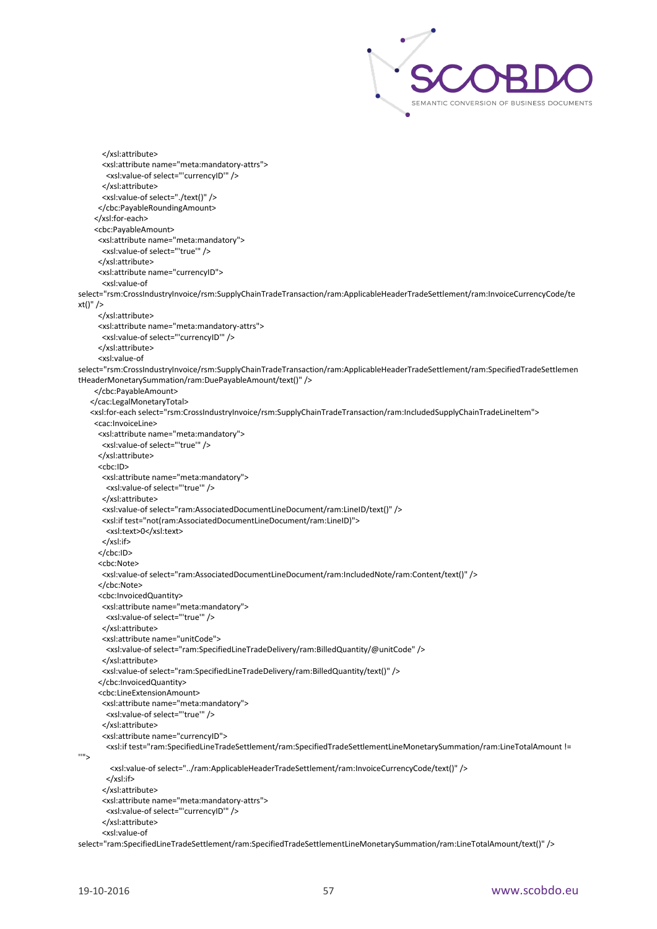

```
 </xsl:attribute>
       <xsl:attribute name="meta:mandatory-attrs">
        <xsl:value-of select="'currencyID'" />
       </xsl:attribute>
        <xsl:value-of select="./text()" />
      </cbc:PayableRoundingAmount>
      </xsl:for-each>
      <cbc:PayableAmount>
      <xsl:attribute name="meta:mandatory">
       <xsl:value-of select="'true'" />
      </xsl:attribute>
      <xsl:attribute name="currencyID">
       <xsl:value-of 
select="rsm:CrossIndustryInvoice/rsm:SupplyChainTradeTransaction/ram:ApplicableHeaderTradeSettlement/ram:InvoiceCurrencyCode/te
xt()" />
      </xsl:attribute>
      <xsl:attribute name="meta:mandatory-attrs">
       <xsl:value-of select="'currencyID'" />
      </xsl:attribute>
       <xsl:value-of 
select="rsm:CrossIndustryInvoice/rsm:SupplyChainTradeTransaction/ram:ApplicableHeaderTradeSettlement/ram:SpecifiedTradeSettlemen
tHeaderMonetarySummation/ram:DuePayableAmount/text()" />
     </cbc:PayableAmount>
    </cac:LegalMonetaryTotal>
    <xsl:for-each select="rsm:CrossIndustryInvoice/rsm:SupplyChainTradeTransaction/ram:IncludedSupplyChainTradeLineItem">
    <cac:InvoiceLine>
      <xsl:attribute name="meta:mandatory">
       <xsl:value-of select="'true'" />
      </xsl:attribute>
      <cbc:ID>
       <xsl:attribute name="meta:mandatory">
        <xsl:value-of select="'true'" />
       </xsl:attribute>
       <xsl:value-of select="ram:AssociatedDocumentLineDocument/ram:LineID/text()" />
       <xsl:if test="not(ram:AssociatedDocumentLineDocument/ram:LineID)">
       <xsl:text>0</xsl:text>
        </xsl:if>
      </cbc:ID>
       <cbc:Note>
       <xsl:value-of select="ram:AssociatedDocumentLineDocument/ram:IncludedNote/ram:Content/text()" />
      </cbc:Note>
      <cbc:InvoicedQuantity>
        <xsl:attribute name="meta:mandatory">
        <xsl:value-of select="'true'" />
        </xsl:attribute>
       <xsl:attribute name="unitCode">
        <xsl:value-of select="ram:SpecifiedLineTradeDelivery/ram:BilledQuantity/@unitCode" />
       </xsl:attribute>
       <xsl:value-of select="ram:SpecifiedLineTradeDelivery/ram:BilledQuantity/text()" />
      </cbc:InvoicedQuantity>
      <cbc:LineExtensionAmount>
       <xsl:attribute name="meta:mandatory">
        <xsl:value-of select="'true'" />
        </xsl:attribute>
        <xsl:attribute name="currencyID">
        <xsl:if test="ram:SpecifiedLineTradeSettlement/ram:SpecifiedTradeSettlementLineMonetarySummation/ram:LineTotalAmount != 
^{\rm 'III} <xsl:value-of select="../ram:ApplicableHeaderTradeSettlement/ram:InvoiceCurrencyCode/text()" />
        </xsl:if>
       </xsl:attribute>
       <xsl:attribute name="meta:mandatory-attrs">
        <xsl:value-of select="'currencyID'" />
        </xsl:attribute>
        <xsl:value-of 
select="ram:SpecifiedLineTradeSettlement/ram:SpecifiedTradeSettlementLineMonetarySummation/ram:LineTotalAmount/text()" />
```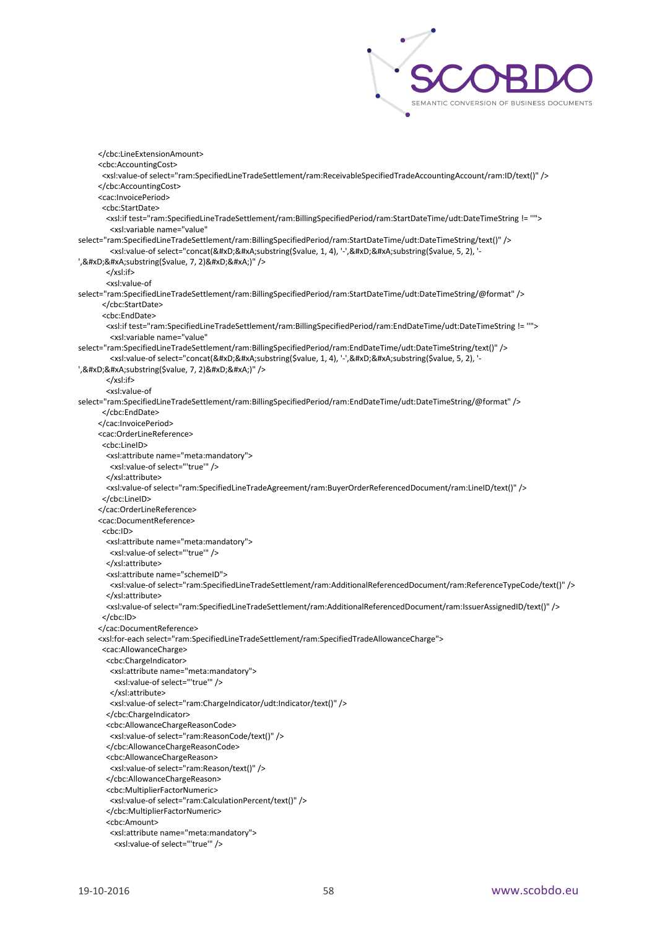

 </cbc:LineExtensionAmount> <cbc:AccountingCost> <xsl:value-of select="ram:SpecifiedLineTradeSettlement/ram:ReceivableSpecifiedTradeAccountingAccount/ram:ID/text()" /> </cbc:AccountingCost> <cac:InvoicePeriod> <cbc:StartDate> <xsl:if test="ram:SpecifiedLineTradeSettlement/ram:BillingSpecifiedPeriod/ram:StartDateTime/udt:DateTimeString != ''"> <xsl:variable name="value" select="ram:SpecifiedLineTradeSettlement/ram:BillingSpecifiedPeriod/ram:StartDateTime/udt:DateTimeString/text()" /> <xsl:value-of select="concat(&#xD;&#xA;substring(\$value, 1, 4), '-',&#xD;&#xA;substring(\$value, 5, 2), '-', 

 substring(\$value, 7, 2) 

)" /> </xsl:if> <xsl:value-of select="ram:SpecifiedLineTradeSettlement/ram:BillingSpecifiedPeriod/ram:StartDateTime/udt:DateTimeString/@format" /> </cbc:StartDate> <cbc:EndDate> <xsl:if test="ram:SpecifiedLineTradeSettlement/ram:BillingSpecifiedPeriod/ram:EndDateTime/udt:DateTimeString != ''"> <xsl:variable name="value" select="ram:SpecifiedLineTradeSettlement/ram:BillingSpecifiedPeriod/ram:EndDateTime/udt:DateTimeString/text()" /> <xsl:value-of select="concat(&#xD;&#xA;substring(\$value, 1, 4), '-',&#xD;&#xA;substring(\$value, 5, 2), '-', & #xD; & #xA; substring (\$value, 7, 2) & #xD; & #xA;)" /> </xsl:if> <xsl:value-of select="ram:SpecifiedLineTradeSettlement/ram:BillingSpecifiedPeriod/ram:EndDateTime/udt:DateTimeString/@format" /> </cbc:EndDate> </cac:InvoicePeriod> <cac:OrderLineReference> <cbc:LineID> <xsl:attribute name="meta:mandatory"> <xsl:value-of select="'true'" /> </xsl:attribute> <xsl:value-of select="ram:SpecifiedLineTradeAgreement/ram:BuyerOrderReferencedDocument/ram:LineID/text()" /> </cbc:LineID> </cac:OrderLineReference> <cac:DocumentReference> <cbc:ID> <xsl:attribute name="meta:mandatory"> <xsl:value-of select="'true'" /> </xsl:attribute> <xsl:attribute name="schemeID"> <xsl:value-of select="ram:SpecifiedLineTradeSettlement/ram:AdditionalReferencedDocument/ram:ReferenceTypeCode/text()" /> </xsl:attribute> <xsl:value-of select="ram:SpecifiedLineTradeSettlement/ram:AdditionalReferencedDocument/ram:IssuerAssignedID/text()" /> </cbc:ID> </cac:DocumentReference> <xsl:for-each select="ram:SpecifiedLineTradeSettlement/ram:SpecifiedTradeAllowanceCharge"> <cac:AllowanceCharge> <cbc:ChargeIndicator> <xsl:attribute name="meta:mandatory"> <xsl:value-of select="'true'" /> </xsl:attribute> <xsl:value-of select="ram:ChargeIndicator/udt:Indicator/text()" /> </cbc:ChargeIndicator> <cbc:AllowanceChargeReasonCode> <xsl:value-of select="ram:ReasonCode/text()" /> </cbc:AllowanceChargeReasonCode> <cbc:AllowanceChargeReason> <xsl:value-of select="ram:Reason/text()" /> </cbc:AllowanceChargeReason> <cbc:MultiplierFactorNumeric> <xsl:value-of select="ram:CalculationPercent/text()" /> </cbc:MultiplierFactorNumeric> <cbc:Amount> <xsl:attribute name="meta:mandatory">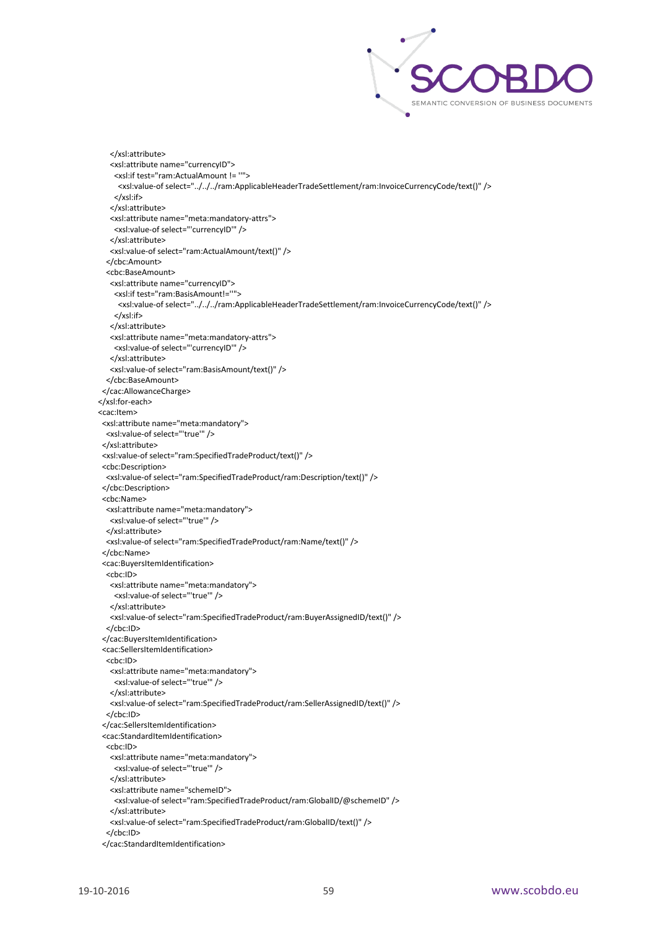

 </xsl:attribute> <xsl:attribute name="currencyID"> <xsl:if test="ram:ActualAmount != ''"> <xsl:value-of select="../../../ram:ApplicableHeaderTradeSettlement/ram:InvoiceCurrencyCode/text()" /> </xsl:if> </xsl:attribute> <xsl:attribute name="meta:mandatory-attrs"> <xsl:value-of select="'currencyID'" /> </xsl:attribute> <xsl:value-of select="ram:ActualAmount/text()" /> </cbc:Amount> <cbc:BaseAmount> <xsl:attribute name="currencyID"> <xsl:if test="ram:BasisAmount!=''"> <xsl:value-of select="../../../ram:ApplicableHeaderTradeSettlement/ram:InvoiceCurrencyCode/text()" /> </xsl:if> </xsl:attribute> <xsl:attribute name="meta:mandatory-attrs"> <xsl:value-of select="'currencyID'" /> </xsl:attribute> <xsl:value-of select="ram:BasisAmount/text()" /> </cbc:BaseAmount> </cac:AllowanceCharge> </xsl:for-each> <cac:Item> <xsl:attribute name="meta:mandatory"> <xsl:value-of select="'true'" /> </xsl:attribute> <xsl:value-of select="ram:SpecifiedTradeProduct/text()" /> <cbc:Description> <xsl:value-of select="ram:SpecifiedTradeProduct/ram:Description/text()" /> </cbc:Description> <cbc:Name> <xsl:attribute name="meta:mandatory"> <xsl:value-of select="'true'" /> </xsl:attribute> <xsl:value-of select="ram:SpecifiedTradeProduct/ram:Name/text()" /> </cbc:Name> <cac:BuyersItemIdentification> <cbc:ID> <xsl:attribute name="meta:mandatory"> <xsl:value-of select="'true'" /> </xsl:attribute> <xsl:value-of select="ram:SpecifiedTradeProduct/ram:BuyerAssignedID/text()" /> </cbc:ID> </cac:BuyersItemIdentification> <cac:SellersItemIdentification> <cbc:ID> <xsl:attribute name="meta:mandatory"> <xsl:value-of select="'true'" /> </xsl:attribute> <xsl:value-of select="ram:SpecifiedTradeProduct/ram:SellerAssignedID/text()" /> </cbc:ID> </cac:SellersItemIdentification> <cac:StandardItemIdentification> <cbc:ID> <xsl:attribute name="meta:mandatory"> <xsl:value-of select="'true'" /> </xsl:attribute> <xsl:attribute name="schemeID"> <xsl:value-of select="ram:SpecifiedTradeProduct/ram:GlobalID/@schemeID" /> </xsl:attribute> <xsl:value-of select="ram:SpecifiedTradeProduct/ram:GlobalID/text()" /> </cbc:ID> </cac:StandardItemIdentification>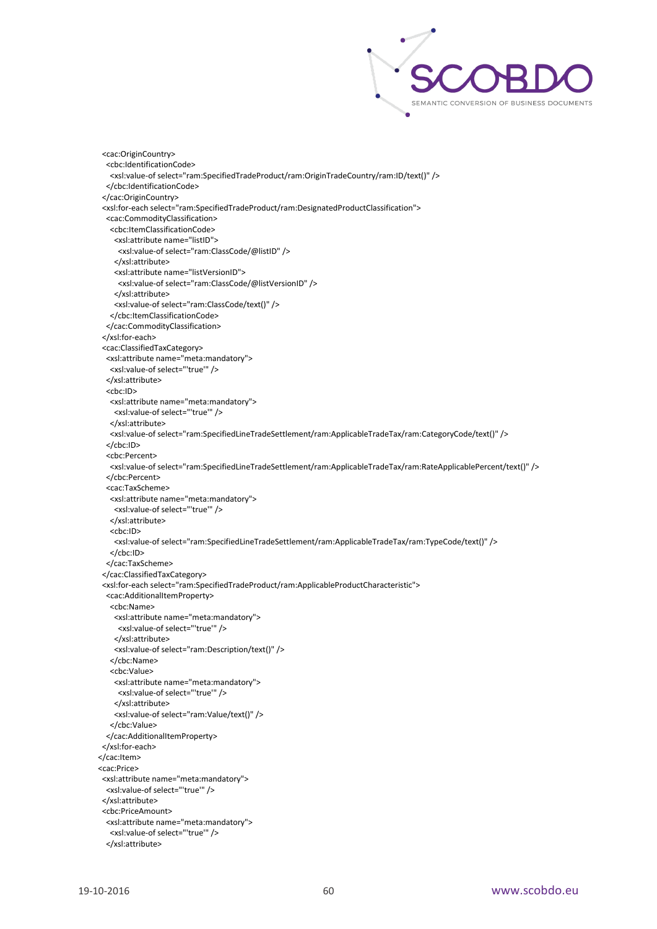

```
 <cac:OriginCountry>
   <cbc:IdentificationCode>
    <xsl:value-of select="ram:SpecifiedTradeProduct/ram:OriginTradeCountry/ram:ID/text()" />
   </cbc:IdentificationCode>
  </cac:OriginCountry>
  <xsl:for-each select="ram:SpecifiedTradeProduct/ram:DesignatedProductClassification">
   <cac:CommodityClassification>
    <cbc:ItemClassificationCode>
     <xsl:attribute name="listID">
      <xsl:value-of select="ram:ClassCode/@listID" />
     </xsl:attribute>
     <xsl:attribute name="listVersionID">
      <xsl:value-of select="ram:ClassCode/@listVersionID" />
     </xsl:attribute>
     <xsl:value-of select="ram:ClassCode/text()" />
    </cbc:ItemClassificationCode>
   </cac:CommodityClassification>
  </xsl:for-each>
  <cac:ClassifiedTaxCategory>
   <xsl:attribute name="meta:mandatory">
    <xsl:value-of select="'true'" />
   </xsl:attribute>
   <cbc:ID>
    <xsl:attribute name="meta:mandatory">
    <xsl:value-of select="'true'" />
    </xsl:attribute>
    <xsl:value-of select="ram:SpecifiedLineTradeSettlement/ram:ApplicableTradeTax/ram:CategoryCode/text()" />
   </cbc:ID>
   <cbc:Percent>
    <xsl:value-of select="ram:SpecifiedLineTradeSettlement/ram:ApplicableTradeTax/ram:RateApplicablePercent/text()" />
   </cbc:Percent>
   <cac:TaxScheme>
    <xsl:attribute name="meta:mandatory">
     <xsl:value-of select="'true'" />
    </xsl:attribute>
    <cbc:ID>
     <xsl:value-of select="ram:SpecifiedLineTradeSettlement/ram:ApplicableTradeTax/ram:TypeCode/text()" />
    </cbc:ID>
   </cac:TaxScheme>
  </cac:ClassifiedTaxCategory>
  <xsl:for-each select="ram:SpecifiedTradeProduct/ram:ApplicableProductCharacteristic">
   <cac:AdditionalItemProperty>
    <cbc:Name>
     <xsl:attribute name="meta:mandatory">
      <xsl:value-of select="'true'" />
     </xsl:attribute>
     <xsl:value-of select="ram:Description/text()" />
    </cbc:Name>
    <cbc:Value>
     <xsl:attribute name="meta:mandatory">
      <xsl:value-of select="'true'" />
     </xsl:attribute>
     <xsl:value-of select="ram:Value/text()" />
    </cbc:Value>
   </cac:AdditionalItemProperty>
 </xsl:for-each>
 </cac:Item>
 <cac:Price>
 <xsl:attribute name="meta:mandatory">
   <xsl:value-of select="'true'" />
 </xsl:attribute>
  <cbc:PriceAmount>
   <xsl:attribute name="meta:mandatory">
    <xsl:value-of select="'true'" />
   </xsl:attribute>
```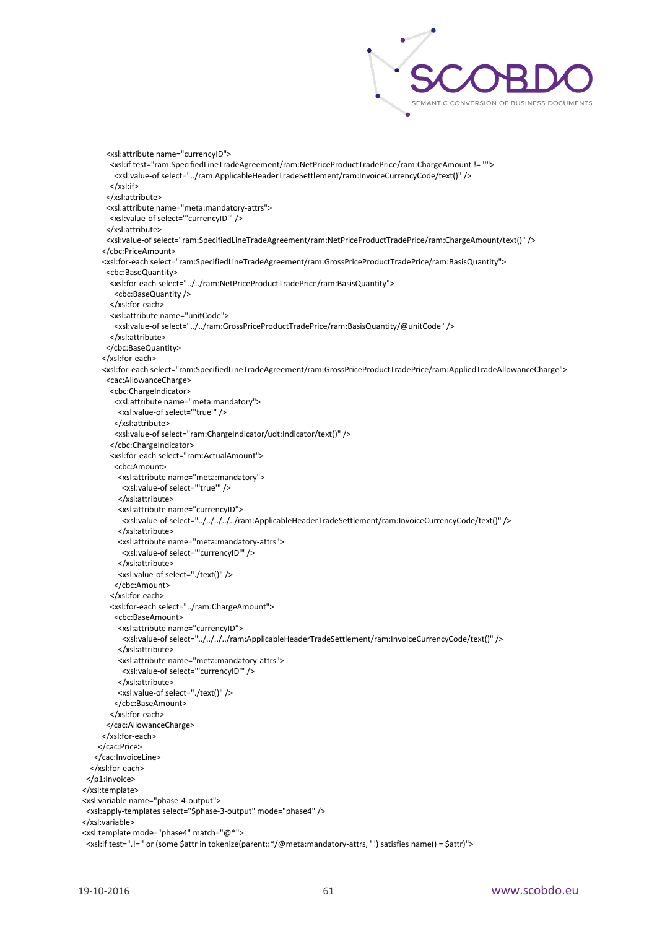

```
 <xsl:attribute name="currencyID">
        <xsl:if test="ram:SpecifiedLineTradeAgreement/ram:NetPriceProductTradePrice/ram:ChargeAmount != ''">
         <xsl:value-of select="../ram:ApplicableHeaderTradeSettlement/ram:InvoiceCurrencyCode/text()" />
        </xsl:if>
       </xsl:attribute>
       <xsl:attribute name="meta:mandatory-attrs">
        <xsl:value-of select="'currencyID'" />
       </xsl:attribute>
       <xsl:value-of select="ram:SpecifiedLineTradeAgreement/ram:NetPriceProductTradePrice/ram:ChargeAmount/text()" />
      </cbc:PriceAmount>
      <xsl:for-each select="ram:SpecifiedLineTradeAgreement/ram:GrossPriceProductTradePrice/ram:BasisQuantity">
       <cbc:BaseQuantity>
        <xsl:for-each select="../../ram:NetPriceProductTradePrice/ram:BasisQuantity">
         <cbc:BaseQuantity />
        </xsl:for-each>
         <xsl:attribute name="unitCode">
         <xsl:value-of select="../../ram:GrossPriceProductTradePrice/ram:BasisQuantity/@unitCode" />
        </xsl:attribute>
       </cbc:BaseQuantity>
      </xsl:for-each>
      <xsl:for-each select="ram:SpecifiedLineTradeAgreement/ram:GrossPriceProductTradePrice/ram:AppliedTradeAllowanceCharge">
       <cac:AllowanceCharge>
        <cbc:ChargeIndicator>
         <xsl:attribute name="meta:mandatory">
          <xsl:value-of select="'true'" />
         </xsl:attribute>
         <xsl:value-of select="ram:ChargeIndicator/udt:Indicator/text()" />
        </cbc:ChargeIndicator>
        <xsl:for-each select="ram:ActualAmount">
         <cbc:Amount>
           <xsl:attribute name="meta:mandatory">
            <xsl:value-of select="'true'" />
           </xsl:attribute>
           <xsl:attribute name="currencyID">
           <xsl:value-of select="../../../../../ram:ApplicableHeaderTradeSettlement/ram:InvoiceCurrencyCode/text()" />
           </xsl:attribute>
           <xsl:attribute name="meta:mandatory-attrs">
            <xsl:value-of select="'currencyID'" />
           </xsl:attribute>
           <xsl:value-of select="./text()" />
         </cbc:Amount>
         </xsl:for-each>
         <xsl:for-each select="../ram:ChargeAmount">
         <cbc:BaseAmount>
           <xsl:attribute name="currencyID">
            <xsl:value-of select="../../../../ram:ApplicableHeaderTradeSettlement/ram:InvoiceCurrencyCode/text()" />
           </xsl:attribute>
           <xsl:attribute name="meta:mandatory-attrs">
            <xsl:value-of select="'currencyID'" />
           </xsl:attribute>
           <xsl:value-of select="./text()" />
         </cbc:BaseAmount>
        </xsl:for-each>
       </cac:AllowanceCharge>
      </xsl:for-each>
     </cac:Price>
    </cac:InvoiceLine>
   </xsl:for-each>
  </p1:Invoice>
 </xsl:template>
 <xsl:variable name="phase-4-output">
  <xsl:apply-templates select="$phase-3-output" mode="phase4" />
 </xsl:variable>
 <xsl:template mode="phase4" match="@*">
  <xsl:if test=".!='' or (some $attr in tokenize(parent::*/@meta:mandatory-attrs, ' ') satisfies name() = $attr)">
```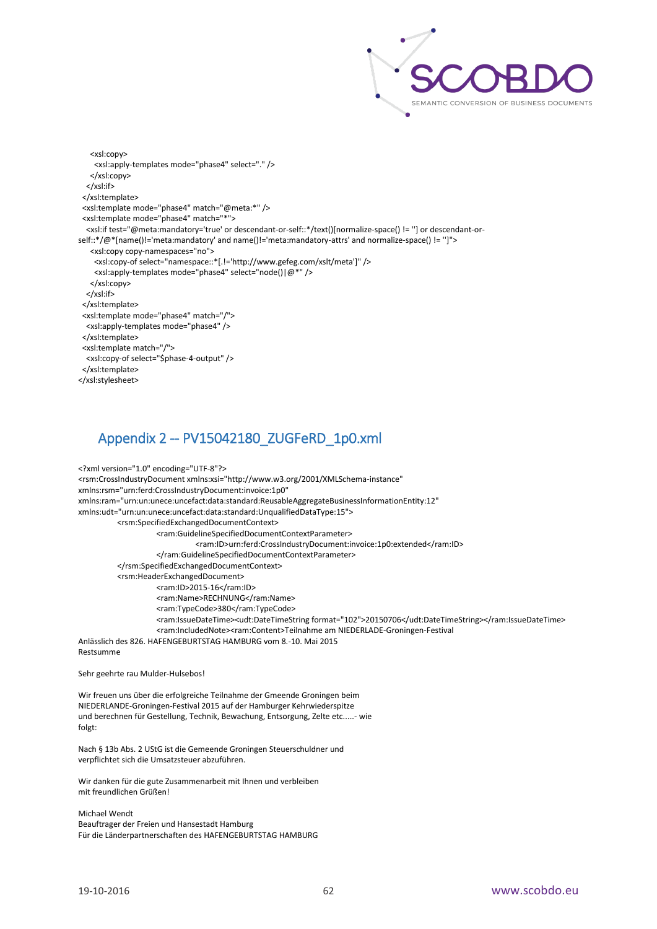

 <xsl:copy> <xsl:apply-templates mode="phase4" select="." /> </xsl:copy> </xsl:if> </xsl:template> <xsl:template mode="phase4" match="@meta:\*" /> <xsl:template mode="phase4" match="\*"> <xsl:if test="@meta:mandatory='true' or descendant-or-self::\*/text()[normalize-space() != ''] or descendant-orself::\*/@\*[name()!='meta:mandatory' and name()!='meta:mandatory-attrs' and normalize-space() != '']"> <xsl:copy copy-namespaces="no"> <xsl:copy-of select="namespace::\*[.!='http://www.gefeg.com/xslt/meta']" /> <xsl:apply-templates mode="phase4" select="node()|@\*" /> </xsl:copy> </xsl:if> </xsl:template> <xsl:template mode="phase4" match="/"> <xsl:apply-templates mode="phase4" /> </xsl:template> <xsl:template match="/"> <xsl:copy-of select="\$phase-4-output" /> </xsl:template> </xsl:stylesheet>

# <span id="page-62-0"></span>Appendix 2 -- PV15042180\_ZUGFeRD\_1p0.xml

<?xml version="1.0" encoding="UTF-8"?> <rsm:CrossIndustryDocument xmlns:xsi="http://www.w3.org/2001/XMLSchema-instance" xmlns:rsm="urn:ferd:CrossIndustryDocument:invoice:1p0" xmlns:ram="urn:un:unece:uncefact:data:standard:ReusableAggregateBusinessInformationEntity:12" xmlns:udt="urn:un:unece:uncefact:data:standard:UnqualifiedDataType:15"> <rsm:SpecifiedExchangedDocumentContext> <ram:GuidelineSpecifiedDocumentContextParameter> <ram:ID>urn:ferd:CrossIndustryDocument:invoice:1p0:extended</ram:ID> </ram:GuidelineSpecifiedDocumentContextParameter> </rsm:SpecifiedExchangedDocumentContext> <rsm:HeaderExchangedDocument> <ram:ID>2015-16</ram:ID> <ram:Name>RECHNUNG</ram:Name> <ram:TypeCode>380</ram:TypeCode> <ram:IssueDateTime><udt:DateTimeString format="102">20150706</udt:DateTimeString></ram:IssueDateTime> <ram:IncludedNote><ram:Content>Teilnahme am NIEDERLADE-Groningen-Festival Anlässlich des 826. HAFENGEBURTSTAG HAMBURG vom 8.-10. Mai 2015 Restsumme

Sehr geehrte rau Mulder-Hulsebos!

Wir freuen uns über die erfolgreiche Teilnahme der Gmeende Groningen beim NIEDERLANDE-Groningen-Festival 2015 auf der Hamburger Kehrwiederspitze und berechnen für Gestellung, Technik, Bewachung, Entsorgung, Zelte etc.....- wie folgt:

Nach § 13b Abs. 2 UStG ist die Gemeende Groningen Steuerschuldner und verpflichtet sich die Umsatzsteuer abzuführen.

Wir danken für die gute Zusammenarbeit mit Ihnen und verbleiben mit freundlichen Grüßen!

Michael Wendt Beauftrager der Freien und Hansestadt Hamburg Für die Länderpartnerschaften des HAFENGEBURTSTAG HAMBURG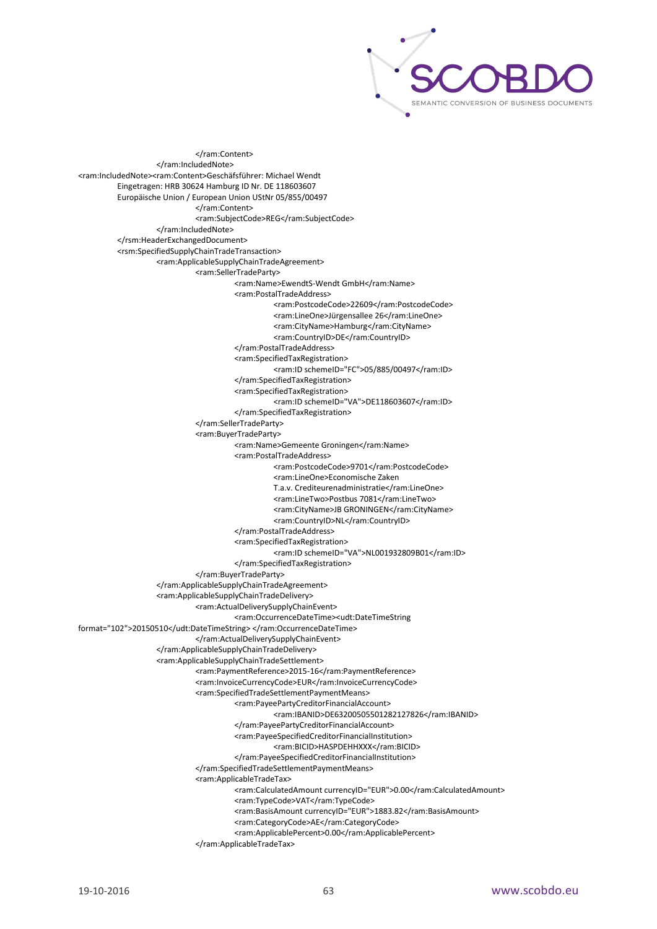

</ram:Content> </ram:IncludedNote> <ram:IncludedNote><ram:Content>Geschäfsführer: Michael Wendt Eingetragen: HRB 30624 Hamburg ID Nr. DE 118603607 Europäische Union / European Union UStNr 05/855/00497 </ram:Content> <ram:SubjectCode>REG</ram:SubjectCode> </ram:IncludedNote> </rsm:HeaderExchangedDocument> <rsm:SpecifiedSupplyChainTradeTransaction> <ram:ApplicableSupplyChainTradeAgreement> <ram:SellerTradeParty> <ram:Name>EwendtS-Wendt GmbH</ram:Name> <ram:PostalTradeAddress> <ram:PostcodeCode>22609</ram:PostcodeCode> <ram:LineOne>Jürgensallee 26</ram:LineOne> <ram:CityName>Hamburg</ram:CityName> <ram:CountryID>DE</ram:CountryID> </ram:PostalTradeAddress> <ram:SpecifiedTaxRegistration> <ram:ID schemeID="FC">05/885/00497</ram:ID> </ram:SpecifiedTaxRegistration> <ram:SpecifiedTaxRegistration> <ram:ID schemeID="VA">DE118603607</ram:ID> </ram:SpecifiedTaxRegistration> </ram:SellerTradeParty> <ram:BuyerTradeParty> <ram:Name>Gemeente Groningen</ram:Name> <ram:PostalTradeAddress> <ram:PostcodeCode>9701</ram:PostcodeCode> <ram:LineOne>Economische Zaken T.a.v. Crediteurenadministratie</ram:LineOne> <ram:LineTwo>Postbus 7081</ram:LineTwo> <ram:CityName>JB GRONINGEN</ram:CityName> <ram:CountryID>NL</ram:CountryID> </ram:PostalTradeAddress> <ram:SpecifiedTaxRegistration> <ram:ID schemeID="VA">NL001932809B01</ram:ID> </ram:SpecifiedTaxRegistration> </ram:BuyerTradeParty> </ram:ApplicableSupplyChainTradeAgreement> <ram:ApplicableSupplyChainTradeDelivery> <ram:ActualDeliverySupplyChainEvent> <ram:OccurrenceDateTime><udt:DateTimeString format="102">20150510</udt:DateTimeString> </ram:OccurrenceDateTime> </ram:ActualDeliverySupplyChainEvent> </ram:ApplicableSupplyChainTradeDelivery> <ram:ApplicableSupplyChainTradeSettlement> <ram:PaymentReference>2015-16</ram:PaymentReference> <ram:InvoiceCurrencyCode>EUR</ram:InvoiceCurrencyCode> <ram:SpecifiedTradeSettlementPaymentMeans> <ram:PayeePartyCreditorFinancialAccount> <ram:IBANID>DE63200505501282127826</ram:IBANID> </ram:PayeePartyCreditorFinancialAccount> <ram:PayeeSpecifiedCreditorFinancialInstitution> <ram:BICID>HASPDEHHXXX</ram:BICID> </ram:PayeeSpecifiedCreditorFinancialInstitution> </ram:SpecifiedTradeSettlementPaymentMeans> <ram:ApplicableTradeTax> <ram:CalculatedAmount currencyID="EUR">0.00</ram:CalculatedAmount> <ram:TypeCode>VAT</ram:TypeCode> <ram:BasisAmount currencyID="EUR">1883.82</ram:BasisAmount> <ram:CategoryCode>AE</ram:CategoryCode> <ram:ApplicablePercent>0.00</ram:ApplicablePercent> </ram:ApplicableTradeTax>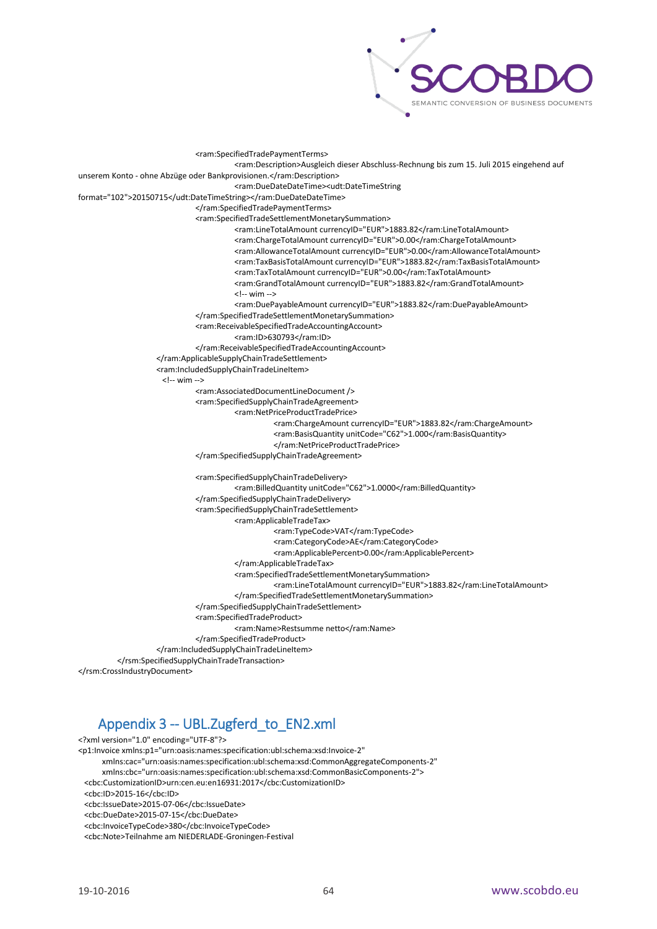

<ram:SpecifiedTradePaymentTerms> <ram:Description>Ausgleich dieser Abschluss-Rechnung bis zum 15. Juli 2015 eingehend auf unserem Konto - ohne Abzüge oder Bankprovisionen.</ram:Description> <ram:DueDateDateTime><udt:DateTimeString format="102">20150715</udt:DateTimeString></ram:DueDateDateTime> </ram:SpecifiedTradePaymentTerms> <ram:SpecifiedTradeSettlementMonetarySummation> <ram:LineTotalAmount currencyID="EUR">1883.82</ram:LineTotalAmount> <ram:ChargeTotalAmount currencyID="EUR">0.00</ram:ChargeTotalAmount> <ram:AllowanceTotalAmount currencyID="EUR">0.00</ram:AllowanceTotalAmount> <ram:TaxBasisTotalAmount currencyID="EUR">1883.82</ram:TaxBasisTotalAmount> <ram:TaxTotalAmount currencyID="EUR">0.00</ram:TaxTotalAmount> <ram:GrandTotalAmount currencyID="EUR">1883.82</ram:GrandTotalAmount> <!-- wim --> <ram:DuePayableAmount currencyID="EUR">1883.82</ram:DuePayableAmount> </ram:SpecifiedTradeSettlementMonetarySummation> <ram:ReceivableSpecifiedTradeAccountingAccount> <ram:ID>630793</ram:ID> </ram:ReceivableSpecifiedTradeAccountingAccount> </ram:ApplicableSupplyChainTradeSettlement> <ram:IncludedSupplyChainTradeLineItem> <!-- wim --> <ram:AssociatedDocumentLineDocument /> <ram:SpecifiedSupplyChainTradeAgreement> <ram:NetPriceProductTradePrice> <ram:ChargeAmount currencyID="EUR">1883.82</ram:ChargeAmount> <ram:BasisQuantity unitCode="C62">1.000</ram:BasisQuantity> </ram:NetPriceProductTradePrice> </ram:SpecifiedSupplyChainTradeAgreement> <ram:SpecifiedSupplyChainTradeDelivery> <ram:BilledQuantity unitCode="C62">1.0000</ram:BilledQuantity> </ram:SpecifiedSupplyChainTradeDelivery> <ram:SpecifiedSupplyChainTradeSettlement> <ram:ApplicableTradeTax> <ram:TypeCode>VAT</ram:TypeCode> <ram:CategoryCode>AE</ram:CategoryCode> <ram:ApplicablePercent>0.00</ram:ApplicablePercent> </ram:ApplicableTradeTax> <ram:SpecifiedTradeSettlementMonetarySummation> <ram:LineTotalAmount currencyID="EUR">1883.82</ram:LineTotalAmount> </ram:SpecifiedTradeSettlementMonetarySummation> </ram:SpecifiedSupplyChainTradeSettlement> <ram:SpecifiedTradeProduct> <ram:Name>Restsumme netto</ram:Name> </ram:SpecifiedTradeProduct> </ram:IncludedSupplyChainTradeLineItem> </rsm:SpecifiedSupplyChainTradeTransaction>

<span id="page-64-0"></span></rsm:CrossIndustryDocument>

# Appendix 3 -- UBL.Zugferd\_to\_EN2.xml

```
<?xml version="1.0" encoding="UTF-8"?>
<p1:Invoice xmlns:p1="urn:oasis:names:specification:ubl:schema:xsd:Invoice-2"
       xmlns:cac="urn:oasis:names:specification:ubl:schema:xsd:CommonAggregateComponents-2"
       xmlns:cbc="urn:oasis:names:specification:ubl:schema:xsd:CommonBasicComponents-2">
  <cbc:CustomizationID>urn:cen.eu:en16931:2017</cbc:CustomizationID>
  <cbc:ID>2015-16</cbc:ID>
  <cbc:IssueDate>2015-07-06</cbc:IssueDate>
  <cbc:DueDate>2015-07-15</cbc:DueDate>
```
<cbc:InvoiceTypeCode>380</cbc:InvoiceTypeCode>

<cbc:Note>Teilnahme am NIEDERLADE-Groningen-Festival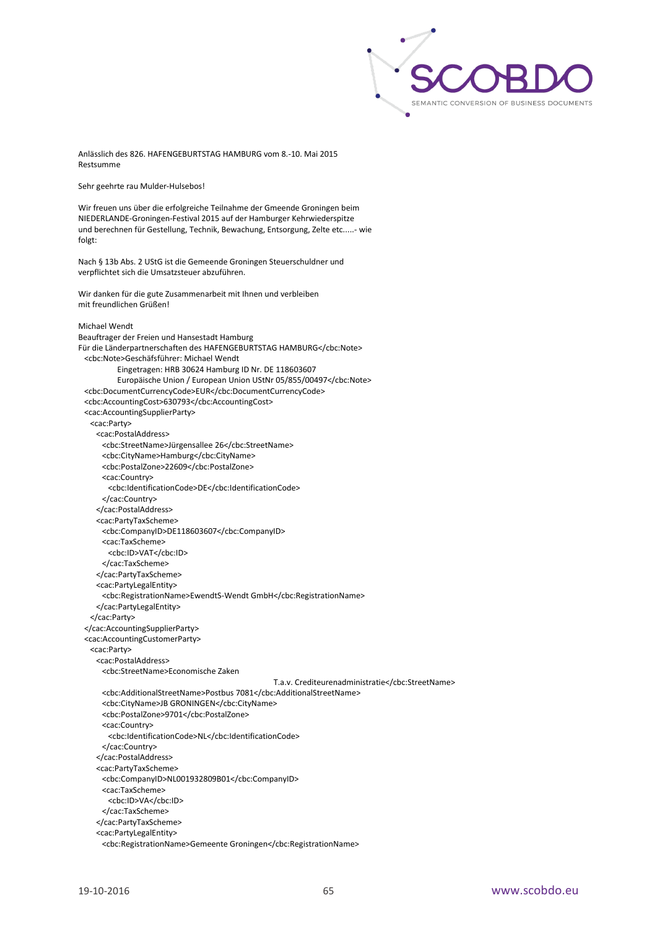

Anlässlich des 826. HAFENGEBURTSTAG HAMBURG vom 8.-10. Mai 2015 Restsumme

Sehr geehrte rau Mulder-Hulsebos!

Wir freuen uns über die erfolgreiche Teilnahme der Gmeende Groningen beim NIEDERLANDE-Groningen-Festival 2015 auf der Hamburger Kehrwiederspitze und berechnen für Gestellung, Technik, Bewachung, Entsorgung, Zelte etc.....- wie folgt:

Nach § 13b Abs. 2 UStG ist die Gemeende Groningen Steuerschuldner und verpflichtet sich die Umsatzsteuer abzuführen.

Wir danken für die gute Zusammenarbeit mit Ihnen und verbleiben mit freundlichen Grüßen!

#### Michael Wendt

Beauftrager der Freien und Hansestadt Hamburg Für die Länderpartnerschaften des HAFENGEBURTSTAG HAMBURG</cbc:Note> <cbc:Note>Geschäfsführer: Michael Wendt Eingetragen: HRB 30624 Hamburg ID Nr. DE 118603607 Europäische Union / European Union UStNr 05/855/00497</cbc:Note> <cbc:DocumentCurrencyCode>EUR</cbc:DocumentCurrencyCode> <cbc:AccountingCost>630793</cbc:AccountingCost> <cac:AccountingSupplierParty> <cac:Party> <cac:PostalAddress> <cbc:StreetName>Jürgensallee 26</cbc:StreetName> <cbc:CityName>Hamburg</cbc:CityName> <cbc:PostalZone>22609</cbc:PostalZone> <cac:Country> <cbc:IdentificationCode>DE</cbc:IdentificationCode> </cac:Country> </cac:PostalAddress> <cac:PartyTaxScheme> <cbc:CompanyID>DE118603607</cbc:CompanyID> <cac:TaxScheme> <cbc:ID>VAT</cbc:ID> </cac:TaxScheme> </cac:PartyTaxScheme> <cac:PartyLegalEntity> <cbc:RegistrationName>EwendtS-Wendt GmbH</cbc:RegistrationName> </cac:PartyLegalEntity> </cac:Party> </cac:AccountingSupplierParty> <cac:AccountingCustomerParty> <cac:Party> <cac:PostalAddress> <cbc:StreetName>Economische Zaken T.a.v. Crediteurenadministratie</cbc:StreetName> <cbc:AdditionalStreetName>Postbus 7081</cbc:AdditionalStreetName> <cbc:CityName>JB GRONINGEN</cbc:CityName> <cbc:PostalZone>9701</cbc:PostalZone> <cac:Country> <cbc:IdentificationCode>NL</cbc:IdentificationCode> </cac:Country> </cac:PostalAddress> <cac:PartyTaxScheme> <cbc:CompanyID>NL001932809B01</cbc:CompanyID> <cac:TaxScheme> <cbc:ID>VA</cbc:ID> </cac:TaxScheme> </cac:PartyTaxScheme> <cac:PartyLegalEntity> <cbc:RegistrationName>Gemeente Groningen</cbc:RegistrationName>